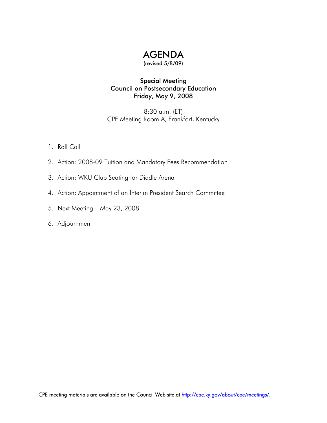

(revised 5/8/09)

### Special Meeting Council on Postsecondary Education Friday, May 9, 2008

8:30 a.m. (ET) CPE Meeting Room A, Frankfort, Kentucky

- 1. Roll Call
- 2. Action: 2008-09 Tuition and Mandatory Fees Recommendation
- 3. Action: WKU Club Seating for Diddle Arena
- 4. Action: Appointment of an Interim President Search Committee
- 5. Next Meeting May 23, 2008
- 6. Adjournment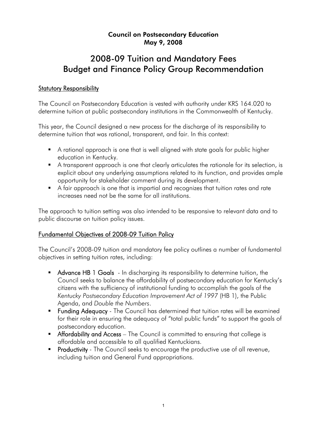### Council on Postsecondary Education May 9, 2008

# 2008-09 Tuition and Mandatory Fees Budget and Finance Policy Group Recommendation

### Statutory Responsibility

The Council on Postsecondary Education is vested with authority under KRS 164.020 to determine tuition at public postsecondary institutions in the Commonwealth of Kentucky.

This year, the Council designed a new process for the discharge of its responsibility to determine tuition that was rational, transparent, and fair. In this context:

- A rational approach is one that is well aligned with state goals for public higher education in Kentucky.
- A transparent approach is one that clearly articulates the rationale for its selection, is explicit about any underlying assumptions related to its function, and provides ample opportunity for stakeholder comment during its development.
- A fair approach is one that is impartial and recognizes that tuition rates and rate increases need not be the same for all institutions.

The approach to tuition setting was also intended to be responsive to relevant data and to public discourse on tuition policy issues.

### Fundamental Objectives of 2008-09 Tuition Policy

The Council's 2008-09 tuition and mandatory fee policy outlines a number of fundamental objectives in setting tuition rates, including:

- Advance HB 1 Goals In discharging its responsibility to determine tuition, the Council seeks to balance the affordability of postsecondary education for Kentucky's citizens with the sufficiency of institutional funding to accomplish the goals of the *Kentucky Postsecondary Education Improvement Act of 1997* (HB 1), the Public Agenda, and *Double the Numbers*.
- **Funding Adequacy** The Council has determined that tuition rates will be examined for their role in ensuring the adequacy of "total public funds" to support the goals of postsecondary education.
- **Affordability and Access** The Council is committed to ensuring that college is affordable and accessible to all qualified Kentuckians.
- **Productivity** The Council seeks to encourage the productive use of all revenue, including tuition and General Fund appropriations.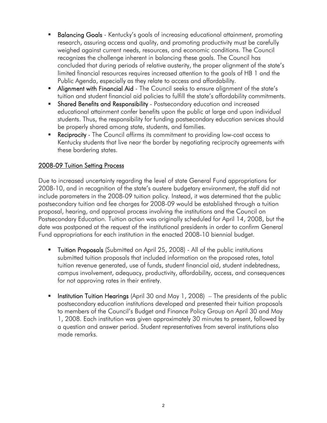- Balancing Goals Kentucky's goals of increasing educational attainment, promoting research, assuring access and quality, and promoting productivity must be carefully weighed against current needs, resources, and economic conditions. The Council recognizes the challenge inherent in balancing these goals. The Council has concluded that during periods of relative austerity, the proper alignment of the state's limited financial resources requires increased attention to the goals of HB 1 and the Public Agenda, especially as they relate to access and affordability.
- **Alignment with Financial Aid** The Council seeks to ensure alignment of the state's tuition and student financial aid policies to fulfill the state's affordability commitments.
- **Shared Benefits and Responsibility** Postsecondary education and increased educational attainment confer benefits upon the public at large and upon individual students. Thus, the responsibility for funding postsecondary education services should be properly shared among state, students, and families.
- **Reciprocity** The Council affirms its commitment to providing low-cost access to Kentucky students that live near the border by negotiating reciprocity agreements with these bordering states.

### 2008-09 Tuition Setting Process

Due to increased uncertainty regarding the level of state General Fund appropriations for 2008-10, and in recognition of the state's austere budgetary environment, the staff did not include parameters in the 2008-09 tuition policy. Instead, it was determined that the public postsecondary tuition and fee charges for 2008-09 would be established through a tuition proposal, hearing, and approval process involving the institutions and the Council on Postsecondary Education. Tuition action was originally scheduled for April 14, 2008, but the date was postponed at the request of the institutional presidents in order to confirm General Fund appropriations for each institution in the enacted 2008-10 biennial budget.

- **Tuition Proposals** (Submitted on April 25, 2008) All of the public institutions submitted tuition proposals that included information on the proposed rates, total tuition revenue generated, use of funds, student financial aid, student indebtedness, campus involvement, adequacy, productivity, affordability, access, and consequences for not approving rates in their entirety.
- Institution Tuition Hearings (April 30 and May 1, 2008) The presidents of the public postsecondary education institutions developed and presented their tuition proposals to members of the Council's Budget and Finance Policy Group on April 30 and May 1, 2008. Each institution was given approximately 30 minutes to present, followed by a question and answer period. Student representatives from several institutions also made remarks.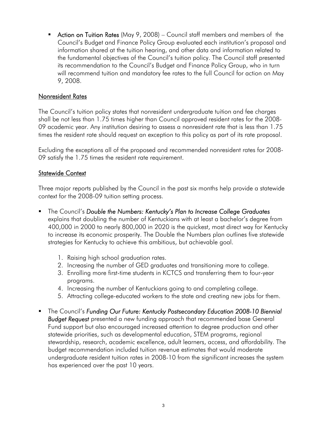**• Action on Tuition Rates** (May 9, 2008) – Council staff members and members of the Council's Budget and Finance Policy Group evaluated each institution's proposal and information shared at the tuition hearing, and other data and information related to the fundamental objectives of the Council's tuition policy. The Council staff presented its recommendation to the Council's Budget and Finance Policy Group, who in turn will recommend tuition and mandatory fee rates to the full Council for action on May 9, 2008.

### Nonresident Rates

The Council's tuition policy states that nonresident undergraduate tuition and fee charges shall be not less than 1.75 times higher than Council approved resident rates for the 2008- 09 academic year. Any institution desiring to assess a nonresident rate that is less than 1.75 times the resident rate should request an exception to this policy as part of its rate proposal.

Excluding the exceptions all of the proposed and recommended nonresident rates for 2008- 09 satisfy the 1.75 times the resident rate requirement.

### Statewide Context

Three major reports published by the Council in the past six months help provide a statewide context for the 2008-09 tuition setting process.

- The Council's *Double the Numbers: Kentucky's Plan to Increase College Graduates* explains that doubling the number of Kentuckians with at least a bachelor's degree from 400,000 in 2000 to nearly 800,000 in 2020 is the quickest, most direct way for Kentucky to increase its economic prosperity. The Double the Numbers plan outlines five statewide strategies for Kentucky to achieve this ambitious, but achievable goal.
	- 1. Raising high school graduation rates.
	- 2. Increasing the number of GED graduates and transitioning more to college.
	- 3. Enrolling more first-time students in KCTCS and transferring them to four-year programs.
	- 4. Increasing the number of Kentuckians going to and completing college.
	- 5. Attracting college-educated workers to the state and creating new jobs for them.
- The Council's *Funding Our Future: Kentucky Postsecondary Education 2008-10 Biennial Budget Request* presented a new funding approach that recommended base General Fund support but also encouraged increased attention to degree production and other statewide priorities, such as developmental education, STEM programs, regional stewardship, research, academic excellence, adult learners, access, and affordability. The budget recommendation included tuition revenue estimates that would moderate undergraduate resident tuition rates in 2008-10 from the significant increases the system has experienced over the past 10 years.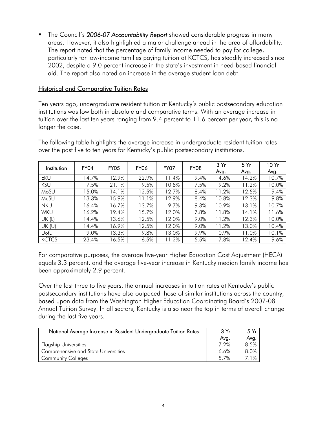The Council's *2006-07 Accountability Report* showed considerable progress in many areas. However, it also highlighted a major challenge ahead in the area of affordability. The report noted that the percentage of family income needed to pay for college, particularly for low-income families paying tuition at KCTCS, has steadily increased since 2002, despite a 9.0 percent increase in the state's investment in need-based financial aid. The report also noted an increase in the average student loan debt.

### Historical and Comparative Tuition Rates

Ten years ago, undergraduate resident tuition at Kentucky's public postsecondary education institutions was low both in absolute and comparative terms. With an average increase in tuition over the last ten years ranging from 9.4 percent to 11.6 percent per year, this is no longer the case.

The following table highlights the average increase in undergraduate resident tuition rates over the past five to ten years for Kentucky's public postsecondary institutions.

| Institution  | FY04  | <b>FY05</b> | <b>FY06</b> | FY07  | <b>FY08</b> | 3Yr<br>Avg. | 5Yr<br>Avg. | 10 Yr<br>Avg. |
|--------------|-------|-------------|-------------|-------|-------------|-------------|-------------|---------------|
| <b>EKU</b>   | 14.7% | 12.9%       | 22.9%       | 11.4% | 9.4%        | 14.6%       | 14.2%       | 10.7%         |
| <b>KSU</b>   | 7.5%  | 21.1%       | 9.5%        | 10.8% | 7.5%        | 9.2%        | 11.2%       | 10.0%         |
| MoSU         | 15.0% | 14.1%       | 12.5%       | 12.7% | 8.4%        | 11.2%       | 12.5%       | 9.4%          |
| MuSU         | 13.3% | 15.9%       | 11.1%       | 12.9% | 8.4%        | 10.8%       | 12.3%       | 9.8%          |
| <b>NKU</b>   | 16.4% | 16.7%       | 13.7%       | 9.7%  | 9.3%        | 10.9%       | 13.1%       | 10.7%         |
| WKU          | 16.2% | 19.4%       | 15.7%       | 12.0% | 7.8%        | 11.8%       | 14.1%       | 11.6%         |
| UK (L)       | 14.4% | 13.6%       | 12.5%       | 12.0% | 9.0%        | 11.2%       | 12.3%       | 10.0%         |
| UK(U)        | 14.4% | 16.9%       | 12.5%       | 12.0% | 9.0%        | 11.2%       | 13.0%       | 10.4%         |
| UofL         | 9.0%  | 13.3%       | 9.8%        | 13.0% | 9.9%        | 10.9%       | 11.0%       | 10.1%         |
| <b>KCTCS</b> | 23.4% | 16.5%       | 6.5%        | 11.2% | 5.5%        | 7.8%        | 12.4%       | 9.6%          |

For comparative purposes, the average five-year Higher Education Cost Adjustment (HECA) equals 3.3 percent, and the average five-year increase in Kentucky median family income has been approximately 2.9 percent.

Over the last three to five years, the annual increases in tuition rates at Kentucky's public postsecondary institutions have also outpaced those of similar institutions across the country, based upon data from the Washington Higher Education Coordinating Board's 2007-08 Annual Tuition Survey. In all sectors, Kentucky is also near the top in terms of overall change during the last five years.

| National Average Increase in Resident Undergraduate Tuition Rates | 3Yr<br>Avg. | 5Yr<br>Avg. |
|-------------------------------------------------------------------|-------------|-------------|
| <b>Flagship Universities</b>                                      | 7.2%        | 8.5%        |
| Comprehensive and State Universities                              | 6.6%        | 8.0%        |
| <b>Community Colleges</b>                                         | 5.7%        | $1\%$       |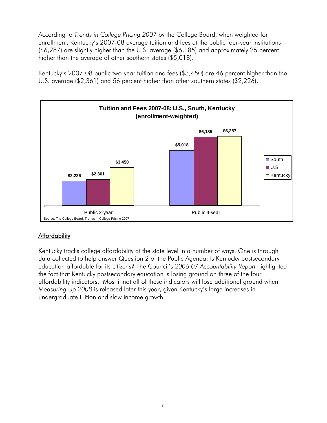According to *Trends in College Pricing 2007* by the College Board, when weighted for enrollment, Kentucky's 2007-08 average tuition and fees at the public four-year institutions (\$6,287) are slightly higher than the U.S. average (\$6,185) and approximately 25 percent higher than the average of other southern states (\$5,018).

Kentucky's 2007-08 public two-year tuition and fees (\$3,450) are 46 percent higher than the U.S. average (\$2,361) and 56 percent higher than other southern states (\$2,226).



## **Affordability**

Kentucky tracks college affordability at the state level in a number of ways. One is through data collected to help answer Question 2 of the Public Agenda: Is Kentucky postsecondary education affordable for its citizens? The Council's *2006-07 Accountability Report* highlighted the fact that Kentucky postsecondary education is losing ground on three of the four affordability indicators. Most if not all of these indicators will lose additional ground when *Measuring Up 2008* is released later this year, given Kentucky's large increases in undergraduate tuition and slow income growth.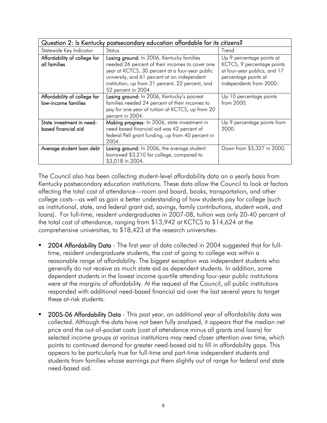|                                                     | Question 2: Is Kentucky postsecondary education affordable for its citizens?                                                                                                                                                                                               |                                                                                                                                            |  |  |  |  |  |
|-----------------------------------------------------|----------------------------------------------------------------------------------------------------------------------------------------------------------------------------------------------------------------------------------------------------------------------------|--------------------------------------------------------------------------------------------------------------------------------------------|--|--|--|--|--|
| Statewide Key Indicator                             | <b>Status</b>                                                                                                                                                                                                                                                              | Trend                                                                                                                                      |  |  |  |  |  |
| Affordability of college for<br>all families        | Losing ground: In 2006, Kentucky families<br>needed 26 percent of their incomes to cover one<br>year at KCTCS, 30 percent at a four-year public<br>university, and 61 percent at an independent<br>institution, up from 21 percent, 22 percent, and<br>52 percent in 2004. | Up 9 percentage points at<br>KCTCS, 9 percentage points<br>at four-year publics, and 17<br>percentage points at<br>independents from 2000. |  |  |  |  |  |
| Affordability of college for<br>low-income families | Losing ground: In 2006, Kentucky's poorest<br>families needed 24 percent of their incomes to<br>pay for one year of tuition at KCTCS, up from 20<br>percent in 2004.                                                                                                       | Up 10 percentage points<br>from 2000.                                                                                                      |  |  |  |  |  |
| State investment in need-<br>based financial aid    | Making progress: In 2006, state investment in<br>need-based financial aid was 42 percent of<br>federal Pell grant funding, up from 40 percent in<br>2004.                                                                                                                  | Up 9 percentage points from<br>2000.                                                                                                       |  |  |  |  |  |
| Average student loan debt                           | Losing ground: In 2006, the average student<br>borrowed \$3,210 for college, compared to<br>\$3,018 in 2004.                                                                                                                                                               | Down from \$3,327 in 2000.                                                                                                                 |  |  |  |  |  |

The Council also has been collecting student-level affordability data on a yearly basis from Kentucky postsecondary education institutions. These data allow the Council to look at factors affecting the total cost of attendance—room and board, books, transportation, and other college costs—as well as gain a better understanding of how students pay for college (such as institutional, state, and federal grant aid, savings, family contributions, student work, and loans). For full-time, resident undergraduates in 2007-08, tuition was only 20-40 percent of the total cost of attendance, ranging from \$13,942 at KCTCS to \$14,624 at the comprehensive universities, to \$18,423 at the research universities.

- 2004 Affordability Data The first year of data collected in 2004 suggested that for fulltime, resident undergraduate students, the cost of going to college was within a reasonable range of affordability. The biggest exception was independent students who generally do not receive as much state aid as dependent students. In addition, some dependent students in the lowest income quartile attending four-year public institutions were at the margins of affordability. At the request of the Council, all public institutions responded with additional need-based financial aid over the last several years to target these at-risk students.
- 2005-06 Affordability Data This past year, an additional year of affordability data was collected. Although the data have not been fully analyzed, it appears that the median net price and the out-of-pocket costs (cost of attendance minus all grants and loans) for selected income groups at various institutions may need closer attention over time, which points to continued demand for greater need-based aid to fill in affordability gaps. This appears to be particularly true for full-time and part-time independent students and students from families whose earnings put them slightly out of range for federal and state need-based aid.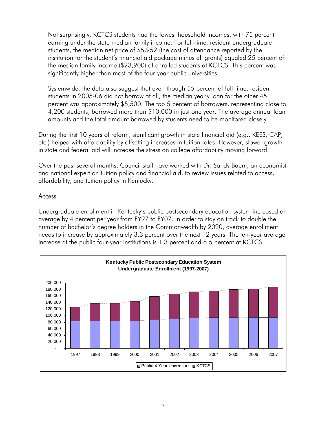Not surprisingly, KCTCS students had the lowest household incomes, with 75 percent earning under the state median family income. For full-time, resident undergraduate students, the median net price of \$5,952 (the cost of attendance reported by the institution for the student's financial aid package minus all grants) equaled 25 percent of the median family income (\$23,900) of enrolled students at KCTCS. This percent was significantly higher than most of the four-year public universities.

Systemwide, the data also suggest that even though 55 percent of full-time, resident students in 2005-06 did not borrow at all, the median yearly loan for the other 45 percent was approximately \$5,500. The top 5 percent of borrowers, representing close to 4,200 students, borrowed more than \$10,000 in just one year. The average annual loan amounts and the total amount borrowed by students need to be monitored closely.

During the first 10 years of reform, significant growth in state financial aid (e.g., KEES, CAP, etc.) helped with affordability by offsetting increases in tuition rates. However, slower growth in state and federal aid will increase the stress on college affordability moving forward.

Over the past several months, Council staff have worked with Dr. Sandy Baum, an economist and national expert on tuition policy and financial aid, to review issues related to access, affordability, and tuition policy in Kentucky.

### Access

Undergraduate enrollment in Kentucky's public postsecondary education system increased on average by 4 percent per year from FY97 to FY07. In order to stay on track to double the number of bachelor's degree holders in the Commonwealth by 2020, average enrollment needs to increase by approximately 3.3 percent over the next 12 years. The ten-year average increase at the public four-year institutions is 1.3 percent and 8.5 percent at KCTCS.

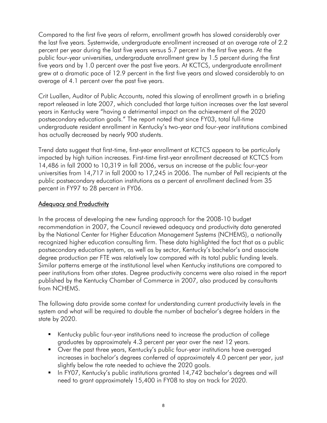Compared to the first five years of reform, enrollment growth has slowed considerably over the last five years. Systemwide, undergraduate enrollment increased at an average rate of 2.2 percent per year during the last five years versus 5.7 percent in the first five years. At the public four-year universities, undergraduate enrollment grew by 1.5 percent during the first five years and by 1.0 percent over the past five years. At KCTCS, undergraduate enrollment grew at a dramatic pace of 12.9 percent in the first five years and slowed considerably to an average of 4.1 percent over the past five years.

Crit Luallen, Auditor of Public Accounts, noted this slowing of enrollment growth in a briefing report released in late 2007, which concluded that large tuition increases over the last several years in Kentucky were "having a detrimental impact on the achievement of the 2020 postsecondary education goals." The report noted that since FY03, total full-time undergraduate resident enrollment in Kentucky's two-year and four-year institutions combined has actually decreased by nearly 900 students.

Trend data suggest that first-time, first-year enrollment at KCTCS appears to be particularly impacted by high tuition increases. First-time first-year enrollment decreased at KCTCS from 14,486 in fall 2000 to 10,319 in fall 2006, versus an increase at the public four-year universities from 14,717 in fall 2000 to 17,245 in 2006. The number of Pell recipients at the public postsecondary education institutions as a percent of enrollment declined from 35 percent in FY97 to 28 percent in FY06.

### Adequacy and Productivity

In the process of developing the new funding approach for the 2008-10 budget recommendation in 2007, the Council reviewed adequacy and productivity data generated by the National Center for Higher Education Management Systems (NCHEMS), a nationally recognized higher education consulting firm. These data highlighted the fact that as a public postsecondary education system, as well as by sector, Kentucky's bachelor's and associate degree production per FTE was relatively low compared with its total public funding levels. Similar patterns emerge at the institutional level when Kentucky institutions are compared to peer institutions from other states. Degree productivity concerns were also raised in the report published by the Kentucky Chamber of Commerce in 2007, also produced by consultants from NCHEMS.

The following data provide some context for understanding current productivity levels in the system and what will be required to double the number of bachelor's degree holders in the state by 2020.

- Kentucky public four-year institutions need to increase the production of college graduates by approximately 4.3 percent per year over the next 12 years.
- Over the past three years, Kentucky's public four-year institutions have averaged increases in bachelor's degrees conferred of approximately 4.0 percent per year, just slightly below the rate needed to achieve the 2020 goals.
- In FY07, Kentucky's public institutions granted 14,742 bachelor's degrees and will need to grant approximately 15,400 in FY08 to stay on track for 2020.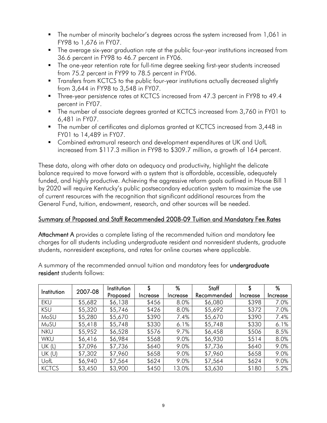- The number of minority bachelor's degrees across the system increased from 1,061 in FY98 to 1,676 in FY07.
- The average six-year graduation rate at the public four-year institutions increased from 36.6 percent in FY98 to 46.7 percent in FY06.
- The one-year retention rate for full-time degree seeking first-year students increased from 75.2 percent in FY99 to 78.5 percent in FY06.
- **Transfers from KCTCS to the public four-year institutions actually decreased slightly** from 3,644 in FY98 to 3,548 in FY07.
- **Three-year persistence rates at KCTCS increased from 47.3 percent in FY98 to 49.4** percent in FY07.
- The number of associate degrees granted at KCTCS increased from 3,760 in FY01 to 6,481 in FY07.
- The number of certificates and diplomas granted at KCTCS increased from 3,448 in FY01 to 14,489 in FY07.
- Combined extramural research and development expenditures at UK and UofL increased from \$117.3 million in FY98 to \$309.7 million, a growth of 164 percent.

These data, along with other data on adequacy and productivity, highlight the delicate balance required to move forward with a system that is affordable, accessible, adequately funded, and highly productive. Achieving the aggressive reform goals outlined in House Bill 1 by 2020 will require Kentucky's public postsecondary education system to maximize the use of current resources with the recognition that significant additional resources from the General Fund, tuition, endowment, research, and other sources will be needed.

## Summary of Proposed and Staff Recommended 2008-09 Tuition and Mandatory Fee Rates

Attachment A provides a complete listing of the recommended tuition and mandatory fee charges for all students including undergraduate resident and nonresident students, graduate students, nonresident exceptions, and rates for online courses where applicable.

A summary of the recommended annual tuition and mandatory fees for **undergraduate** resident students follows:

| Institution   | 2007-08 | Institution |          | %        | Staff       | \$       | %        |
|---------------|---------|-------------|----------|----------|-------------|----------|----------|
|               |         | Proposed    | Increase | Increase | Recommended | Increase | Increase |
| <b>EKU</b>    | \$5,682 | \$6,138     | \$456    | 8.0%     | \$6,080     | \$398    | 7.0%     |
| <b>KSU</b>    | \$5,320 | \$5,746     | \$426    | 8.0%     | \$5,692     | \$372    | 7.0%     |
| MoSU          | \$5,280 | \$5,670     | \$390    | 7.4%     | \$5,670     | \$390    | 7.4%     |
| MuSU          | \$5,418 | \$5,748     | \$330    | 6.1%     | \$5,748     | \$330    | 6.1%     |
| <b>NKU</b>    | \$5,952 | \$6,528     | \$576    | 9.7%     | \$6,458     | \$506    | 8.5%     |
| <b>WKU</b>    | \$6,416 | \$6,984     | \$568    | 9.0%     | \$6,930     | \$514    | 8.0%     |
| <b>UK (L)</b> | \$7,096 | \$7,736     | \$640    | 9.0%     | \$7,736     | \$640    | 9.0%     |
| UK (U)        | \$7,302 | \$7,960     | \$658    | 9.0%     | \$7,960     | \$658    | 9.0%     |
| UofL          | \$6,940 | \$7,564     | \$624    | 9.0%     | \$7,564     | \$624    | 9.0%     |
| <b>KCTCS</b>  | \$3,450 | \$3,900     | \$450    | 13.0%    | \$3,630     | \$180    | 5.2%     |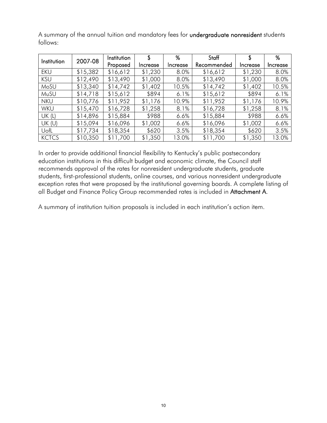| Institution  | 2007-08  | Institution | S        | %        | Staff       | \$       | %        |
|--------------|----------|-------------|----------|----------|-------------|----------|----------|
|              |          | Proposed    | Increase | Increase | Recommended | Increase | Increase |
| EKU          | \$15,382 | \$16,612    | \$1,230  | 8.0%     | \$16,612    | \$1,230  | 8.0%     |
| <b>KSU</b>   | \$12,490 | \$13,490    | \$1,000  | 8.0%     | \$13,490    | \$1,000  | 8.0%     |
| MoSU         | \$13,340 | \$14,742    | \$1,402  | 10.5%    | \$14,742    | \$1,402  | 10.5%    |
| MuSU         | \$14,718 | \$15,612    | \$894    | 6.1%     | \$15,612    | \$894    | 6.1%     |
| <b>NKU</b>   | \$10,776 | \$11,952    | \$1,176  | 10.9%    | \$11,952    | \$1,176  | 10.9%    |
| <b>WKU</b>   | \$15,470 | \$16,728    | \$1,258  | 8.1%     | \$16,728    | \$1,258  | 8.1%     |
| UK(L)        | \$14,896 | \$15,884    | \$988    | $6.6\%$  | \$15,884    | \$988    | 6.6%     |
| UK(U)        | \$15,094 | \$16,096    | \$1,002  | $6.6\%$  | \$16,096    | \$1,002  | 6.6%     |
| UofL         | \$17,734 | \$18,354    | \$620    | 3.5%     | \$18,354    | \$620    | 3.5%     |
| <b>KCTCS</b> | \$10,350 | \$11,700    | \$1,350  | 13.0%    | \$11,700    | \$1,350  | 13.0%    |

A summary of the annual tuition and mandatory fees for undergraduate nonresident students follows:

In order to provide additional financial flexibility to Kentucky's public postsecondary education institutions in this difficult budget and economic climate, the Council staff recommends approval of the rates for nonresident undergraduate students, graduate students, first-professional students, online courses, and various nonresident undergraduate exception rates that were proposed by the institutional governing boards. A complete listing of all Budget and Finance Policy Group recommended rates is included in Attachment A.

A summary of institution tuition proposals is included in each institution's action item.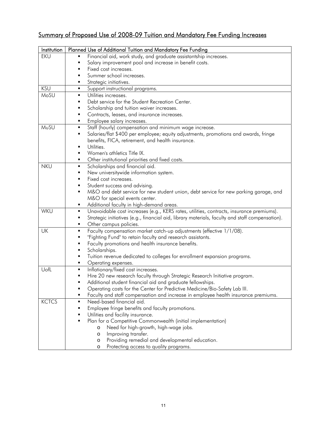# Summary of Proposed Use of 2008-09 Tuition and Mandatory Fee Funding Increases

| Institution  | Planned Use of Additional Tuition and Mandatory Fee Funding                                          |
|--------------|------------------------------------------------------------------------------------------------------|
| <b>EKU</b>   | Financial aid, work study, and graduate assistantship increases.<br>٠                                |
|              | Salary improvement pool and increase in benefit costs.<br>٠                                          |
|              | Fixed cost increases.<br>٠                                                                           |
|              | Summer school increases.<br>٠                                                                        |
|              | Strategic initiatives.<br>٠                                                                          |
| <b>KSU</b>   | Support instructional programs.<br>$\blacksquare$                                                    |
| MoSU         | Utilities increases.<br>٠                                                                            |
|              | Debt service for the Student Recreation Center.<br>٠                                                 |
|              | Scholarship and tuition waiver increases.<br>٠                                                       |
|              | Contracts, leases, and insurance increases.<br>٠                                                     |
|              | Employee salary increases.                                                                           |
| MuSU         | Staff (hourly) compensation and minimum wage increase.<br>٠                                          |
|              | Salaries/flat \$400 per employee; equity adjustments, promotions and awards, fringe<br>٠             |
|              | benefits, FICA, retirement, and health insurance.                                                    |
|              | Utilities.<br>٠                                                                                      |
|              | Women's athletics Title IX.<br>٠                                                                     |
|              | Other institutional priorities and fixed costs.<br>٠                                                 |
| <b>NKU</b>   | Scholarships and financial aid.<br>٠                                                                 |
|              | New universitywide information system.<br>٠                                                          |
|              | Fixed cost increases.                                                                                |
|              | Student success and advising.<br>٠                                                                   |
|              | M&O and debt service for new student union, debt service for new parking garage, and<br>٠            |
|              | M&O for special events center.                                                                       |
|              | Additional faculty in high-demand areas.<br>٠                                                        |
| WKU          | Unavoidable cost increases (e.g., KERS rates, utilities, contracts, insurance premiums).<br>٠        |
|              | Strategic initiatives (e.g., financial aid, library materials, faculty and staff compensation).<br>٠ |
|              | Other campus policies.<br>٠                                                                          |
| UK           | Faculty compensation market catch-up adjustments (effective 1/1/08).<br>٠                            |
|              | "Fighting Fund" to retain faculty and research assistants.<br>٠                                      |
|              | Faculty promotions and health insurance benefits.<br>٠                                               |
|              | Scholarships.<br>٠                                                                                   |
|              | Tuition revenue dedicated to colleges for enrollment expansion programs.<br>٠                        |
|              | Operating expenses.<br>٠                                                                             |
| UofL         | Inflationary/fixed cost increases.<br>٠                                                              |
|              | Hire 20 new research faculty through Strategic Research Initiative program.                          |
|              | Additional student financial aid and graduate fellowships.                                           |
|              | Operating costs for the Center for Predictive Medicine/Bio-Safety Lab III.                           |
|              | Faculty and staff compensation and increase in employee health insurance premiums.                   |
| <b>KCTCS</b> | Need-based financial aid.                                                                            |
|              | Employee fringe benefits and faculty promotions.                                                     |
|              | Utilities and facility insurance.                                                                    |
|              | Plan for a Competitive Commonwealth (initial implementation)                                         |
|              | Need for high-growth, high-wage jobs.<br>O                                                           |
|              | Improving transfer.<br>$\circ$                                                                       |
|              | Providing remedial and developmental education.<br>$\circ$                                           |
|              | Protecting access to quality programs.<br>O                                                          |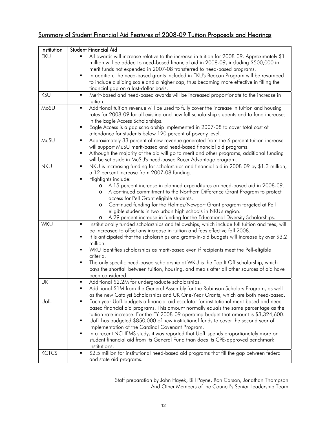# Summary of Student Financial Aid Features of 2008-09 Tuition Proposals and Hearings

| Institution  | Student Financial Aid                                                                                                                                       |
|--------------|-------------------------------------------------------------------------------------------------------------------------------------------------------------|
| <b>EKU</b>   | All awards will increase relative to the increase in tuition for 2008-09. Approximately \$1                                                                 |
|              | million will be added to need-based financial aid in 2008-09, including \$500,000 in                                                                        |
|              | merit funds not expended in 2007-08 transferred to need-based programs.                                                                                     |
|              | In addition, the need-based grants included in EKU's Beacon Program will be revamped<br>٠                                                                   |
|              | to include a sliding scale and a higher cap, thus becoming more effective in filling the                                                                    |
|              | financial gap on a last-dollar basis.                                                                                                                       |
| <b>KSU</b>   | Merit-based and need-based awards will be increased proportionate to the increase in<br>٠                                                                   |
|              | tuition.                                                                                                                                                    |
| MoSU         | Additional tuition revenue will be used to fully cover the increase in tuition and housing<br>٠                                                             |
|              | rates for 2008-09 for all existing and new full scholarship students and to fund increases                                                                  |
|              | in the Eagle Access Scholarships.                                                                                                                           |
|              | Eagle Access is a gap scholarship implemented in 2007-08 to cover total cost of<br>٠                                                                        |
|              | attendance for students below 120 percent of poverty level.                                                                                                 |
| MuSU         | Approximately 33 percent of new revenue generated from the 6 percent tuition increase<br>٠                                                                  |
|              | will support MuSU merit-based and need-based financial aid programs.<br>٠                                                                                   |
|              | Although the majority of the aid will go to merit and other programs, additional funding<br>will be set aside in MuSU's need-based Racer Advantage program. |
| <b>NKU</b>   | NKU is increasing funding for scholarships and financial aid in 2008-09 by \$1.3 million,<br>٠                                                              |
|              | a 12 percent increase from 2007-08 funding.                                                                                                                 |
|              | Highlights include:<br>٠                                                                                                                                    |
|              | A 15 percent increase in planned expenditures on need-based aid in 2008-09.<br>O                                                                            |
|              | A continued commitment to the Northern Difference Grant Program to protect<br>O                                                                             |
|              | access for Pell Grant eligible students.                                                                                                                    |
|              | Continued funding for the Holmes/Newport Grant program targeted at Pell<br>O                                                                                |
|              | eligible students in two urban high schools in NKU's region.                                                                                                |
|              | A 29 percent increase in funding for the Educational Diversity Scholarships.<br>O                                                                           |
| WKU          | Institutionally funded scholarships and fellowships, which include full tuition and fees, will<br>٠                                                         |
|              | be increased to offset any increase in tuition and fees effective fall 2008.                                                                                |
|              | It is anticipated that the scholarships and grants-in-aid budgets will increase by over \$3.2<br>٠                                                          |
|              | million.                                                                                                                                                    |
|              | WKU identifies scholarships as merit-based even if recipients meet the Pell-eligible                                                                        |
|              | criteria.                                                                                                                                                   |
|              | The only specific need-based scholarship at WKU is the Top It Off scholarship, which<br>٠                                                                   |
|              | pays the shortfall between tuition, housing, and meals after all other sources of aid have                                                                  |
| <b>UK</b>    | been considered.<br>Additional \$2.2M for undergraduate scholarships.<br>٠                                                                                  |
|              | Additional \$1M from the General Assembly for the Robinson Scholars Program, as well                                                                        |
|              | as the new Catalyst Scholarships and UK One-Year Grants, which are both need-based.                                                                         |
| UofL         | Each year UofL budgets a financial aid escalator for institutional merit-based and need-<br>٠                                                               |
|              | based financial aid programs. This amount normally equals the same percentage as the                                                                        |
|              | tuition rate increase. For the FY 2008-09 operating budget that amount is \$3,324,600.                                                                      |
|              | UofL has budgeted \$850,000 of new institutional funds to cover the second year of<br>٠                                                                     |
|              | implementation of the Cardinal Covenant Program.                                                                                                            |
|              | In a recent NCHEMS study, it was reported that UofL spends proportionately more on<br>٠                                                                     |
|              | student financial aid from its General Fund than does its CPE-approved benchmark                                                                            |
|              | institutions.                                                                                                                                               |
| <b>KCTCS</b> | \$2.5 million for institutional need-based aid programs that fill the gap between federal<br>٠                                                              |
|              | and state aid programs.                                                                                                                                     |

Staff preparation by John Hayek, Bill Payne, Ron Carson, Jonathan Thompson And Other Members of the Council's Senior Leadership Team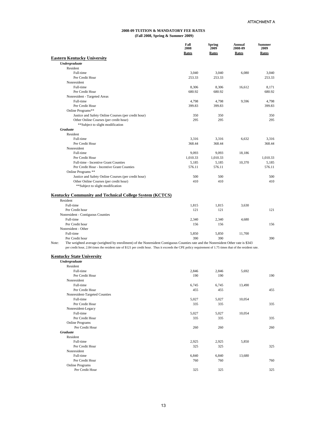|                                                                                                                                                                                                                                                                                                           | Fall<br>2008<br>Rates | Spring<br>2009<br>Rates | Annual<br>2008-09<br>Rates | <b>Summer</b><br>2009<br>Rates |
|-----------------------------------------------------------------------------------------------------------------------------------------------------------------------------------------------------------------------------------------------------------------------------------------------------------|-----------------------|-------------------------|----------------------------|--------------------------------|
| <b>Eastern Kentucky University</b>                                                                                                                                                                                                                                                                        |                       |                         |                            |                                |
| <b>Undergraduate</b>                                                                                                                                                                                                                                                                                      |                       |                         |                            |                                |
| Resident                                                                                                                                                                                                                                                                                                  |                       |                         |                            |                                |
| Full-time                                                                                                                                                                                                                                                                                                 | 3,040                 | 3,040                   | 6,080                      | 3.040                          |
| Per Credit Hour                                                                                                                                                                                                                                                                                           | 253.33                | 253.33                  |                            | 253.33                         |
| Nonresident                                                                                                                                                                                                                                                                                               |                       |                         |                            |                                |
| Full-time                                                                                                                                                                                                                                                                                                 | 8,306                 | 8,306                   | 16,612                     | 8.171                          |
| Per Credit Hour                                                                                                                                                                                                                                                                                           | 680.92                | 680.92                  |                            | 680.92                         |
| Nonresident - Targeted Areas                                                                                                                                                                                                                                                                              |                       |                         |                            |                                |
| Full-time                                                                                                                                                                                                                                                                                                 | 4,798                 | 4,798                   | 9,596                      | 4.798                          |
| Per Credit Hour                                                                                                                                                                                                                                                                                           | 399.83                | 399.83                  |                            | 399.83                         |
| Online Programs**                                                                                                                                                                                                                                                                                         |                       |                         |                            |                                |
| Justice and Safety Online Courses (per credit hour)                                                                                                                                                                                                                                                       | 350                   | 350                     |                            | 350                            |
| Other Online Courses (per credit hour)                                                                                                                                                                                                                                                                    | 295                   | 295                     |                            | 295                            |
| **Subject to slight modification                                                                                                                                                                                                                                                                          |                       |                         |                            |                                |
| <b>Graduate</b>                                                                                                                                                                                                                                                                                           |                       |                         |                            |                                |
| Resident                                                                                                                                                                                                                                                                                                  |                       |                         |                            |                                |
| Full-time                                                                                                                                                                                                                                                                                                 | 3.316                 | 3.316                   | 6.632                      | 3.316                          |
| Per Credit Hour                                                                                                                                                                                                                                                                                           | 368.44                | 368.44                  |                            | 368.44                         |
| Nonresident                                                                                                                                                                                                                                                                                               |                       |                         |                            |                                |
| Full-time                                                                                                                                                                                                                                                                                                 | 9.093                 | 9.093                   | 18.186                     |                                |
| Per Credit Hour                                                                                                                                                                                                                                                                                           | 1,010.33              | 1,010.33                |                            | 1,010.33                       |
| Full-time - Incentive Grant Counties                                                                                                                                                                                                                                                                      | 5,185                 | 5,185                   | 10,370                     | 5,185                          |
| Per Credit Hour - Incentive Grant Counties                                                                                                                                                                                                                                                                | 576.11                | 576.11                  |                            | 576.11                         |
| Online Programs **                                                                                                                                                                                                                                                                                        |                       |                         |                            |                                |
| Justice and Safety Online Courses (per credit hour)                                                                                                                                                                                                                                                       | 500                   | 500                     |                            | 500                            |
| Other Online Courses (per credit hour)                                                                                                                                                                                                                                                                    | 410                   | 410                     |                            | 410                            |
| **Subject to slight modification                                                                                                                                                                                                                                                                          |                       |                         |                            |                                |
| <b>Kentucky Community and Technical College System (KCTCS)</b>                                                                                                                                                                                                                                            |                       |                         |                            |                                |
| Resident                                                                                                                                                                                                                                                                                                  |                       |                         |                            |                                |
| Full-time                                                                                                                                                                                                                                                                                                 | 1,815                 | 1,815                   | 3,630                      |                                |
| Per Credit hour                                                                                                                                                                                                                                                                                           | 121                   | 121                     |                            | 121                            |
| Nonresident - Contiguous Counties                                                                                                                                                                                                                                                                         |                       |                         |                            |                                |
| Full-time                                                                                                                                                                                                                                                                                                 | 2,340                 | 2,340                   | 4,680                      |                                |
| Per Credit hour                                                                                                                                                                                                                                                                                           | 156                   | 156                     |                            | 156                            |
| Nonresident - Other                                                                                                                                                                                                                                                                                       |                       |                         |                            |                                |
| Full-time                                                                                                                                                                                                                                                                                                 | 5,850                 | 5,850                   | 11,700                     |                                |
| Per Credit hour                                                                                                                                                                                                                                                                                           | 390                   | 390                     |                            | 390                            |
| The weighted average (weighted by enrollment) of the Nonresident Contiguous Counties rate and the Nonresident Other rate is \$343<br>Note:<br>per credit hour, 2.84 times the resident rate of \$121 per credit hour. Thus it exceeds the CPE policy requirement of 1.75 times that of the resident rate. |                       |                         |                            |                                |
| <b>Kentucky State University</b>                                                                                                                                                                                                                                                                          |                       |                         |                            |                                |
| <b>Undergraduate</b>                                                                                                                                                                                                                                                                                      |                       |                         |                            |                                |
| Resident                                                                                                                                                                                                                                                                                                  |                       |                         |                            |                                |
| Full-time                                                                                                                                                                                                                                                                                                 | 2,846                 | 2,846                   | 5,692                      |                                |
| Per Credit Hour                                                                                                                                                                                                                                                                                           | 190                   | 190                     |                            | 190                            |

| nesiuent                      |       |       |        |     |
|-------------------------------|-------|-------|--------|-----|
| Full-time                     | 2,846 | 2,846 | 5,692  |     |
| Per Credit Hour               | 190   | 190   |        | 190 |
| Nonresident                   |       |       |        |     |
| Full-time                     | 6,745 | 6,745 | 13,490 |     |
| Per Credit Hour               | 455   | 455   |        | 455 |
| Nonresident-Targeted Counties |       |       |        |     |
| Full-time                     | 5,027 | 5,027 | 10,054 |     |
| Per Credit Hour               | 335   | 335   |        | 335 |
| Nonresident-Legacy            |       |       |        |     |
| Full-time                     | 5,027 | 5,027 | 10,054 |     |
| Per Credit Hour               | 335   | 335   |        | 335 |
| Online Programs               |       |       |        |     |
| Per Credit Hour               | 260   | 260   |        | 260 |
| <b>Graduate</b>               |       |       |        |     |
| Resident                      |       |       |        |     |
| Full-time                     | 2,925 | 2,925 | 5,850  |     |
| Per Credit Hour               | 325   | 325   |        | 325 |
| Nonresident                   |       |       |        |     |
| Full-time                     | 6,840 | 6,840 | 13,680 |     |
| Per Credit Hour               | 760   | 760   |        | 760 |
| <b>Online Programs</b>        |       |       |        |     |
| Per Credit Hour               | 325   | 325   |        | 325 |
|                               |       |       |        |     |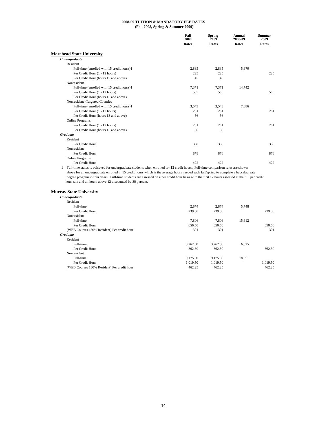|                                            | Fall<br>2008<br>Rates | <b>Spring</b><br>2009<br>Rates | Annual<br>2008-09<br>Rates | <b>Summer</b><br>2009<br>Rates |
|--------------------------------------------|-----------------------|--------------------------------|----------------------------|--------------------------------|
| <b>Morehead State University</b>           |                       |                                |                            |                                |
| Undergraduate                              |                       |                                |                            |                                |
| Resident                                   |                       |                                |                            |                                |
| Full-time (enrolled with 15 credit hours)1 | 2,835                 | 2,835                          | 5,670                      |                                |
| Per Credit Hour (1 - 12 hours)             | 225                   | 225                            |                            | 225                            |
| Per Credit Hour (hours 13 and above)       | 45                    | 45                             |                            |                                |
| Nonresident                                |                       |                                |                            |                                |
| Full-time (enrolled with 15 credit hours)1 | 7.371                 | 7.371                          | 14,742                     |                                |
| Per Credit Hour (1 - 12 hours)             | 585                   | 585                            |                            | 585                            |
| Per Credit Hour (hours 13 and above)       |                       |                                |                            |                                |
| Nonresident -Targeted Counties             |                       |                                |                            |                                |
| Full-time (enrolled with 15 credit hours)1 | 3,543                 | 3,543                          | 7,086                      |                                |
| Per Credit Hour (1 - 12 hours)             | 281                   | 281                            |                            | 281                            |
| Per Credit Hour (hours 13 and above)       | 56                    | 56                             |                            |                                |
| Online Programs                            |                       |                                |                            |                                |
| Per Credit Hour (1 - 12 hours)             | 281                   | 281                            |                            | 281                            |
| Per Credit Hour (hours 13 and above)       | 56                    | 56                             |                            |                                |
| <b>Graduate</b>                            |                       |                                |                            |                                |
| Resident                                   |                       |                                |                            |                                |
| Per Credit Hour                            | 338                   | 338                            |                            | 338                            |
| Nonresident                                |                       |                                |                            |                                |
| Per Credit Hour                            | 878                   | 878                            |                            | 878                            |
| <b>Online Programs</b>                     |                       |                                |                            |                                |
| Per Credit Hour                            | 422                   | 422                            |                            | 422                            |

1 Full-time status is achieved for undergraduate students when enrolled for 12 credit hours. Full-time comparison rates are shown above for an undergraduate enrolled in 15 credit hours which is the average hours needed each fall/spring to complete a baccalaureate degree program in four years. Full-time students are assessed on a per credit hour basis with the first 12 hours assessed at the full per credit hour rate and all hours above 12 discounted by 80 percent.

#### **Murray State University**

| Undergraduate                               |          |          |        |          |
|---------------------------------------------|----------|----------|--------|----------|
| Resident                                    |          |          |        |          |
| Full-time                                   | 2,874    | 2,874    | 5,748  |          |
| Per Credit Hour                             | 239.50   | 239.50   |        | 239.50   |
| Nonresident                                 |          |          |        |          |
| Full-time                                   | 7,806    | 7,806    | 15,612 |          |
| Per Credit Hour                             | 650.50   | 650.50   |        | 650.50   |
| (WEB Courses 130% Resident) Per credit hour | 301      | 301      |        | 301      |
| <b>Graduate</b>                             |          |          |        |          |
| Resident                                    |          |          |        |          |
| Full-time                                   | 3,262.50 | 3,262.50 | 6,525  |          |
| Per Credit Hour                             | 362.50   | 362.50   |        | 362.50   |
| Nonresident                                 |          |          |        |          |
| Full-time                                   | 9,175.50 | 9,175.50 | 18,351 |          |
| Per Credit Hour                             | 1.019.50 | 1,019.50 |        | 1,019.50 |
| (WEB Courses 130% Resident) Per credit hour | 462.25   | 462.25   |        | 462.25   |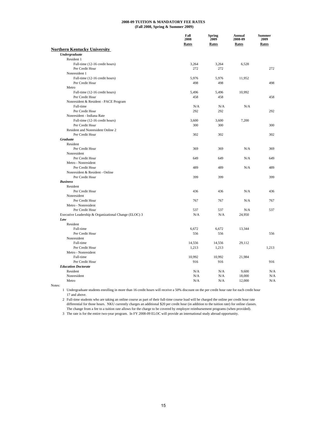|                                                       | Fall<br>2008<br><b>Rates</b> | <b>Spring</b><br>2009<br><b>Rates</b> | Annual<br>2008-09<br>Rates | <b>Summer</b><br>2009<br>Rates |
|-------------------------------------------------------|------------------------------|---------------------------------------|----------------------------|--------------------------------|
| <b>Northern Kentucky University</b>                   |                              |                                       |                            |                                |
| <b>Undergraduate</b>                                  |                              |                                       |                            |                                |
| Resident 1                                            |                              |                                       |                            |                                |
| Full-time (12-16 credit hours)                        | 3,264                        | 3,264                                 | 6,528                      |                                |
| Per Credit Hour                                       | 272                          | 272                                   |                            | 272                            |
| Nonresident 1                                         |                              |                                       |                            |                                |
| Full-time (12-16 credit hours)                        | 5,976                        | 5,976                                 | 11,952                     |                                |
| Per Credit Hour                                       | 498                          | 498                                   |                            | 498                            |
| Metro                                                 |                              |                                       |                            |                                |
| Full-time (12-16 credit hours)                        | 5,496                        | 5,496                                 | 10,992                     |                                |
| Per Credit Hour                                       | 458                          | 458                                   |                            | 458                            |
| Nonresident & Resident - PACE Program                 |                              |                                       |                            |                                |
| Full-time                                             | N/A                          | N/A                                   | N/A                        |                                |
| Per Credit Hour                                       | 292                          | 292                                   |                            | 292                            |
| Nonresident - Indiana Rate                            |                              |                                       |                            |                                |
| Full-time (12-16 credit hours)                        | 3,600                        | 3,600                                 | 7,200                      |                                |
| Per Credit Hour                                       | 300                          | 300                                   |                            | 300                            |
| Resident and Nonresident Online 2                     |                              |                                       |                            |                                |
| Per Credit Hour                                       | 302                          | 302                                   |                            | 302                            |
| <b>Graduate</b>                                       |                              |                                       |                            |                                |
| Resident                                              |                              |                                       |                            |                                |
| Per Credit Hour                                       | 369                          | 369                                   | N/A                        | 369                            |
| Nonresident                                           |                              |                                       |                            |                                |
| Per Credit Hour                                       | 649                          | 649                                   | N/A                        | 649                            |
| Metro - Nonresident                                   |                              |                                       |                            |                                |
| Per Credit Hour                                       | 489                          | 489                                   | N/A                        | 489                            |
| Nonresident & Resident - Online                       |                              |                                       |                            |                                |
| Per Credit Hour                                       | 399                          | 399                                   |                            | 399                            |
| <b>Business</b>                                       |                              |                                       |                            |                                |
| Resident                                              |                              |                                       |                            |                                |
| Per Credit Hour                                       | 436                          | 436                                   | N/A                        | 436                            |
| Nonresident                                           |                              |                                       |                            |                                |
| Per Credit Hour                                       | 767                          | 767                                   | N/A                        | 767                            |
| Metro - Nonresident                                   |                              |                                       |                            |                                |
|                                                       |                              |                                       |                            |                                |
| Per Credit Hour                                       | 537                          | 537                                   | N/A                        | 537                            |
| Executive Leadership & Organizational Change (ELOC) 3 | N/A                          | N/A                                   | 24,950                     |                                |
| Law                                                   |                              |                                       |                            |                                |
| Resident                                              |                              |                                       |                            |                                |
| Full-time                                             | 6,672                        | 6,672                                 | 13,344                     |                                |
| Per Credit Hour                                       | 556                          | 556                                   |                            | 556                            |
| Nonresident                                           |                              |                                       |                            |                                |
| Full-time                                             | 14,556                       | 14,556                                | 29,112                     |                                |
| Per Credit Hour                                       | 1,213                        | 1,213                                 |                            | 1,213                          |
| Metro - Nonresident                                   |                              |                                       |                            |                                |
| Full-time                                             | 10,992                       | 10,992                                | 21,984                     |                                |
| Per Credit Hour                                       | 916                          | 916                                   |                            | 916                            |
| <b>Education Doctorate</b>                            |                              |                                       |                            |                                |
| Resident                                              | N/A                          | N/A                                   | 9,600                      | N/A                            |
| Nonresident                                           | N/A                          | N/A                                   | 18,000                     | N/A                            |
| Metro                                                 | N/A                          | N/A                                   | 12,000                     | N/A                            |

Notes:

1 Undergraduate students enrolling in more than 16 credit hours will receive a 50% discount on the per credit hour rate for each credit hour 17 and above.

2 Full-time students who are taking an online course as part of their full-time course load will be charged the online per credit hour rate differential for those hours. NKU currently charges an additional \$20 per credit hour (in addition to the tuition rate) for online classes. The change from a fee to a tuition rate allows for the charge to be covered by employer reimbursement programs (when provided).

3 The rate is for the entire two-year program. In FY 2008-09 ELOC will provide an international study abroad opportunity.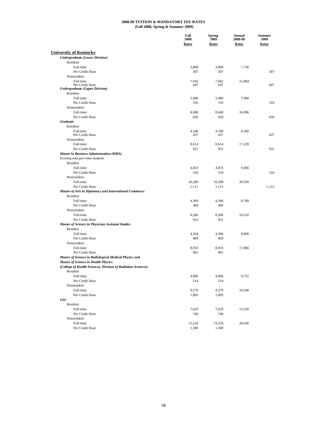|                                                              | Fall<br>2008<br><b>Rates</b> | <b>Spring</b><br>2009<br><b>Rates</b> | Annual<br>2008-09<br><b>Rates</b> | <b>Summer</b><br>2009<br><b>Rates</b> |
|--------------------------------------------------------------|------------------------------|---------------------------------------|-----------------------------------|---------------------------------------|
|                                                              |                              |                                       |                                   |                                       |
| <b>University of Kentucky</b>                                |                              |                                       |                                   |                                       |
| <b>Undergraduate (Lower Division)</b>                        |                              |                                       |                                   |                                       |
| Resident<br>Full-time                                        | 3,868                        | 3,868                                 | 7,736                             |                                       |
| Per Credit Hour                                              | 307                          | 307                                   |                                   | 307                                   |
| Nonresident                                                  |                              |                                       |                                   |                                       |
| Full-time                                                    | 7,942                        | 7,942                                 | 15,884                            |                                       |
| Per Credit Hour                                              | 647                          | 647                                   |                                   | 647                                   |
| <b>Undergraduate (Upper Division)</b>                        |                              |                                       |                                   |                                       |
| Resident                                                     |                              |                                       |                                   |                                       |
| Full-time                                                    | 3,980                        | 3,980                                 | 7,960                             |                                       |
| Per Credit Hour                                              | 316                          | 316                                   |                                   | 316                                   |
| Nonresident                                                  |                              |                                       |                                   |                                       |
| Full-time                                                    | 8,048                        | 8,048                                 | 16,096                            |                                       |
| Per Credit Hour                                              | 656                          | 656                                   |                                   | 656                                   |
| <b>Graduate</b>                                              |                              |                                       |                                   |                                       |
| Resident                                                     |                              |                                       |                                   |                                       |
| Full-time<br>Per Credit Hour                                 | 4,180<br>437                 | 4,180<br>437                          | 8,360                             | 437                                   |
| Nonresident                                                  |                              |                                       |                                   |                                       |
| Full-time                                                    | 8,614                        | 8,614                                 | 17,228                            |                                       |
| Per Credit Hour                                              | 931                          | 931                                   |                                   | 931                                   |
| <b>Master in Business Administration (MBA)</b>               |                              |                                       |                                   |                                       |
| Evening and part-time students                               |                              |                                       |                                   |                                       |
| Resident                                                     |                              |                                       |                                   |                                       |
| Full-time                                                    | 4,833                        | 4,833                                 | 9,666                             |                                       |
| Per Credit Hour                                              | 510                          | 510                                   |                                   | 510                                   |
| Nonresident                                                  |                              |                                       |                                   |                                       |
| Full-time                                                    | 10,280                       | 10,280                                | 20,560                            |                                       |
| Per Credit Hour                                              | 1,115                        | 1,115                                 |                                   | 1,115                                 |
| Master of Arts in Diplomacy and International Commerce       |                              |                                       |                                   |                                       |
| Resident                                                     |                              |                                       |                                   |                                       |
| Full-time                                                    | 4,384                        | 4,384                                 | 8,768                             |                                       |
| Per Credit Hour                                              | 460                          | 460                                   |                                   |                                       |
| Nonresident                                                  |                              |                                       |                                   |                                       |
| Full-time                                                    | 8,266                        | 8,266                                 | 16,532                            |                                       |
| Per Credit Hour                                              | 952                          | 952                                   |                                   |                                       |
| Master of Science in Physician Assistant Studies             |                              |                                       |                                   |                                       |
| Resident                                                     |                              |                                       |                                   |                                       |
| Full-time                                                    | 4,504                        | 4,504                                 | 9,008                             |                                       |
| Per Credit Hour                                              | 469                          | 469                                   |                                   |                                       |
| Nonresident                                                  |                              |                                       |                                   |                                       |
| Full-time                                                    | 8,933                        | 8,933                                 | 17,866                            |                                       |
| Per Credit Hour                                              | 961                          | 961                                   |                                   |                                       |
| Master of Science in Radiological Medical Physics and        |                              |                                       |                                   |                                       |
| <b>Master of Science in Health Physics</b>                   |                              |                                       |                                   |                                       |
| (College of Health Sciences, Division of Radiation Sciences) |                              |                                       |                                   |                                       |
| Resident                                                     |                              |                                       |                                   |                                       |
| Full-time                                                    | 4,866                        | 4,866                                 | 9,732                             |                                       |
| Per Credit Hour                                              | 514                          | 514                                   |                                   |                                       |
| Nonresident                                                  |                              |                                       |                                   |                                       |
| Full-time                                                    | 9,270                        | 9,270                                 | 18,540                            |                                       |
| Per Credit Hour                                              | 1,003                        | 1,003                                 |                                   |                                       |
| Law                                                          |                              |                                       |                                   |                                       |
| Resident                                                     |                              |                                       |                                   |                                       |
| Full-time                                                    | 7,629                        | 7,629                                 | 15,258                            |                                       |
| Per Credit Hour                                              | 740                          | 740                                   |                                   |                                       |
| Nonresident                                                  |                              |                                       |                                   |                                       |
| Full-time                                                    | 13,218                       | 13,218                                | 26,436                            |                                       |
| Per Credit Hour                                              | 1,300                        | 1,300                                 |                                   |                                       |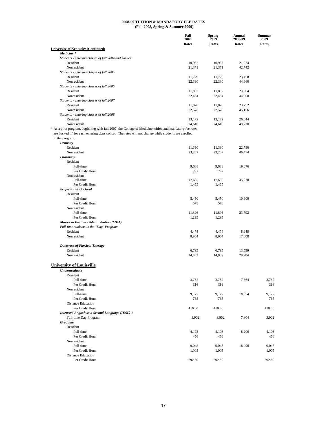|                                                                                                         | Fall                 | Spring               | Annual                  | <b>Summer</b>        |
|---------------------------------------------------------------------------------------------------------|----------------------|----------------------|-------------------------|----------------------|
|                                                                                                         | 2008<br><b>Rates</b> | 2009<br><b>Rates</b> | 2008-09<br><b>Rates</b> | 2009<br><b>Rates</b> |
| <b>University of Kentucky (Continued)</b>                                                               |                      |                      |                         |                      |
| Medicine <sup>*</sup>                                                                                   |                      |                      |                         |                      |
| Students - entering classes of fall 2004 and earlier                                                    |                      |                      |                         |                      |
| Resident                                                                                                | 10,987               | 10,987               | 21,974                  |                      |
| Nonresident                                                                                             | 21,371               | 21,371               | 42,742                  |                      |
| Students - entering classes of fall 2005<br>Resident                                                    |                      |                      |                         |                      |
| Nonresident                                                                                             | 11,729<br>22,330     | 11,729<br>22,330     | 23,458<br>44,660        |                      |
| Students - entering classes of fall 2006                                                                |                      |                      |                         |                      |
| Resident                                                                                                | 11,802               | 11,802               | 23,604                  |                      |
| Nonresident                                                                                             | 22,454               | 22,454               | 44,908                  |                      |
| Students - entering classes of fall 2007                                                                |                      |                      |                         |                      |
| Resident                                                                                                | 11,876               | 11,876               | 23,752                  |                      |
| Nonresident                                                                                             | 22,578               | 22,578               | 45,156                  |                      |
| Students - entering classes of fall 2008                                                                |                      |                      |                         |                      |
| Resident                                                                                                | 13,172               | 13,172               | 26,344                  |                      |
| Nonresident                                                                                             | 24,610               | 24,610               | 49,220                  |                      |
| * As a pilot program, beginning with fall 2007, the College of Medicine tuition and mandatory fee rates |                      |                      |                         |                      |
| are 'locked in' for each entering class cohort. The rates will not change while students are enrolled   |                      |                      |                         |                      |
| in the program.                                                                                         |                      |                      |                         |                      |
| <b>Dentistry</b><br>Resident                                                                            | 11,390               | 11,390               | 22,780                  |                      |
| Nonresident                                                                                             | 23,237               | 23,237               | 46,474                  |                      |
| Pharmacy                                                                                                |                      |                      |                         |                      |
| Resident                                                                                                |                      |                      |                         |                      |
| Full-time                                                                                               | 9,688                | 9,688                | 19,376                  |                      |
| Per Credit Hour                                                                                         | 792                  | 792                  |                         |                      |
| Nonresident                                                                                             |                      |                      |                         |                      |
| Full-time                                                                                               | 17,635               | 17,635               | 35,270                  |                      |
| Per Credit Hour                                                                                         | 1,455                | 1,455                |                         |                      |
| <b>Professional Doctoral</b>                                                                            |                      |                      |                         |                      |
| Resident<br>Full-time                                                                                   | 5,450                | 5,450                |                         |                      |
| Per Credit Hour                                                                                         | 578                  | 578                  | 10,900                  |                      |
| Nonresident                                                                                             |                      |                      |                         |                      |
| Full-time                                                                                               | 11,896               | 11,896               | 23,792                  |                      |
| Per Credit Hour                                                                                         | 1,295                | 1,295                |                         |                      |
| <b>Master in Business Administration (MBA)</b>                                                          |                      |                      |                         |                      |
| Full-time students in the "Day" Program                                                                 |                      |                      |                         |                      |
| Resident                                                                                                | 4,474                | 4,474                | 8,948                   |                      |
| Nonresident                                                                                             | 8,904                | 8,904                | 17,808                  |                      |
|                                                                                                         |                      |                      |                         |                      |
| <b>Doctorate of Physical Therapy</b>                                                                    |                      |                      |                         |                      |
| Resident<br>Nonresident                                                                                 | 6,795                | 6,795                | 13,590                  |                      |
|                                                                                                         | 14,852               | 14,852               | 29,704                  |                      |
| <b>University of Louisville</b>                                                                         |                      |                      |                         |                      |
|                                                                                                         |                      |                      |                         |                      |
| <b>Undergraduate</b><br>Resident                                                                        |                      |                      |                         |                      |
| Full-time                                                                                               | 3,782                | 3,782                | 7,564                   | 3,782                |
| Per Credit Hour                                                                                         | 316                  | 316                  |                         | 316                  |
| Nonresident                                                                                             |                      |                      |                         |                      |
| Full-time                                                                                               | 9,177                | 9,177                | 18,354                  | 9,177                |
| Per Credit Hour                                                                                         | 765                  | 765                  |                         | 765                  |
| <b>Distance Education</b>                                                                               |                      |                      |                         |                      |
| Per Credit Hour                                                                                         | 410.80               | 410.80               |                         | 410.80               |
| Intensive English as a Second Language (IESL) 1                                                         |                      |                      |                         |                      |
| Full-time Day Program                                                                                   | 3,902                | 3,902                | 7,804                   | 3,902                |
| <b>Graduate</b>                                                                                         |                      |                      |                         |                      |
| Resident                                                                                                |                      |                      |                         |                      |
| Full-time                                                                                               | 4,103                | 4,103                | 8,206                   | 4,103                |
| Per Credit Hour<br>Nonresident                                                                          | 456                  | 456                  |                         | 456                  |
| Full-time                                                                                               | 9,045                | 9,045                | 18,090                  | 9,045                |
| Per Credit Hour                                                                                         | 1,005                | 1,005                |                         | 1,005                |
| <b>Distance Education</b>                                                                               |                      |                      |                         |                      |
| Per Credit Hour                                                                                         | 592.80               | 592.80               |                         | 592.80               |
|                                                                                                         |                      |                      |                         |                      |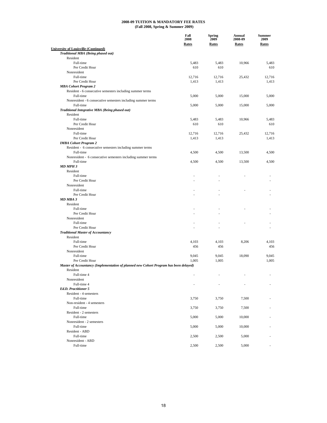|                                                                                       | Fall<br>2008<br><b>Rates</b> | <b>Spring</b><br>2009<br><b>Rates</b> | Annual<br>2008-09<br>Rates | <b>Summer</b><br>2009<br><b>Rates</b> |
|---------------------------------------------------------------------------------------|------------------------------|---------------------------------------|----------------------------|---------------------------------------|
| <b>University of Louisville (Continued)</b>                                           |                              |                                       |                            |                                       |
| Traditional MBA (Being phased out)                                                    |                              |                                       |                            |                                       |
| Resident                                                                              |                              |                                       |                            |                                       |
| Full-time                                                                             | 5,483                        | 5,483                                 | 10,966                     | 5,483                                 |
| Per Credit Hour                                                                       | 610                          | 610                                   |                            | 610                                   |
| Nonresident                                                                           |                              |                                       |                            |                                       |
| Full-time                                                                             | 12,716                       | 12,716                                | 25,432                     | 12,716                                |
| Per Credit Hour<br><b>MBA Cohort Program 2</b>                                        | 1,413                        | 1,413                                 |                            | 1,413                                 |
| Resident - 6 consecutive semesters including summer terms                             |                              |                                       |                            |                                       |
| Full-time                                                                             | 5,000                        | 5,000                                 | 15,000                     | 5,000                                 |
| Nonresident - 6 consecutive semesters including summer terms                          |                              |                                       |                            |                                       |
| Full-time                                                                             | 5,000                        | 5,000                                 | 15,000                     | 5,000                                 |
| Traditional Integrative MBA (Being phased out)                                        |                              |                                       |                            |                                       |
| Resident                                                                              |                              |                                       |                            |                                       |
| Full-time                                                                             | 5,483                        | 5,483                                 | 10,966                     | 5,483                                 |
| Per Credit Hour                                                                       | 610                          | 610                                   |                            | 610                                   |
| Nonresident                                                                           |                              |                                       |                            |                                       |
| Full-time                                                                             | 12,716                       | 12,716                                | 25,432                     | 12,716                                |
| Per Credit Hour                                                                       | 1,413                        | 1,413                                 |                            | 1,413                                 |
| <b>IMBA Cohort Program 2</b>                                                          |                              |                                       |                            |                                       |
| Resident - 6 consecutive semesters including summer terms                             |                              |                                       |                            |                                       |
| Full-time                                                                             | 4,500                        | 4,500                                 | 13,500                     | 4,500                                 |
| Nonresident - 6 consecutive semesters including summer terms                          |                              |                                       |                            |                                       |
| Full-time                                                                             | 4,500                        | 4,500                                 | 13,500                     | 4,500                                 |
| MD MPH 3                                                                              |                              |                                       |                            |                                       |
| Resident                                                                              |                              |                                       |                            |                                       |
| Full-time                                                                             | ä,                           |                                       |                            |                                       |
| Per Credit Hour                                                                       |                              |                                       |                            |                                       |
| Nonresident                                                                           |                              |                                       |                            |                                       |
| Full-time                                                                             |                              |                                       |                            |                                       |
| Per Credit Hour                                                                       |                              |                                       |                            |                                       |
| MD MBA 3                                                                              |                              |                                       |                            |                                       |
| Resident                                                                              |                              |                                       |                            |                                       |
| Full-time                                                                             |                              |                                       |                            |                                       |
| Per Credit Hour                                                                       |                              |                                       |                            |                                       |
| Nonresident                                                                           |                              |                                       |                            |                                       |
| Full-time                                                                             |                              |                                       |                            |                                       |
| Per Credit Hour                                                                       |                              |                                       |                            |                                       |
| <b>Traditional Master of Accountancy</b>                                              |                              |                                       |                            |                                       |
| Resident                                                                              |                              |                                       |                            |                                       |
| Full-time                                                                             | 4,103                        | 4,103                                 | 8,206                      | 4,103                                 |
| Per Credit Hour                                                                       | 456                          | 456                                   |                            | 456                                   |
| Nonresident                                                                           |                              |                                       |                            |                                       |
| Full-time                                                                             | 9,045                        | 9,045                                 | 18,090                     | 9.045                                 |
| Per Credit Hour                                                                       | 1,005                        | 1,005                                 |                            | 1,005                                 |
| Master of Accountancy (Implementation of planned new Cohort Program has been delayed) |                              |                                       |                            |                                       |
| Resident                                                                              |                              |                                       |                            |                                       |
| Full-time 4                                                                           |                              |                                       |                            |                                       |
| Nonresident                                                                           |                              |                                       |                            |                                       |
| Full-time 4                                                                           |                              |                                       |                            |                                       |
| Ed.D. Practitioner 5                                                                  |                              |                                       |                            |                                       |
| Resident - 4 semesters                                                                |                              |                                       |                            |                                       |
| Full-time                                                                             | 3,750                        | 3,750                                 | 7,500                      |                                       |
| Non-resident - 4 semesters                                                            |                              |                                       |                            |                                       |
| Full-time                                                                             | 3,750                        | 3,750                                 | 7,500                      |                                       |
| Resident - 2 semesters                                                                |                              |                                       |                            |                                       |
| Full-time                                                                             | 5,000                        | 5,000                                 | 10,000                     |                                       |
| Nonresident - 2 semesters                                                             |                              |                                       |                            |                                       |
| Full-time                                                                             | 5,000                        | 5,000                                 | 10,000                     |                                       |
| Resident - ABD                                                                        |                              |                                       |                            |                                       |
| Full-time                                                                             | 2,500                        | 2,500                                 | 5,000                      |                                       |
| Nonresident - ABD                                                                     |                              |                                       |                            |                                       |
| Full-time                                                                             | 2,500                        | 2,500                                 | 5,000                      |                                       |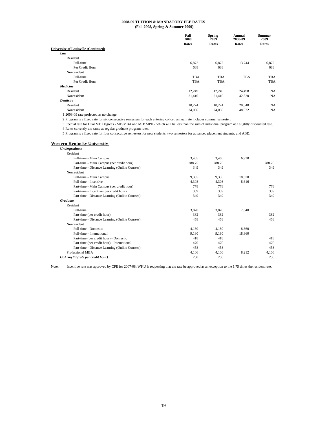|                                             | Fall<br>2008 | <b>Spring</b><br>2009 | Annual<br>2008-09 | <b>Summer</b><br>2009 |
|---------------------------------------------|--------------|-----------------------|-------------------|-----------------------|
|                                             | Rates        | Rates                 | Rates             | Rates                 |
| <b>University of Louisville (Continued)</b> |              |                       |                   |                       |
| Law                                         |              |                       |                   |                       |
| Resident                                    |              |                       |                   |                       |
| Full-time                                   | 6,872        | 6,872                 | 13,744            | 6,872                 |
| Per Credit Hour                             | 688          | 688                   |                   | 688                   |
| Nonresident                                 |              |                       |                   |                       |
| Full-time                                   | TBA          | <b>TBA</b>            | TBA               | TBA                   |
| Per Credit Hour                             | TBA          | <b>TBA</b>            |                   | TBA                   |
| Medicine                                    |              |                       |                   |                       |
| Resident                                    | 12,249       | 12,249                | 24,498            | NA                    |
| Nonresident                                 | 21,410       | 21,410                | 42,820            | <b>NA</b>             |
| Dentistry                                   |              |                       |                   |                       |
| Resident                                    | 10,274       | 10,274                | 20,548            | <b>NA</b>             |
| Nonresident                                 | 24,036       | 24,036                | 48,072            | <b>NA</b>             |
|                                             |              |                       |                   |                       |

1 2008-09 rate projected as no change.

2 Program is a fixed rate for six consecutive semesters for each entering cohort; annual rate includes summer semester.

3 Special rate for Dual MD Degrees - MD/MBA and MD/ MPH - which will be less than the sum of individual program at a slightly discounted rate.

4 Rates currently the same as regular graduate program rates.

5 Program is a fixed rate for four consecutive semesters for new students, two semesters for advanced placement students, and ABD.

#### **Western Kentucky University**

| Undergraduate                                  |        |        |        |        |
|------------------------------------------------|--------|--------|--------|--------|
| Resident                                       |        |        |        |        |
| Full-time - Main Campus                        | 3,465  | 3,465  | 6,930  |        |
| Part-time - Main Campus (per credit hour)      | 288.75 | 288.75 |        | 288.75 |
| Part-time - Distance Learning (Online Courses) | 349    | 349    |        | 349    |
| Nonresident                                    |        |        |        |        |
| Full-time - Main Campus                        | 9,335  | 9,335  | 18,670 |        |
| Full-time - Incentive                          | 4,308  | 4,308  | 8,616  |        |
| Part-time - Main Campus (per credit hour)      | 778    | 778    |        | 778    |
| Part-time - Incentive (per credit hour)        | 359    | 359    |        | 359    |
| Part-time - Distance Learning (Online Courses) | 349    | 349    |        | 349    |
| <b>Graduate</b>                                |        |        |        |        |
| Resident                                       |        |        |        |        |
| Full-time                                      | 3,820  | 3,820  | 7,640  |        |
| Part-time (per credit hour)                    | 382    | 382    |        | 382    |
| Part-time - Distance Learning (Online Courses) | 458    | 458    |        | 458    |
| Nonresident                                    |        |        |        |        |
| Full-time - Domestic                           | 4,180  | 4,180  | 8,360  |        |
| Full-time - International                      | 9,180  | 9,180  | 18,360 |        |
| Part-time (per credit hour) - Domestic         | 418    | 418    |        | 418    |
| Part-time (per credit hour) - International    | 470    | 470    |        | 470    |
| Part-time - Distance Learning (Online Courses) | 458    | 458    |        | 458    |
| Professional MBA                               | 4.106  | 4.106  | 8,212  | 4,106  |
| GoArmyEd (rate per credit hour)                | 250    | 250    |        | 250    |

Note: Incentive rate was approved by CPE for 2007-08; WKU is requesting that the rate be approved as an exception to the 1.75 times the resident rate.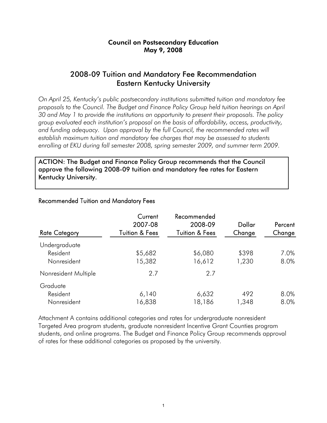### Council on Postsecondary Education May 9, 2008

## 2008-09 Tuition and Mandatory Fee Recommendation Eastern Kentucky University

*On April 25, Kentucky's public postsecondary institutions submitted tuition and mandatory fee proposals to the Council. The Budget and Finance Policy Group held tuition hearings on April 30 and May 1 to provide the institutions an opportunity to present their proposals. The policy group evaluated each institution's proposal on the basis of affordability, access, productivity,*  and funding adequacy. Upon approval by the full Council, the recommended rates will *establish maximum tuition and mandatory fee charges that may be assessed to students enrolling at EKU during fall semester 2008, spring semester 2009, and summer term 2009.* 

ACTION: The Budget and Finance Policy Group recommends that the Council approve the following 2008-09 tuition and mandatory fee rates for Eastern Kentucky University.

| <b>Rate Category</b> | Current<br>2007-08<br>Tuition & Fees | Recommended<br>2008-09<br><b>Tuition &amp; Fees</b> | Dollar<br>Change | Percent<br>Change |
|----------------------|--------------------------------------|-----------------------------------------------------|------------------|-------------------|
| Undergraduate        |                                      |                                                     |                  |                   |
| Resident             | \$5,682                              | \$6,080                                             | \$398            | 7.0%              |
| Nonresident          | 15,382                               | 16,612                                              | 1,230            | 8.0%              |
| Nonresident Multiple | 2.7                                  | 2.7                                                 |                  |                   |
| Graduate             |                                      |                                                     |                  |                   |
| Resident             | 6,140                                | 6,632                                               | 492              | 8.0%              |
| Nonresident          | 16,838                               | 18,186                                              | 348, 1           | 8.0%              |

### Recommended Tuition and Mandatory Fees

Attachment A contains additional categories and rates for undergraduate nonresident Targeted Area program students, graduate nonresident Incentive Grant Counties program students, and online programs. The Budget and Finance Policy Group recommends approval of rates for these additional categories as proposed by the university.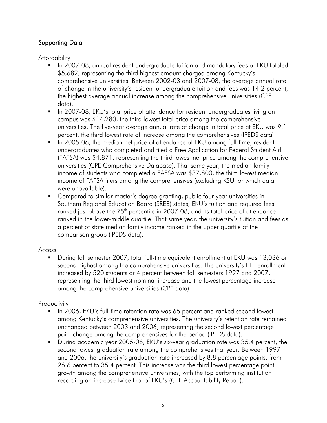## Supporting Data

Affordability

- In 2007-08, annual resident undergraduate tuition and mandatory fees at EKU totaled \$5,682, representing the third highest amount charged among Kentucky's comprehensive universities. Between 2002-03 and 2007-08, the average annual rate of change in the university's resident undergraduate tuition and fees was 14.2 percent, the highest average annual increase among the comprehensive universities (CPE data).
- **IF In 2007-08, EKU's total price of attendance for resident undergraduates living on** campus was \$14,280, the third lowest total price among the comprehensive universities. The five-year average annual rate of change in total price at EKU was 9.1 percent, the third lowest rate of increase among the comprehensives (IPEDS data).
- In 2005-06, the median net price of attendance at EKU among full-time, resident undergraduates who completed and filed a Free Application for Federal Student Aid (FAFSA) was \$4,871, representing the third lowest net price among the comprehensive universities (CPE Comprehensive Database). That same year, the median family income of students who completed a FAFSA was \$37,800, the third lowest median income of FAFSA filers among the comprehensives (excluding KSU for which data were unavailable).
- Compared to similar master's degree-granting, public four-year universities in Southern Regional Education Board (SREB) states, EKU's tuition and required fees ranked just above the  $75<sup>th</sup>$  percentile in 2007-08, and its total price of attendance ranked in the lower-middle quartile. That same year, the university's tuition and fees as a percent of state median family income ranked in the upper quartile of the comparison group (IPEDS data).

### Access

 During fall semester 2007, total full-time equivalent enrollment at EKU was 13,036 or second highest among the comprehensive universities. The university's FTE enrollment increased by 520 students or 4 percent between fall semesters 1997 and 2007, representing the third lowest nominal increase and the lowest percentage increase among the comprehensive universities (CPE data).

## **Productivity**

- **IF In 2006, EKU's full-time retention rate was 65 percent and ranked second lowest** among Kentucky's comprehensive universities. The university's retention rate remained unchanged between 2003 and 2006, representing the second lowest percentage point change among the comprehensives for the period (IPEDS data).
- During academic year 2005-06, EKU's six-year graduation rate was 35.4 percent, the second lowest graduation rate among the comprehensives that year. Between 1997 and 2006, the university's graduation rate increased by 8.8 percentage points, from 26.6 percent to 35.4 percent. This increase was the third lowest percentage point growth among the comprehensive universities, with the top performing institution recording an increase twice that of EKU's (CPE Accountability Report).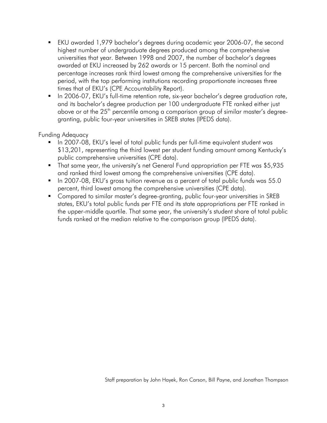- EKU awarded 1,979 bachelor's degrees during academic year 2006-07, the second highest number of undergraduate degrees produced among the comprehensive universities that year. Between 1998 and 2007, the number of bachelor's degrees awarded at EKU increased by 262 awards or 15 percent. Both the nominal and percentage increases rank third lowest among the comprehensive universities for the period, with the top performing institutions recording proportionate increases three times that of EKU's (CPE Accountability Report).
- In 2006-07, EKU's full-time retention rate, six-year bachelor's degree graduation rate, and its bachelor's degree production per 100 undergraduate FTE ranked either just above or at the  $25<sup>th</sup>$  percentile among a comparison group of similar master's degreegranting, public four-year universities in SREB states (IPEDS data).

### Funding Adequacy

- In 2007-08, EKU's level of total public funds per full-time equivalent student was \$13,201, representing the third lowest per student funding amount among Kentucky's public comprehensive universities (CPE data).
- That same year, the university's net General Fund appropriation per FTE was \$5,935 and ranked third lowest among the comprehensive universities (CPE data).
- In 2007-08, EKU's gross tuition revenue as a percent of total public funds was 55.0 percent, third lowest among the comprehensive universities (CPE data).
- Compared to similar master's degree-granting, public four-year universities in SREB states, EKU's total public funds per FTE and its state appropriations per FTE ranked in the upper-middle quartile. That same year, the university's student share of total public funds ranked at the median relative to the comparison group (IPEDS data).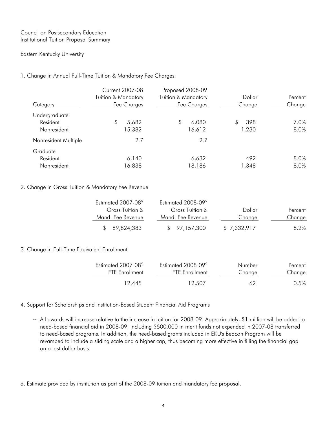### Council on Postsecondary Education Institutional Tuition Proposal Summary

### Eastern Kentucky University

### 1. Change in Annual Full-Time Tuition & Mandatory Fee Charges

| Category                                 | <b>Current 2007-08</b><br><b>Tuition &amp; Mandatory</b><br>Fee Charges | Proposed 2008-09<br><b>Tuition &amp; Mandatory</b><br>Fee Charges | Dollar<br>Change   | Percent<br>Change |
|------------------------------------------|-------------------------------------------------------------------------|-------------------------------------------------------------------|--------------------|-------------------|
| Undergraduate<br>Resident<br>Nonresident | 5,682<br>15,382                                                         | \$<br>6,080<br>16,612                                             | 398<br>\$<br>1,230 | 7.0%<br>8.0%      |
| Nonresident Multiple                     | 2.7                                                                     | 2.7                                                               |                    |                   |
| Graduate<br>Resident<br>Nonresident      | 6,140<br>6,838                                                          | 6,632<br>18,186                                                   | 492<br>1,348       | 8.0%<br>8.0%      |

### 2. Change in Gross Tuition & Mandatory Fee Revenue

| Estimated 2007-08 <sup>a</sup> | Estimated 2008-09 <sup>a</sup> |             |         |
|--------------------------------|--------------------------------|-------------|---------|
| Gross Tuition &                | Gross Tuition &                | Dollar      | Percent |
| Mand. Fee Revenue              | Mand. Fee Revenue              | Change      | Change  |
| \$89,824,383                   | \$97,157,300                   | \$7,332,917 | 8.2%    |

### 3. Change in Full-Time Equivalent Enrollment

| Estimated 2007-08 <sup>a</sup> | Estimated 2008-09 <sup>a</sup> | Number | Percent |
|--------------------------------|--------------------------------|--------|---------|
| <b>FTE Enrollment</b>          | <b>FTE Enrollment</b>          | Change | Change  |
| 12.445                         | 12.507                         | 67     | 0.5%    |

### 4. Support for Scholarships and Institution-Based Student Financial Aid Programs

-- All awards will increase relative to the increase in tuition for 2008-09. Approximately, \$1 million will be added to need-based financial aid in 2008-09, including \$500,000 in merit funds not expended in 2007-08 transferred to need-based programs. In addition, the need-based grants included in EKU's Beacon Program will be revamped to include a sliding scale and a higher cap, thus becoming more effective in filling the financial gap on a last dollar basis.

a. Estimate provided by institution as part of the 2008-09 tuition and mandatory fee proposal.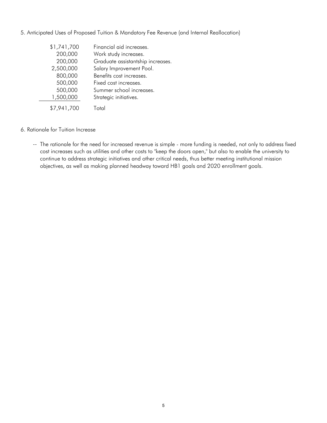|  | 5. Anticipated Uses of Proposed Tuition & Mandatory Fee Revenue (and Internal Reallocation) |  |  |
|--|---------------------------------------------------------------------------------------------|--|--|
|  |                                                                                             |  |  |

| \$1,741,700 | Financial aid increases.          |
|-------------|-----------------------------------|
|             |                                   |
| 200,000     | Work study increases.             |
| 200,000     | Graduate assistantship increases. |
| 2,500,000   | Salary Improvement Pool.          |
| 800,000     | Benefits cost increases.          |
| 500,000     | Fixed cost increases.             |
| 500,000     | Summer school increases.          |
| 1,500,000   | Strategic initiatives.            |
| \$7,941,700 | Total                             |

- 6. Rationale for Tuition Increase
	- -- The rationale for the need for increased revenue is simple more funding is needed, not only to address fixed cost increases such as utilities and other costs to "keep the doors open," but also to enable the university to continue to address strategic initiatives and other critical needs, thus better meeting institutional mission objectives, as well as making planned headway toward HB1 goals and 2020 enrollment goals.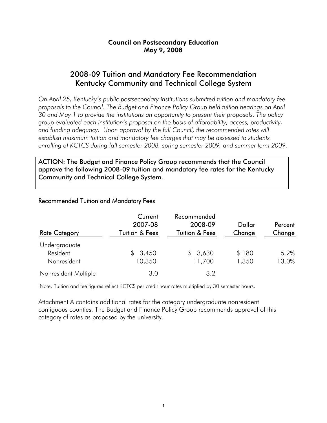### Council on Postsecondary Education May 9, 2008

## 2008-09 Tuition and Mandatory Fee Recommendation Kentucky Community and Technical College System

*On April 25, Kentucky's public postsecondary institutions submitted tuition and mandatory fee proposals to the Council. The Budget and Finance Policy Group held tuition hearings on April 30 and May 1 to provide the institutions an opportunity to present their proposals. The policy group evaluated each institution's proposal on the basis of affordability, access, productivity,*  and funding adequacy. Upon approval by the full Council, the recommended rates will *establish maximum tuition and mandatory fee charges that may be assessed to students enrolling at KCTCS during fall semester 2008, spring semester 2009, and summer term 2009.* 

ACTION: The Budget and Finance Policy Group recommends that the Council approve the following 2008-09 tuition and mandatory fee rates for the Kentucky Community and Technical College System.

### Recommended Tuition and Mandatory Fees

| <b>Rate Category</b>                     | Current<br>2007-08<br>Tuition & Fees | Recommended<br>2008-09<br><b>Tuition &amp; Fees</b> | Dollar<br>Change | Percent<br>Change |
|------------------------------------------|--------------------------------------|-----------------------------------------------------|------------------|-------------------|
| Undergraduate<br>Resident<br>Nonresident | 3,450<br>S.<br>10,350                | \$3,630<br>11,700                                   | \$180<br>1,350   | 5.2%<br>13.0%     |
| Nonresident Multiple                     | 3.0                                  | 3.2                                                 |                  |                   |

Note: Tuition and fee figures reflect KCTCS per credit hour rates multiplied by 30 semester hours.

Attachment A contains additional rates for the category undergraduate nonresident contiguous counties. The Budget and Finance Policy Group recommends approval of this category of rates as proposed by the university.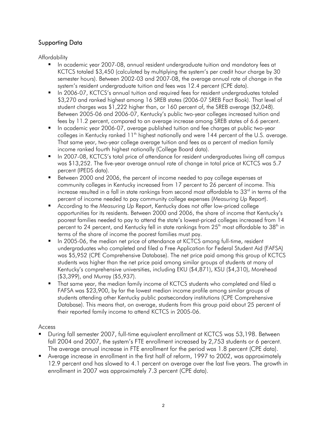## Supporting Data

Affordability

- In academic year 2007-08, annual resident undergraduate tuition and mandatory fees at KCTCS totaled \$3,450 (calculated by multiplying the system's per credit hour charge by 30 semester hours). Between 2002-03 and 2007-08, the average annual rate of change in the system's resident undergraduate tuition and fees was 12.4 percent (CPE data).
- In 2006-07, KCTCS's annual tuition and required fees for resident undergraduates totaled \$3,270 and ranked highest among 16 SREB states (2006-07 SREB Fact Book). That level of student charges was \$1,222 higher than, or 160 percent of, the SREB average (\$2,048). Between 2005-06 and 2006-07, Kentucky's public two-year colleges increased tuition and fees by 11.2 percent, compared to an average increase among SREB states of 6.6 percent.
- In academic year 2006-07, average published tuition and fee charges at public two-year colleges in Kentucky ranked  $11<sup>th</sup>$  highest nationally and were 144 percent of the U.S. average. That same year, two-year college average tuition and fees as a percent of median family income ranked fourth highest nationally (College Board data).
- In 2007-08, KCTCS's total price of attendance for resident undergraduates living off campus was \$13,252. The five-year average annual rate of change in total price at KCTCS was 5.7 percent (IPEDS data).
- Between 2000 and 2006, the percent of income needed to pay college expenses at community colleges in Kentucky increased from 17 percent to 26 percent of income. This increase resulted in a fall in state rankings from second most affordable to 33 $^{\rm rd}$  in terms of the percent of income needed to pay community college expenses (*Measuring Up* Report).
- According to the *Measuring Up* Report, Kentucky does not offer low-priced college opportunities for its residents. Between 2000 and 2006, the share of income that Kentucky's poorest families needed to pay to attend the state's lowest-priced colleges increased from 14 percent to 24 percent, and Kentucky fell in state rankings from  $25<sup>th</sup>$  most affordable to  $38<sup>th</sup>$  in terms of the share of income the poorest families must pay.
- In 2005-06, the median net price of attendance at KCTCS among full-time, resident undergraduates who completed and filed a Free Application for Federal Student Aid (FAFSA) was \$5,952 (CPE Comprehensive Database). The net price paid among this group of KCTCS students was higher than the net price paid among similar groups of students at many of Kentucky's comprehensive universities, including EKU (\$4,871), KSU (\$4,310), Morehead (\$3,399), and Murray (\$5,937).
- That same year, the median family income of KCTCS students who completed and filed a FAFSA was \$23,900, by far the lowest median income profile among similar groups of students attending other Kentucky public postsecondary institutions (CPE Comprehensive Database). This means that, on average, students from this group paid about 25 percent of their reported family income to attend KCTCS in 2005-06.

### Access

- During fall semester 2007, full-time equivalent enrollment at KCTCS was 53,198. Between fall 2004 and 2007, the system's FTE enrollment increased by 2,753 students or 6 percent. The average annual increase in FTE enrollment for the period was 1.8 percent (CPE data).
- Average increase in enrollment in the first half of reform, 1997 to 2002, was approximately 12.9 percent and has slowed to 4.1 percent on average over the last five years. The growth in enrollment in 2007 was approximately 7.3 percent (CPE data).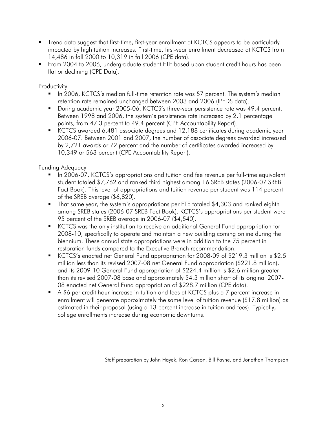- Trend data suggest that first-time, first-year enrollment at KCTCS appears to be particularly impacted by high tuition increases. First-time, first-year enrollment decreased at KCTCS from 14,486 in fall 2000 to 10,319 in fall 2006 (CPE data).
- From 2004 to 2006, undergraduate student FTE based upon student credit hours has been flat or declining (CPE Data).

**Productivity** 

- In 2006, KCTCS's median full-time retention rate was 57 percent. The system's median retention rate remained unchanged between 2003 and 2006 (IPEDS data).
- During academic year 2005-06, KCTCS's three-year persistence rate was 49.4 percent. Between 1998 and 2006, the system's persistence rate increased by 2.1 percentage points, from 47.3 percent to 49.4 percent (CPE Accountability Report).
- KCTCS awarded 6,481 associate degrees and 12,188 certificates during academic year 2006-07. Between 2001 and 2007, the number of associate degrees awarded increased by 2,721 awards or 72 percent and the number of certificates awarded increased by 10,349 or 563 percent (CPE Accountability Report).

Funding Adequacy

- In 2006-07, KCTCS's appropriations and tuition and fee revenue per full-time equivalent student totaled \$7,762 and ranked third highest among 16 SREB states (2006-07 SREB Fact Book). This level of appropriations and tuition revenue per student was 114 percent of the SREB average (\$6,820).
- That same year, the system's appropriations per FTE totaled \$4,303 and ranked eighth among SREB states (2006-07 SREB Fact Book). KCTCS's appropriations per student were 95 percent of the SREB average in 2006-07 (\$4,540).
- **KCTCS** was the only institution to receive an additional General Fund appropriation for 2008-10, specifically to operate and maintain a new building coming online during the biennium. These annual state appropriations were in addition to the 75 percent in restoration funds compared to the Executive Branch recommendation.
- KCTCS's enacted net General Fund appropriation for 2008-09 of \$219.3 million is \$2.5 million less than its revised 2007-08 net General Fund appropriation (\$221.8 million), and its 2009-10 General Fund appropriation of \$224.4 million is \$2.6 million greater than its revised 2007-08 base and approximately \$4.3 million short of its original 2007- 08 enacted net General Fund appropriation of \$228.7 million (CPE data).
- A \$6 per credit hour increase in tuition and fees at KCTCS plus a 7 percent increase in enrollment will generate approximately the same level of tuition revenue (\$17.8 million) as estimated in their proposal (using a 13 percent increase in tuition and fees). Typically, college enrollments increase during economic downturns.

Staff preparation by John Hayek, Ron Carson, Bill Payne, and Jonathan Thompson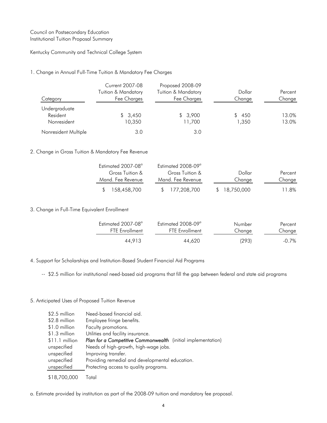### Council on Postsecondary Education Institutional Tuition Proposal Summary

#### Kentucky Community and Technical College System

#### 1. Change in Annual Full-Time Tuition & Mandatory Fee Charges

| Category                                 | Current 2007-08<br>Tuition & Mandatory<br>Fee Charges | Proposed 2008-09<br>Tuition & Mandatory<br>Fee Charges | Dollar<br>Change | Percent<br>Change |
|------------------------------------------|-------------------------------------------------------|--------------------------------------------------------|------------------|-------------------|
| Undergraduate<br>Resident<br>Nonresident | \$3,450<br>10,350                                     | \$3,900<br>11,700                                      | 450<br>1,350     | 13.0%<br>13.0%    |
| Nonresident Multiple                     | 3.0                                                   | 3.0                                                    |                  |                   |

#### 2. Change in Gross Tuition & Mandatory Fee Revenue

| Estimated 2007-08 <sup>a</sup> | Estimated $2008-09^\circ$ |              |         |
|--------------------------------|---------------------------|--------------|---------|
| Gross Tuition &                | Gross Tuition &           | Dollar       | Percent |
| Mand. Fee Revenue              | Mand. Fee Revenue         | Change       | Change  |
| \$ 158,458,700                 | \$ 177,208,700            | \$18.750.000 | 11.8%   |

#### 3. Change in Full-Time Equivalent Enrollment

| Estimated 2007-08 <sup>a</sup> | Estimated $2008-09^\circ$ | Number | Percent  |
|--------------------------------|---------------------------|--------|----------|
| <b>FTE Enrollment</b>          | <b>FTF</b> Fnrollment     | Change | Change   |
| 44.913                         | 44,620                    | (293)  | $-0.7\%$ |

4. Support for Scholarships and Institution-Based Student Financial Aid Programs

-- \$2.5 million for institutional need-based aid programs that fill the gap between federal and state aid programs

#### 5. Anticipated Uses of Proposed Tuition Revenue

| \$2.5 million  | Need-based financial aid.                                    |
|----------------|--------------------------------------------------------------|
| \$2.8 million  | Employee fringe benefits.                                    |
| \$1.0 million  | Faculty promotions.                                          |
| \$1.3 million  | Utilities and facility insurance.                            |
| \$11.1 million | Plan for a Competitive Commonwealth (initial implementation) |
| unspecified    | Needs of high-growth, high-wage jobs.                        |
| unspecified    | Improving transfer.                                          |
| unspecified    | Providing remedial and developmental education.              |
| unspecified    | Protecting access to quality programs.                       |
| \$18,700,000   | Total                                                        |

a. Estimate provided by institution as part of the 2008-09 tuition and mandatory fee proposal.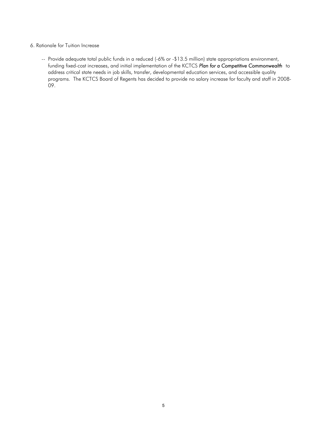#### 6. Rationale for Tuition Increase

-- Provide adequate total public funds in a reduced (-6% or -\$13.5 million) state appropriations environment, funding fixed-cost increases, and initial implementation of the KCTCS *Plan for a Competitive Commonwealth* to address critical state needs in job skills, transfer, developmental education services, and accessible quality programs. The KCTCS Board of Regents has decided to provide no salary increase for faculty and staff in 2008- 09.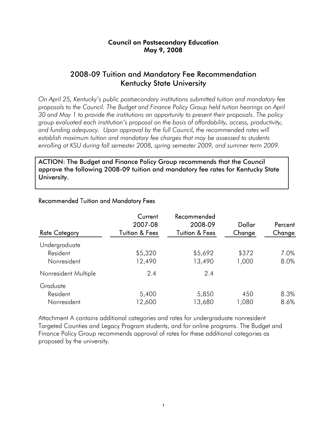### Council on Postsecondary Education May 9, 2008

## 2008-09 Tuition and Mandatory Fee Recommendation Kentucky State University

*On April 25, Kentucky's public postsecondary institutions submitted tuition and mandatory fee proposals to the Council. The Budget and Finance Policy Group held tuition hearings on April 30 and May 1 to provide the institutions an opportunity to present their proposals. The policy group evaluated each institution's proposal on the basis of affordability, access, productivity,*  and funding adequacy. Upon approval by the full Council, the recommended rates will *establish maximum tuition and mandatory fee charges that may be assessed to students enrolling at KSU during fall semester 2008, spring semester 2009, and summer term 2009.* 

ACTION: The Budget and Finance Policy Group recommends that the Council approve the following 2008-09 tuition and mandatory fee rates for Kentucky State University.

| <b>Rate Category</b> | Current<br>2007-08<br><b>Tuition &amp; Fees</b> | Recommended<br>2008-09<br><b>Tuition &amp; Fees</b> | Dollar<br>Change | Percent<br>Change |
|----------------------|-------------------------------------------------|-----------------------------------------------------|------------------|-------------------|
| Undergraduate        |                                                 |                                                     |                  |                   |
| Resident             | \$5,320                                         | \$5,692                                             | \$372            | 7.0%              |
| Nonresident          | 12,490                                          | 13,490                                              | 1,000            | 8.0%              |
| Nonresident Multiple | 2.4                                             | 2.4                                                 |                  |                   |
| Graduate             |                                                 |                                                     |                  |                   |
| Resident             | 5,400                                           | 5,850                                               | 450              | 8.3%              |
| Nonresident          | 12,600                                          | 13,680                                              | 1,080            | 8.6%              |

### Recommended Tuition and Mandatory Fees

Attachment A contains additional categories and rates for undergraduate nonresident Targeted Counties and Legacy Program students, and for online programs. The Budget and Finance Policy Group recommends approval of rates for these additional categories as proposed by the university.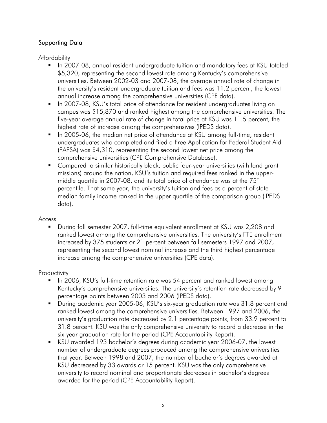## Supporting Data

Affordability

- **IF In 2007-08, annual resident undergraduate tuition and mandatory fees at KSU totaled** \$5,320, representing the second lowest rate among Kentucky's comprehensive universities. Between 2002-03 and 2007-08, the average annual rate of change in the university's resident undergraduate tuition and fees was 11.2 percent, the lowest annual increase among the comprehensive universities (CPE data).
- **IF In 2007-08, KSU's total price of attendance for resident undergraduates living on** campus was \$15,870 and ranked highest among the comprehensive universities. The five-year average annual rate of change in total price at KSU was 11.5 percent, the highest rate of increase among the comprehensives (IPEDS data).
- In 2005-06, the median net price of attendance at KSU among full-time, resident undergraduates who completed and filed a Free Application for Federal Student Aid (FAFSA) was \$4,310, representing the second lowest net price among the comprehensive universities (CPE Comprehensive Database).
- Compared to similar historically black, public four-year universities (with land grant missions) around the nation, KSU's tuition and required fees ranked in the uppermiddle quartile in 2007-08, and its total price of attendance was at the  $75<sup>th</sup>$ percentile. That same year, the university's tuition and fees as a percent of state median family income ranked in the upper quartile of the comparison group (IPEDS data).

### Access

 During fall semester 2007, full-time equivalent enrollment at KSU was 2,208 and ranked lowest among the comprehensive universities. The university's FTE enrollment increased by 375 students or 21 percent between fall semesters 1997 and 2007, representing the second lowest nominal increase and the third highest percentage increase among the comprehensive universities (CPE data).

## **Productivity**

- In 2006, KSU's full-time retention rate was 54 percent and ranked lowest among Kentucky's comprehensive universities. The university's retention rate decreased by 9 percentage points between 2003 and 2006 (IPEDS data).
- During academic year 2005-06, KSU's six-year graduation rate was 31.8 percent and ranked lowest among the comprehensive universities. Between 1997 and 2006, the university's graduation rate decreased by 2.1 percentage points, from 33.9 percent to 31.8 percent. KSU was the only comprehensive university to record a decrease in the six-year graduation rate for the period (CPE Accountability Report).
- KSU awarded 193 bachelor's degrees during academic year 2006-07, the lowest number of undergraduate degrees produced among the comprehensive universities that year. Between 1998 and 2007, the number of bachelor's degrees awarded at KSU decreased by 33 awards or 15 percent. KSU was the only comprehensive university to record nominal and proportionate decreases in bachelor's degrees awarded for the period (CPE Accountability Report).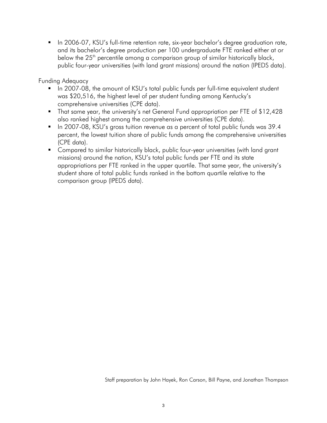In 2006-07, KSU's full-time retention rate, six-year bachelor's degree graduation rate, and its bachelor's degree production per 100 undergraduate FTE ranked either at or below the  $25<sup>th</sup>$  percentile among a comparison group of similar historically black, public four-year universities (with land grant missions) around the nation (IPEDS data).

Funding Adequacy

- In 2007-08, the amount of KSU's total public funds per full-time equivalent student was \$20,516, the highest level of per student funding among Kentucky's comprehensive universities (CPE data).
- That same year, the university's net General Fund appropriation per FTE of \$12,428 also ranked highest among the comprehensive universities (CPE data).
- In 2007-08, KSU's gross tuition revenue as a percent of total public funds was 39.4 percent, the lowest tuition share of public funds among the comprehensive universities (CPE data).
- **Compared to similar historically black, public four-year universities (with land grant** missions) around the nation, KSU's total public funds per FTE and its state appropriations per FTE ranked in the upper quartile. That same year, the university's student share of total public funds ranked in the bottom quartile relative to the comparison group (IPEDS data).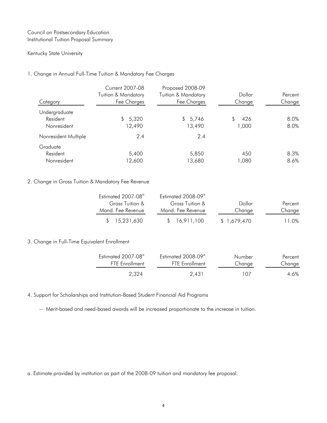### Council on Postsecondary Education Institutional Tuition Proposal Summary

#### Kentucky State University

### 1. Change in Annual Full-Time Tuition & Mandatory Fee Charges

| Category             | <b>Current 2007-08</b><br><b>Tuition &amp; Mandatory</b><br>Fee Charges | Proposed 2008-09<br>Tuition & Mandatory<br>Fee Charges | Dollar<br>Change | Percent<br>Change |
|----------------------|-------------------------------------------------------------------------|--------------------------------------------------------|------------------|-------------------|
| Undergraduate        |                                                                         |                                                        |                  |                   |
| Resident             | 5,320<br>\$                                                             | \$5,746                                                | 426              | 8.0%              |
| Nonresident          | 12,490                                                                  | 13,490                                                 | 1,000            | 8.0%              |
| Nonresident Multiple | 2.4                                                                     | 2.4                                                    |                  |                   |
| Graduate             |                                                                         |                                                        |                  |                   |
| Resident             | 5,400                                                                   | 5,850                                                  | 450              | 8.3%              |
| Nonresident          | 12,600                                                                  | 13,680                                                 | 1,080            | 8.6%              |

### 2. Change in Gross Tuition & Mandatory Fee Revenue

| Estimated 2007-08 <sup>°</sup> | Estimated 2008-09 <sup>°</sup> |              |         |
|--------------------------------|--------------------------------|--------------|---------|
| Gross Tuition &                | Gross Tuition &                | Dollar       | Percent |
| Mand. Fee Revenue              | Mand. Fee Revenue              | Change       | Change  |
| \$15.231.630                   | \$ 16.911.100                  | \$ 1,679,470 | 11.0%   |

### 3. Change in Full-Time Equivalent Enrollment

| Estimated 2007-08 <sup>a</sup> | Estimated 2008-09 <sup>a</sup> | Number | Percent |
|--------------------------------|--------------------------------|--------|---------|
| <b>FTE</b> Enrollment          | <b>FTE</b> Enrollment          | Change | Change  |
| 2.324                          | 2.431                          | 107    | 4.6%    |

4. Support for Scholarships and Institution-Based Student Financial Aid Programs

-- Merit-based and need-based awards will be increased proportionate to the increase in tuition.

a. Estimate provided by institution as part of the 2008-09 tuition and mandatory fee proposal.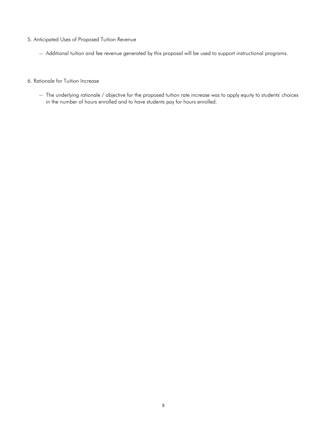- 5. Anticipated Uses of Proposed Tuition Revenue
	- -- Additional tuition and fee revenue generated by this proposal will be used to support instructional programs.
- 6. Rationale for Tuition Increase
	- -- The underlying rationale / objective for the proposed tuition rate increase was to apply equity to students' choices in the number of hours enrolled and to have students pay for hours enrolled.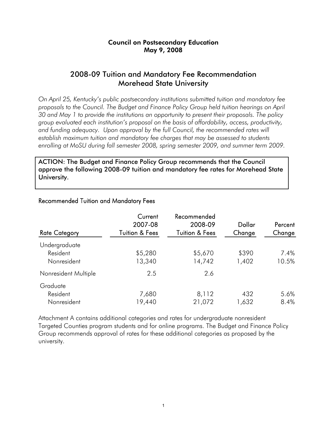### Council on Postsecondary Education May 9, 2008

## 2008-09 Tuition and Mandatory Fee Recommendation Morehead State University

*On April 25, Kentucky's public postsecondary institutions submitted tuition and mandatory fee proposals to the Council. The Budget and Finance Policy Group held tuition hearings on April 30 and May 1 to provide the institutions an opportunity to present their proposals. The policy group evaluated each institution's proposal on the basis of affordability, access, productivity,*  and funding adequacy. Upon approval by the full Council, the recommended rates will *establish maximum tuition and mandatory fee charges that may be assessed to students enrolling at MoSU during fall semester 2008, spring semester 2009, and summer term 2009.* 

ACTION: The Budget and Finance Policy Group recommends that the Council approve the following 2008-09 tuition and mandatory fee rates for Morehead State University.

| <b>Rate Category</b> | Current<br>2007-08<br><b>Tuition &amp; Fees</b> | Recommended<br>2008-09<br><b>Tuition &amp; Fees</b> | Dollar<br>Change | Percent<br>Change |
|----------------------|-------------------------------------------------|-----------------------------------------------------|------------------|-------------------|
| Undergraduate        |                                                 |                                                     |                  |                   |
| Resident             | \$5,280                                         | \$5,670                                             | \$390            | 7.4%              |
| Nonresident          | 13,340                                          | 14,742                                              | 1,402            | 10.5%             |
| Nonresident Multiple | 2.5                                             | 2.6                                                 |                  |                   |
| Graduate             |                                                 |                                                     |                  |                   |
| Resident             | 7,680                                           | 8,112                                               | 432              | 5.6%              |
| Nonresident          | 19,440                                          | 21,072                                              | 1,632            | 8.4%              |

### Recommended Tuition and Mandatory Fees

Attachment A contains additional categories and rates for undergraduate nonresident Targeted Counties program students and for online programs. The Budget and Finance Policy Group recommends approval of rates for these additional categories as proposed by the university.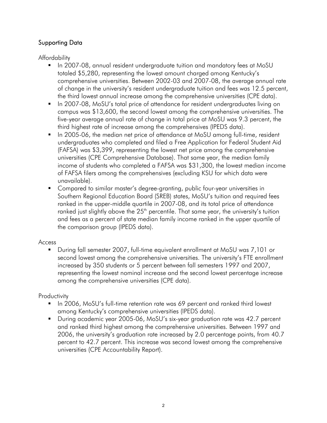## Supporting Data

Affordability

- **IF In 2007-08, annual resident undergraduate tuition and mandatory fees at MoSU** totaled \$5,280, representing the lowest amount charged among Kentucky's comprehensive universities. Between 2002-03 and 2007-08, the average annual rate of change in the university's resident undergraduate tuition and fees was 12.5 percent, the third lowest annual increase among the comprehensive universities (CPE data).
- In 2007-08, MoSU's total price of attendance for resident undergraduates living on campus was \$13,600, the second lowest among the comprehensive universities. The five-year average annual rate of change in total price at MoSU was 9.3 percent, the third highest rate of increase among the comprehensives (IPEDS data).
- In 2005-06, the median net price of attendance at MoSU among full-time, resident undergraduates who completed and filed a Free Application for Federal Student Aid (FAFSA) was \$3,399, representing the lowest net price among the comprehensive universities (CPE Comprehensive Database). That same year, the median family income of students who completed a FAFSA was \$31,300, the lowest median income of FAFSA filers among the comprehensives (excluding KSU for which data were unavailable).
- Compared to similar master's degree-granting, public four-year universities in Southern Regional Education Board (SREB) states, MoSU's tuition and required fees ranked in the upper-middle quartile in 2007-08, and its total price of attendance ranked just slightly above the  $25<sup>th</sup>$  percentile. That same year, the university's tuition and fees as a percent of state median family income ranked in the upper quartile of the comparison group (IPEDS data).

## Access

 During fall semester 2007, full-time equivalent enrollment at MoSU was 7,101 or second lowest among the comprehensive universities. The university's FTE enrollment increased by 350 students or 5 percent between fall semesters 1997 and 2007, representing the lowest nominal increase and the second lowest percentage increase among the comprehensive universities (CPE data).

## **Productivity**

- In 2006, MoSU's full-time retention rate was 69 percent and ranked third lowest among Kentucky's comprehensive universities (IPEDS data).
- During academic year 2005-06, MoSU's six-year graduation rate was 42.7 percent and ranked third highest among the comprehensive universities. Between 1997 and 2006, the university's graduation rate increased by 2.0 percentage points, from 40.7 percent to 42.7 percent. This increase was second lowest among the comprehensive universities (CPE Accountability Report).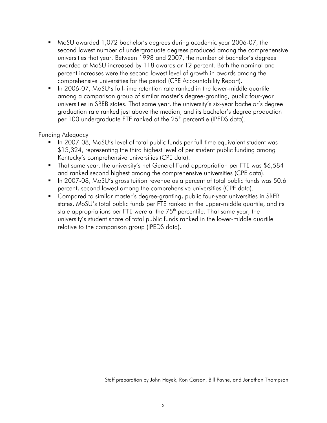- MoSU awarded 1,072 bachelor's degrees during academic year 2006-07, the second lowest number of undergraduate degrees produced among the comprehensive universities that year. Between 1998 and 2007, the number of bachelor's degrees awarded at MoSU increased by 118 awards or 12 percent. Both the nominal and percent increases were the second lowest level of growth in awards among the comprehensive universities for the period (CPE Accountability Report).
- In 2006-07, MoSU's full-time retention rate ranked in the lower-middle quartile among a comparison group of similar master's degree-granting, public four-year universities in SREB states. That same year, the university's six-year bachelor's degree graduation rate ranked just above the median, and its bachelor's degree production per 100 undergraduate FTE ranked at the 25<sup>th</sup> percentile (IPEDS data).

### Funding Adequacy

- In 2007-08, MoSU's level of total public funds per full-time equivalent student was \$13,324, representing the third highest level of per student public funding among Kentucky's comprehensive universities (CPE data).
- That same year, the university's net General Fund appropriation per FTE was \$6,584 and ranked second highest among the comprehensive universities (CPE data).
- In 2007-08, MoSU's gross tuition revenue as a percent of total public funds was 50.6 percent, second lowest among the comprehensive universities (CPE data).
- Compared to similar master's degree-granting, public four-year universities in SREB states, MoSU's total public funds per FTE ranked in the upper-middle quartile, and its state appropriations per FTE were at the  $75<sup>th</sup>$  percentile. That same year, the university's student share of total public funds ranked in the lower-middle quartile relative to the comparison group (IPEDS data).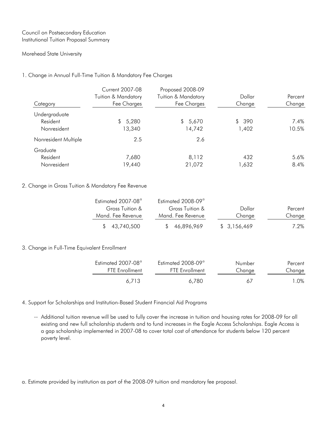#### Council on Postsecondary Education Institutional Tuition Proposal Summary

#### Morehead State University

#### 1. Change in Annual Full-Time Tuition & Mandatory Fee Charges

| Category                                 | <b>Current 2007-08</b><br><b>Tuition &amp; Mandatory</b><br>Fee Charges | Proposed 2008-09<br><b>Tuition &amp; Mandatory</b><br>Fee Charges | Dollar<br>Change | Percent<br>Change |
|------------------------------------------|-------------------------------------------------------------------------|-------------------------------------------------------------------|------------------|-------------------|
| Undergraduate<br>Resident<br>Nonresident | \$5,280<br>13,340                                                       | 5,670<br>S.<br>14,742                                             | \$ 390<br>1,402  | 7.4%<br>10.5%     |
| Nonresident Multiple                     | 2.5                                                                     | 2.6                                                               |                  |                   |
| Graduate<br>Resident<br>Nonresident      | 7,680<br>19,440                                                         | 8,112<br>21,072                                                   | 432<br>1,632     | 5.6%<br>8.4%      |

#### 2. Change in Gross Tuition & Mandatory Fee Revenue

| Estimated 2007-08 <sup>a</sup> | Estimated 2008-09 <sup>a</sup> |             |         |
|--------------------------------|--------------------------------|-------------|---------|
| Gross Tuition &                | Gross Tuition &                | Dollar      | Percent |
| Mand, Fee Revenue              | Mand. Fee Revenue              | Change      | Change  |
| \$43,740,500                   | 46,896,969                     | \$3,156,469 | 7.2%    |

#### 3. Change in Full-Time Equivalent Enrollment

| Estimated 2007-08 <sup>a</sup> | Estimated 2008-09 <sup>a</sup> | Number | Percent |
|--------------------------------|--------------------------------|--------|---------|
| <b>FTF</b> Fnrollment          | <b>FTF</b> Fnrollment          | Change | Change  |
| 6.713                          | 6.780                          | 67     | ⊟ O%    |

#### 4. Support for Scholarships and Institution-Based Student Financial Aid Programs

-- Additional tuition revenue will be used to fully cover the increase in tuition and housing rates for 2008-09 for all existing and new full scholarship students and to fund increases in the Eagle Access Scholarships. Eagle Access is a gap scholarship implemented in 2007-08 to cover total cost of attendance for students below 120 percent poverty level.

a. Estimate provided by institution as part of the 2008-09 tuition and mandatory fee proposal.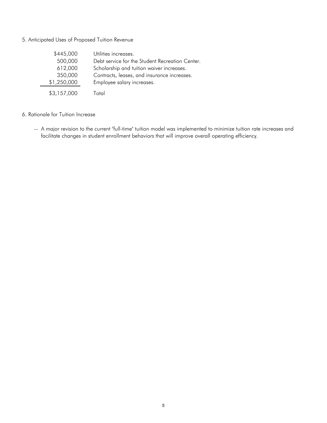#### 5. Anticipated Uses of Proposed Tuition Revenue

| \$445,000   | Utilities increases.                            |
|-------------|-------------------------------------------------|
| 500,000     | Debt service for the Student Recreation Center. |
| 612,000     | Scholarship and tuition waiver increases.       |
| 350,000     | Contracts, leases, and insurance increases.     |
| \$1,250,000 | Employee salary increases.                      |
| \$3,157,000 | Total                                           |

#### 6. Rationale for Tuition Increase

-- A major revision to the current "full-time" tuition model was implemented to minimize tuition rate increases and facilitate changes in student enrollment behaviors that will improve overall operating efficiency.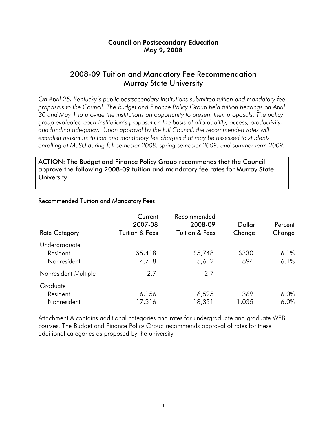## Council on Postsecondary Education May 9, 2008

## 2008-09 Tuition and Mandatory Fee Recommendation Murray State University

*On April 25, Kentucky's public postsecondary institutions submitted tuition and mandatory fee proposals to the Council. The Budget and Finance Policy Group held tuition hearings on April 30 and May 1 to provide the institutions an opportunity to present their proposals. The policy group evaluated each institution's proposal on the basis of affordability, access, productivity,*  and funding adequacy. Upon approval by the full Council, the recommended rates will *establish maximum tuition and mandatory fee charges that may be assessed to students enrolling at MuSU during fall semester 2008, spring semester 2009, and summer term 2009.* 

ACTION: The Budget and Finance Policy Group recommends that the Council approve the following 2008-09 tuition and mandatory fee rates for Murray State University.

| <b>Rate Category</b> | Current<br>2007-08<br><b>Tuition &amp; Fees</b> | Recommended<br>2008-09<br><b>Tuition &amp; Fees</b> | Dollar<br>Change | Percent<br>Change |
|----------------------|-------------------------------------------------|-----------------------------------------------------|------------------|-------------------|
| Undergraduate        |                                                 |                                                     |                  |                   |
| Resident             | \$5,418                                         | \$5,748                                             | \$330            | 6.1%              |
| Nonresident          | 14,718                                          | 15,612                                              | 894              | 6.1%              |
| Nonresident Multiple | 2.7                                             | 2.7                                                 |                  |                   |
| Graduate             |                                                 |                                                     |                  |                   |
| Resident             | 6,156                                           | 6,525                                               | 369              | 6.0%              |
| Nonresident          | 17,316                                          | 18,351                                              | 1,035            | 6.0%              |

## Recommended Tuition and Mandatory Fees

Attachment A contains additional categories and rates for undergraduate and graduate WEB courses. The Budget and Finance Policy Group recommends approval of rates for these additional categories as proposed by the university.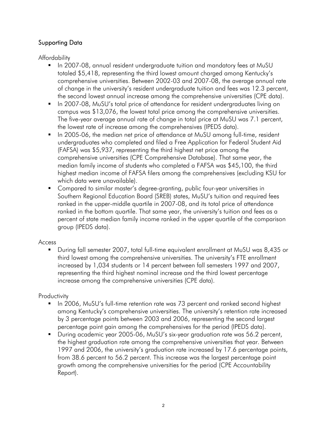## Supporting Data

Affordability

- **IF In 2007-08, annual resident undergraduate tuition and mandatory fees at MuSU** totaled \$5,418, representing the third lowest amount charged among Kentucky's comprehensive universities. Between 2002-03 and 2007-08, the average annual rate of change in the university's resident undergraduate tuition and fees was 12.3 percent, the second lowest annual increase among the comprehensive universities (CPE data).
- In 2007-08, MuSU's total price of attendance for resident undergraduates living on campus was \$13,076, the lowest total price among the comprehensive universities. The five-year average annual rate of change in total price at MuSU was 7.1 percent, the lowest rate of increase among the comprehensives (IPEDS data).
- In 2005-06, the median net price of attendance at MuSU among full-time, resident undergraduates who completed and filed a Free Application for Federal Student Aid (FAFSA) was \$5,937, representing the third highest net price among the comprehensive universities (CPE Comprehensive Database). That same year, the median family income of students who completed a FAFSA was \$45,100, the third highest median income of FAFSA filers among the comprehensives (excluding KSU for which data were unavailable).
- Compared to similar master's degree-granting, public four-year universities in Southern Regional Education Board (SREB) states, MuSU's tuition and required fees ranked in the upper-middle quartile in 2007-08, and its total price of attendance ranked in the bottom quartile. That same year, the university's tuition and fees as a percent of state median family income ranked in the upper quartile of the comparison group (IPEDS data).

## Access

 During fall semester 2007, total full-time equivalent enrollment at MuSU was 8,435 or third lowest among the comprehensive universities. The university's FTE enrollment increased by 1,034 students or 14 percent between fall semesters 1997 and 2007, representing the third highest nominal increase and the third lowest percentage increase among the comprehensive universities (CPE data).

## **Productivity**

- In 2006, MuSU's full-time retention rate was 73 percent and ranked second highest among Kentucky's comprehensive universities. The university's retention rate increased by 3 percentage points between 2003 and 2006, representing the second largest percentage point gain among the comprehensives for the period (IPEDS data).
- During academic year 2005-06, MuSU's six-year graduation rate was 56.2 percent, the highest graduation rate among the comprehensive universities that year. Between 1997 and 2006, the university's graduation rate increased by 17.6 percentage points, from 38.6 percent to 56.2 percent. This increase was the largest percentage point growth among the comprehensive universities for the period (CPE Accountability Report).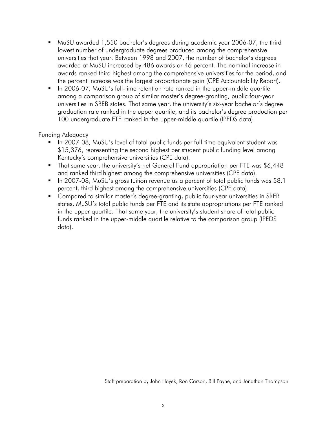- MuSU awarded 1,550 bachelor's degrees during academic year 2006-07, the third lowest number of undergraduate degrees produced among the comprehensive universities that year. Between 1998 and 2007, the number of bachelor's degrees awarded at MuSU increased by 486 awards or 46 percent. The nominal increase in awards ranked third highest among the comprehensive universities for the period, and the percent increase was the largest proportionate gain (CPE Accountability Report).
- In 2006-07, MuSU's full-time retention rate ranked in the upper-middle quartile among a comparison group of similar master's degree-granting, public four-year universities in SREB states. That same year, the university's six-year bachelor's degree graduation rate ranked in the upper quartile, and its bachelor's degree production per 100 undergraduate FTE ranked in the upper-middle quartile (IPEDS data).

### Funding Adequacy

- In 2007-08, MuSU's level of total public funds per full-time equivalent student was \$15,376, representing the second highest per student public funding level among Kentucky's comprehensive universities (CPE data).
- That same year, the university's net General Fund appropriation per FTE was \$6,448 and ranked third highest among the comprehensive universities (CPE data).
- In 2007-08, MuSU's gross tuition revenue as a percent of total public funds was 58.1 percent, third highest among the comprehensive universities (CPE data).
- Compared to similar master's degree-granting, public four-year universities in SREB states, MuSU's total public funds per FTE and its state appropriations per FTE ranked in the upper quartile. That same year, the university's student share of total public funds ranked in the upper-middle quartile relative to the comparison group (IPEDS data).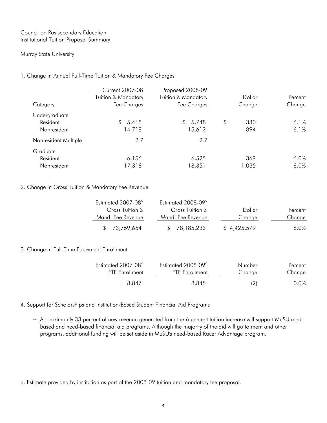#### Council on Postsecondary Education Institutional Tuition Proposal Summary

#### Murray State University

#### 1. Change in Annual Full-Time Tuition & Mandatory Fee Charges

| Category                                 | <b>Current 2007-08</b><br><b>Tuition &amp; Mandatory</b><br>Fee Charges | Proposed 2008-09<br><b>Tuition &amp; Mandatory</b><br>Fee Charges | Dollar<br>Change | Percent<br>Change |
|------------------------------------------|-------------------------------------------------------------------------|-------------------------------------------------------------------|------------------|-------------------|
| Undergraduate<br>Resident<br>Nonresident | 5,418<br>\$<br>4,718                                                    | \$5,748<br>15,612                                                 | \$<br>330<br>894 | 6.1%<br>6.1%      |
| Nonresident Multiple                     | 2.7                                                                     | 2.7                                                               |                  |                   |
| Graduate<br>Resident<br>Nonresident      | 6,156<br>17,316                                                         | 6,525<br>18,351                                                   | 369<br>1,035     | 6.0%<br>6.0%      |

#### 2. Change in Gross Tuition & Mandatory Fee Revenue

| Estimated 2007-08 <sup>a</sup> | Estimated 2008-09 <sup>a</sup> |             |         |
|--------------------------------|--------------------------------|-------------|---------|
| Gross Tuition &                | Gross Tuition &                | Dollar      | Percent |
| Mand. Fee Revenue              | Mand. Fee Revenue              | Change      | Change  |
| \$73,759,654                   | \$ 78,185,233                  | \$4,425,579 | $6.0\%$ |

#### 3. Change in Full-Time Equivalent Enrollment

| Estimated 2007-08 <sup>a</sup> | Estimated 2008-09 <sup>a</sup> | Number | Percent |
|--------------------------------|--------------------------------|--------|---------|
| <b>FTF</b> Fnrollment          | <b>FTF</b> Fnrollment          | Change | Change  |
| 8.847                          | 8,845                          | (2)    | 0.0%    |

4. Support for Scholarships and Institution-Based Student Financial Aid Programs

-- Approximately 33 percent of new revenue generated from the 6 percent tuition increase will support MuSU meritbased and need-based financial aid programs. Although the majority of the aid will go to merit and other programs, additional funding will be set aside in MuSU's need-based Racer Advantage program.

a. Estimate provided by institution as part of the 2008-09 tuition and mandatory fee proposal.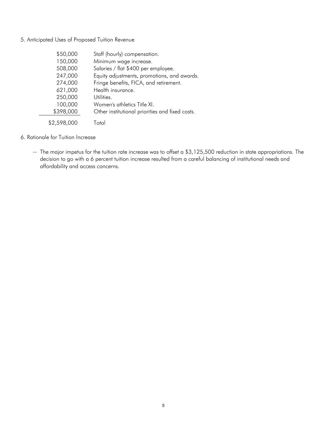#### 5. Anticipated Uses of Proposed Tuition Revenue

| \$50,000    | Staff (hourly) compensation.                    |
|-------------|-------------------------------------------------|
| 150,000     | Minimum wage increase.                          |
| 508,000     | Salaries / flat \$400 per employee.             |
| 247,000     | Equity adjustments, promotions, and awards.     |
| 274,000     | Fringe benefits, FICA, and retirement.          |
| 621,000     | Health insurance.                               |
| 250,000     | Utilities.                                      |
| 100,000     | Women's athletics Title XI.                     |
| \$398,000   | Other institutional priorities and fixed costs. |
| \$2,598,000 | Total                                           |

#### 6. Rationale for Tuition Increase

-- The major impetus for the tuition rate increase was to offset a \$3,125,500 reduction in state appropriations. The decision to go with a 6 percent tuition increase resulted from a careful balancing of institutional needs and affordability and access concerns.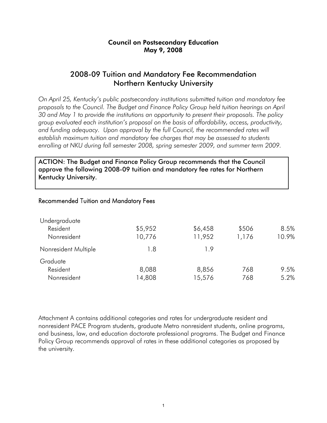## Council on Postsecondary Education May 9, 2008

## 2008-09 Tuition and Mandatory Fee Recommendation Northern Kentucky University

*On April 25, Kentucky's public postsecondary institutions submitted tuition and mandatory fee proposals to the Council. The Budget and Finance Policy Group held tuition hearings on April 30 and May 1 to provide the institutions an opportunity to present their proposals. The policy group evaluated each institution's proposal on the basis of affordability, access, productivity,*  and funding adequacy. Upon approval by the full Council, the recommended rates will *establish maximum tuition and mandatory fee charges that may be assessed to students enrolling at NKU during fall semester 2008, spring semester 2009, and summer term 2009.* 

ACTION: The Budget and Finance Policy Group recommends that the Council approve the following 2008-09 tuition and mandatory fee rates for Northern Kentucky University.

### Recommended Tuition and Mandatory Fees

| Undergraduate        |         |         |       |       |
|----------------------|---------|---------|-------|-------|
| Resident             | \$5,952 | \$6,458 | \$506 | 8.5%  |
| Nonresident          | 10,776  | 11,952  | 1,176 | 10.9% |
| Nonresident Multiple | 1.8     | 19      |       |       |
| Graduate             |         |         |       |       |
| Resident             | 8,088   | 8,856   | 768   | 9.5%  |
| Nonresident          | 4,808   | 15,576  | 768   | 5.2%  |

Attachment A contains additional categories and rates for undergraduate resident and nonresident PACE Program students, graduate Metro nonresident students, online programs, and business, law, and education doctorate professional programs. The Budget and Finance Policy Group recommends approval of rates in these additional categories as proposed by the university.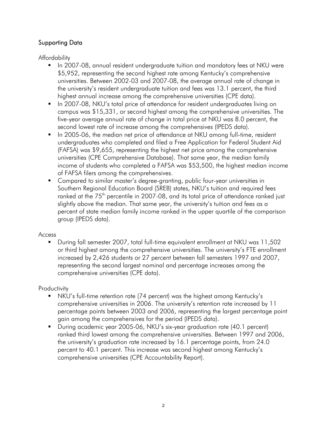## Supporting Data

Affordability

- **IF 1.5 10007-08, annual resident undergraduate tuition and mandatory fees at NKU were** \$5,952, representing the second highest rate among Kentucky's comprehensive universities. Between 2002-03 and 2007-08, the average annual rate of change in the university's resident undergraduate tuition and fees was 13.1 percent, the third highest annual increase among the comprehensive universities (CPE data).
- **IF In 2007-08, NKU's total price of attendance for resident undergraduates living on** campus was \$15,331, or second highest among the comprehensive universities. The five-year average annual rate of change in total price at NKU was 8.0 percent, the second lowest rate of increase among the comprehensives (IPEDS data).
- In 2005-06, the median net price of attendance at NKU among full-time, resident undergraduates who completed and filed a Free Application for Federal Student Aid (FAFSA) was \$9,655, representing the highest net price among the comprehensive universities (CPE Comprehensive Database). That same year, the median family income of students who completed a FAFSA was \$53,500, the highest median income of FAFSA filers among the comprehensives.
- Compared to similar master's degree-granting, public four-year universities in Southern Regional Education Board (SREB) states, NKU's tuition and required fees ranked at the 75<sup>th</sup> percentile in 2007-08, and its total price of attendance ranked just slightly above the median. That same year, the university's tuition and fees as a percent of state median family income ranked in the upper quartile of the comparison group (IPEDS data).

## Access

 During fall semester 2007, total full-time equivalent enrollment at NKU was 11,502 or third highest among the comprehensive universities. The university's FTE enrollment increased by 2,426 students or 27 percent between fall semesters 1997 and 2007, representing the second largest nominal and percentage increases among the comprehensive universities (CPE data).

**Productivity** 

- NKU's full-time retention rate (74 percent) was the highest among Kentucky's comprehensive universities in 2006. The university's retention rate increased by 11 percentage points between 2003 and 2006, representing the largest percentage point gain among the comprehensives for the period (IPEDS data).
- During academic year 2005-06, NKU's six-year graduation rate (40.1 percent) ranked third lowest among the comprehensive universities. Between 1997 and 2006, the university's graduation rate increased by 16.1 percentage points, from 24.0 percent to 40.1 percent. This increase was second highest among Kentucky's comprehensive universities (CPE Accountability Report).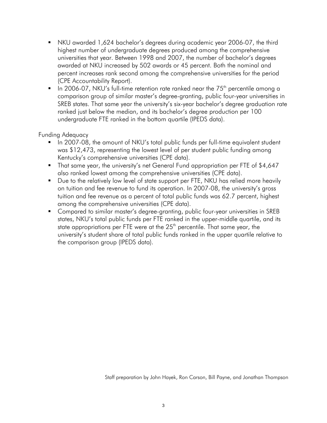- NKU awarded 1,624 bachelor's degrees during academic year 2006-07, the third highest number of undergraduate degrees produced among the comprehensive universities that year. Between 1998 and 2007, the number of bachelor's degrees awarded at NKU increased by 502 awards or 45 percent. Both the nominal and percent increases rank second among the comprehensive universities for the period (CPE Accountability Report).
- In 2006-07, NKU's full-time retention rate ranked near the  $75<sup>th</sup>$  percentile amona a comparison group of similar master's degree-granting, public four-year universities in SREB states. That same year the university's six-year bachelor's degree graduation rate ranked just below the median, and its bachelor's degree production per 100 undergraduate FTE ranked in the bottom quartile (IPEDS data).

## Funding Adequacy

- In 2007-08, the amount of NKU's total public funds per full-time equivalent student was \$12,473, representing the lowest level of per student public funding among Kentucky's comprehensive universities (CPE data).
- That same year, the university's net General Fund appropriation per FTE of \$4,647 also ranked lowest among the comprehensive universities (CPE data).
- **Due to the relatively low level of state support per FTE, NKU has relied more heavily** on tuition and fee revenue to fund its operation. In 2007-08, the university's gross tuition and fee revenue as a percent of total public funds was 62.7 percent, highest among the comprehensive universities (CPE data).
- **Compared to similar master's degree-granting, public four-year universities in SREB** states, NKU's total public funds per FTE ranked in the upper-middle quartile, and its state appropriations per FTE were at the  $25<sup>th</sup>$  percentile. That same year, the university's student share of total public funds ranked in the upper quartile relative to the comparison group (IPEDS data).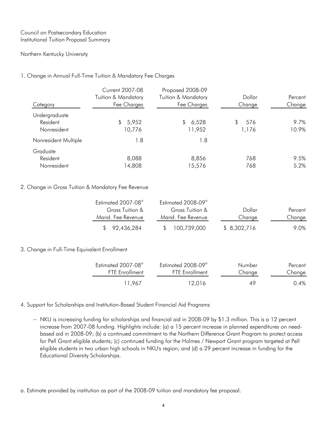#### Council on Postsecondary Education Institutional Tuition Proposal Summary

#### Northern Kentucky University

#### 1. Change in Annual Full-Time Tuition & Mandatory Fee Charges

| Category             | <b>Current 2007-08</b><br><b>Tuition &amp; Mandatory</b><br>Fee Charges | Proposed 2008-09<br><b>Tuition &amp; Mandatory</b><br>Fee Charges | Dollar<br>Change | Percent<br>Change |
|----------------------|-------------------------------------------------------------------------|-------------------------------------------------------------------|------------------|-------------------|
| Undergraduate        |                                                                         |                                                                   |                  |                   |
| Resident             | 5,952<br>S.                                                             | 6,528<br>\$                                                       | 576<br>S         | 9.7%              |
| Nonresident          | 10,776                                                                  | 11,952                                                            | 1,176            | 10.9%             |
| Nonresident Multiple | .8                                                                      | 1.8                                                               |                  |                   |
| Graduate             |                                                                         |                                                                   |                  |                   |
| Resident             | 8,088                                                                   | 8,856                                                             | 768              | 9.5%              |
| Nonresident          | 14,808                                                                  | 15,576                                                            | 768              | 5.2%              |

#### 2. Change in Gross Tuition & Mandatory Fee Revenue

| Estimated $2007-08^\circ$ | Estimated 2008-09 <sup>a</sup> |              |                  |
|---------------------------|--------------------------------|--------------|------------------|
| Gross Tuition &           | Gross Tuition &                | Dollar       | Percent          |
| Mand. Fee Revenue         | Mand. Fee Revenue              | Change       | Change           |
| \$92,436,284              | 100,739,000                    | \$ 8,302,716 | 9 0 <sub>%</sub> |

#### 3. Change in Full-Time Equivalent Enrollment

| Estimated 2007-08 <sup>a</sup> | Estimated 2008-09 <sup>a</sup> | Number | Percent |
|--------------------------------|--------------------------------|--------|---------|
| <b>FTE</b> Enrollment          | <b>FTE</b> Enrollment          | Change | Change  |
| 11.967                         | 12.016                         | 49     | $0.4\%$ |

#### 4. Support for Scholarships and Institution-Based Student Financial Aid Programs

-- NKU is increasing funding for scholarships and financial aid in 2008-09 by \$1.3 million. This is a 12 percent increase from 2007-08 funding. Highlights include: (a) a 15 percent increase in planned expenditures on needbased aid in 2008-09; (b) a continued commitment to the Northern Difference Grant Program to protect access for Pell Grant eligible students; (c) continued funding for the Holmes / Newport Grant program targeted at Pell eligible students in two urban high schools in NKU's region; and (d) a 29 percent increase in funding for the Educational Diversity Scholarships.

a. Estimate provided by institution as part of the 2008-09 tuition and mandatory fee proposal.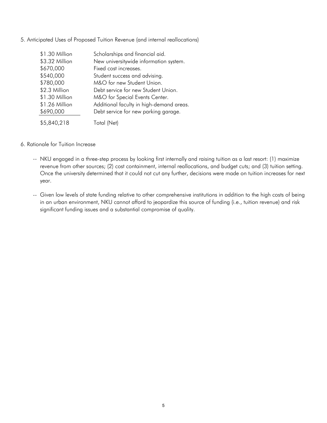| \$1.30 Million | Scholarships and financial aid.          |
|----------------|------------------------------------------|
| \$3.32 Million | New universitywide information system.   |
| \$670,000      | Fixed cost increases.                    |
| \$540,000      | Student success and advising.            |
| \$780,000      | M&O for new Student Union.               |
| \$2.3 Million  | Debt service for new Student Union.      |
| \$1.30 Million | M&O for Special Events Center.           |
| \$1.26 Million | Additional faculty in high-demand areas. |
| \$690,000      | Debt service for new parking garage.     |
| \$5,840,218    | Total (Net)                              |

5. Anticipated Uses of Proposed Tuition Revenue (and internal reallocations)

#### 6. Rationale for Tuition Increase

- -- NKU engaged in a three-step process by looking first internally and raising tuition as a last resort: (1) maximize revenue from other sources; (2) cost containment, internal reallocations, and budget cuts; and (3) tuition setting. Once the university determined that it could not cut any further, decisions were made on tuition increases for next year.
- -- Given low levels of state funding relative to other comprehensive institutions in addition to the high costs of being in an urban environment, NKU cannot afford to jeopardize this source of funding (i.e., tuition revenue) and risk significant funding issues and a substantial compromise of quality.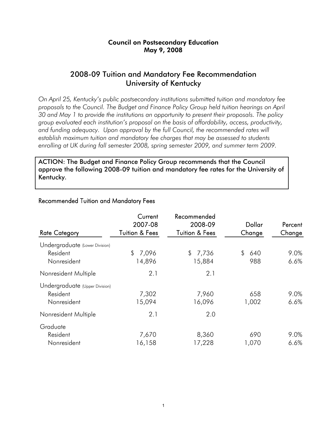## Council on Postsecondary Education May 9, 2008

## 2008-09 Tuition and Mandatory Fee Recommendation University of Kentucky

*On April 25, Kentucky's public postsecondary institutions submitted tuition and mandatory fee proposals to the Council. The Budget and Finance Policy Group held tuition hearings on April 30 and May 1 to provide the institutions an opportunity to present their proposals. The policy group evaluated each institution's proposal on the basis of affordability, access, productivity,*  and funding adequacy. Upon approval by the full Council, the recommended rates will *establish maximum tuition and mandatory fee charges that may be assessed to students enrolling at UK during fall semester 2008, spring semester 2009, and summer term 2009.* 

ACTION: The Budget and Finance Policy Group recommends that the Council approve the following 2008-09 tuition and mandatory fee rates for the University of Kentucky.

| <b>Rate Category</b>           | Current<br>2007-08<br><b>Tuition &amp; Fees</b> | Recommended<br>2008-09<br><b>Tuition &amp; Fees</b> | Dollar<br>Change | Percent<br>Change |
|--------------------------------|-------------------------------------------------|-----------------------------------------------------|------------------|-------------------|
| Undergraduate (Lower Division) |                                                 |                                                     |                  |                   |
| Resident                       | 7,096<br>\$                                     | 7,736<br>$\mathbb{S}^-$                             | \$<br>640        | 9.0%              |
| Nonresident                    | 14,896                                          | 15,884                                              | 988              | 6.6%              |
| Nonresident Multiple           | 2.1                                             | 2.1                                                 |                  |                   |
| Undergraduate (Upper Division) |                                                 |                                                     |                  |                   |
| Resident                       | 7,302                                           | 7,960                                               | 658              | 9.0%              |
| Nonresident                    | 15,094                                          | 16,096                                              | 1,002            | 6.6%              |
| Nonresident Multiple           | 2.1                                             | 2.0                                                 |                  |                   |
| Graduate                       |                                                 |                                                     |                  |                   |
| Resident                       | 7,670                                           | 8,360                                               | 690              | 9.0%              |
| Nonresident                    | 16,158                                          | 17,228                                              | 1,070            | 6.6%              |

#### Recommended Tuition and Mandatory Fees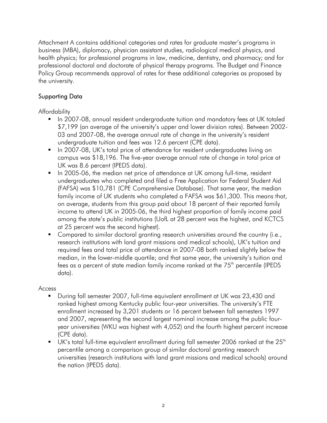Attachment A contains additional categories and rates for graduate master's programs in business (MBA), diplomacy, physician assistant studies, radiological medical physics, and health physics; for professional programs in law, medicine, dentistry, and pharmacy; and for professional doctoral and doctorate of physical therapy programs. The Budget and Finance Policy Group recommends approval of rates for these additional categories as proposed by the university.

## Supporting Data

Affordability

- In 2007-08, annual resident undergraduate tuition and mandatory fees at UK totaled \$7,199 (an average of the university's upper and lower division rates). Between 2002- 03 and 2007-08, the average annual rate of change in the university's resident undergraduate tuition and fees was 12.6 percent (CPE data).
- **IF In 2007-08, UK's total price of attendance for resident undergraduates living on** campus was \$18,196. The five-year average annual rate of change in total price at UK was 8.6 percent (IPEDS data).
- In 2005-06, the median net price of attendance at UK among full-time, resident undergraduates who completed and filed a Free Application for Federal Student Aid (FAFSA) was \$10,781 (CPE Comprehensive Database). That same year, the median family income of UK students who completed a FAFSA was \$61,300. This means that, on average, students from this group paid about 18 percent of their reported family income to attend UK in 2005-06, the third highest proportion of family income paid among the state's public institutions (UofL at 28 percent was the highest, and KCTCS at 25 percent was the second highest).
- **Compared to similar doctoral granting research universities around the country (i.e.,** research institutions with land grant missions and medical schools), UK's tuition and required fees and total price of attendance in 2007-08 both ranked slightly below the median, in the lower-middle quartile; and that same year, the university's tuition and fees as a percent of state median family income ranked at the 75<sup>th</sup> percentile (IPEDS data).

## Access

- During fall semester 2007, full-time equivalent enrollment at UK was 23,430 and ranked highest among Kentucky public four-year universities. The university's FTE enrollment increased by 3,201 students or 16 percent between fall semesters 1997 and 2007, representing the second largest nominal increase among the public fouryear universities (WKU was highest with 4,052) and the fourth highest percent increase (CPE data).
- $\blacksquare$  UK's total full-time equivalent enrollment during fall semester 2006 ranked at the 25<sup>th</sup> percentile among a comparison group of similar doctoral granting research universities (research institutions with land grant missions and medical schools) around the nation (IPEDS data).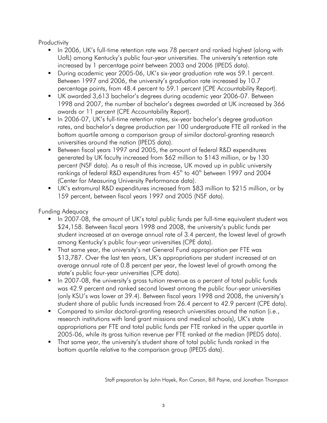**Productivity** 

- In 2006, UK's full-time retention rate was 78 percent and ranked highest (along with UofL) among Kentucky's public four-year universities. The university's retention rate increased by 1 percentage point between 2003 and 2006 (IPEDS data).
- **During academic year 2005-06, UK's six-year graduation rate was 59.1 percent.** Between 1997 and 2006, the university's graduation rate increased by 10.7 percentage points, from 48.4 percent to 59.1 percent (CPE Accountability Report).
- UK awarded 3,613 bachelor's degrees during academic year 2006-07. Between 1998 and 2007, the number of bachelor's degrees awarded at UK increased by 366 awards or 11 percent (CPE Accountability Report).
- **IF** In 2006-07, UK's full-time retention rates, six-year bachelor's degree graduation rates, and bachelor's degree production per 100 undergraduate FTE all ranked in the bottom quartile among a comparison group of similar doctoral-granting research universities around the nation (IPEDS data).
- Between fiscal years 1997 and 2005, the amount of federal R&D expenditures generated by UK faculty increased from \$62 million to \$143 million, or by 130 percent (NSF data). As a result of this increase, UK moved up in public university rankings of federal R&D expenditures from  $45<sup>th</sup>$  to  $40<sup>th</sup>$  between 1997 and 2004 (Center for Measuring University Performance data).
- UK's extramural R&D expenditures increased from \$83 million to \$215 million, or by 159 percent, between fiscal years 1997 and 2005 (NSF data).

Funding Adequacy

- In 2007-08, the amount of UK's total public funds per full-time equivalent student was \$24,158. Between fiscal years 1998 and 2008, the university's public funds per student increased at an average annual rate of 3.4 percent, the lowest level of growth among Kentucky's public four-year universities (CPE data).
- **That same year, the university's net General Fund appropriation per FTE was** \$13,787. Over the last ten years, UK's appropriations per student increased at an average annual rate of 0.8 percent per year, the lowest level of growth among the state's public four-year universities (CPE data).
- In 2007-08, the university's gross tuition revenue as a percent of total public funds was 42.9 percent and ranked second lowest among the public four-year universities (only KSU's was lower at 39.4). Between fiscal years 1998 and 2008, the university's student share of public funds increased from 26.4 percent to 42.9 percent (CPE data).
- **Compared to similar doctoral-granting research universities around the nation (i.e.,** research institutions with land grant missions and medical schools), UK's state appropriations per FTE and total public funds per FTE ranked in the upper quartile in 2005-06, while its gross tuition revenue per FTE ranked at the median (IPEDS data).
- That same year, the university's student share of total public funds ranked in the bottom quartile relative to the comparison group (IPEDS data).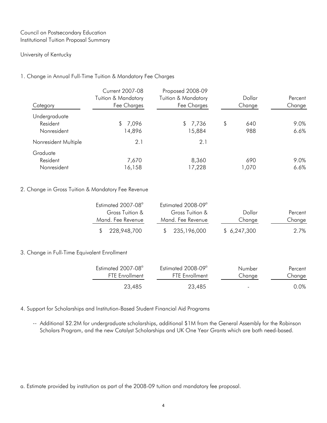#### Council on Postsecondary Education Institutional Tuition Proposal Summary

#### University of Kentucky

#### 1. Change in Annual Full-Time Tuition & Mandatory Fee Charges

|                      | <b>Current 2007-08</b> | Proposed 2008-09    |           |         |
|----------------------|------------------------|---------------------|-----------|---------|
|                      | Tuition & Mandatory    | Tuition & Mandatory | Dollar    | Percent |
| Category             | Fee Charges            | Fee Charges         | Change    | Change  |
| Undergraduate        |                        |                     |           |         |
| Resident             | 7,096<br>\$            | \$7,736             | \$<br>640 | 9.0%    |
| Nonresident          | 14,896                 | 15,884              | 988       | 6.6%    |
| Nonresident Multiple | 2.1                    | 2.1                 |           |         |
| Graduate             |                        |                     |           |         |
| Resident             | 7,670                  | 8,360               | 690       | 9.0%    |
| Nonresident          | 16,158                 | 17,228              | 1,070     | 6.6%    |

#### 2. Change in Gross Tuition & Mandatory Fee Revenue

| Estimated 2007-08 <sup>a</sup> | Estimated 2008-09 <sup>a</sup> |             |         |
|--------------------------------|--------------------------------|-------------|---------|
| Gross Tuition &                | Gross Tuition &                | Dollar      | Percent |
| Mand. Fee Revenue              | Mand. Fee Revenue              | Change      | Change  |
| \$228,948,700                  | \$235,196,000                  | \$6,247,300 | 2.7%    |

#### 3. Change in Full-Time Equivalent Enrollment

| $Estimated 2007-08a$  | Estimated 2008-09 <sup>a</sup> | Number | Percent |
|-----------------------|--------------------------------|--------|---------|
| <b>FTF</b> Fnrollment | <b>FTF</b> Fnrollment          | Change | Change  |
| 23,485                | 23,485                         | ۰      | 0.0%    |

4. Support for Scholarships and Institution-Based Student Financial Aid Programs

-- Additional \$2.2M for undergraduate scholarships, additional \$1M from the General Assembly for the Robinson Scholars Program, and the new Catalyst Scholarships and UK One Year Grants which are both need-based.

a. Estimate provided by institution as part of the 2008-09 tuition and mandatory fee proposal.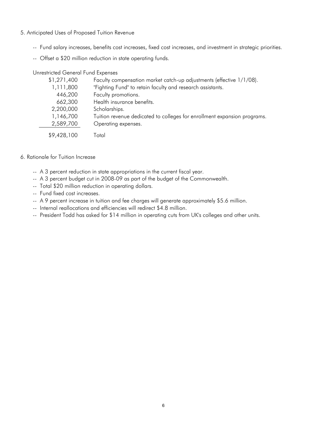- 5. Anticipated Uses of Proposed Tuition Revenue
	- -- Fund salary increases, benefits cost increases, fixed cost increases, and investment in strategic priorities.
	- -- Offset a \$20 million reduction in state operating funds.

Unrestricted General Fund Expenses

| \$1,271,400 | Faculty compensation market catch-up adjustments (effective 1/1/08).     |
|-------------|--------------------------------------------------------------------------|
| 1,111,800   | "Fighting Fund" to retain faculty and research assistants.               |
| 446,200     | Faculty promotions.                                                      |
| 662,300     | Health insurance benefits.                                               |
| 2,200,000   | Scholarships.                                                            |
| 1,146,700   | Tuition revenue dedicated to colleges for enrollment expansion programs. |
| 2,589,700   | Operating expenses.                                                      |
| \$9,428,100 | Total                                                                    |

#### 6. Rationale for Tuition Increase

- -- A 3 percent reduction in state appropriations in the current fiscal year.
- -- A 3 percent budget cut in 2008-09 as part of the budget of the Commonwealth.
- -- Total \$20 million reduction in operating dollars.
- -- Fund fixed cost increases.
- -- A 9 percent increase in tuition and fee charges will generate approximately \$5.6 million.
- -- Internal reallocations and efficiencies will redirect \$4.8 million.
- -- President Todd has asked for \$14 million in operating cuts from UK's colleges and other units.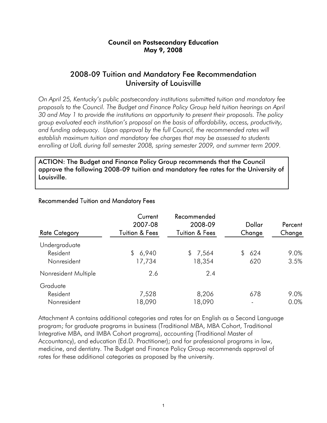## Council on Postsecondary Education May 9, 2008

## 2008-09 Tuition and Mandatory Fee Recommendation University of Louisville

*On April 25, Kentucky's public postsecondary institutions submitted tuition and mandatory fee proposals to the Council. The Budget and Finance Policy Group held tuition hearings on April 30 and May 1 to provide the institutions an opportunity to present their proposals. The policy group evaluated each institution's proposal on the basis of affordability, access, productivity,*  and funding adequacy. Upon approval by the full Council, the recommended rates will *establish maximum tuition and mandatory fee charges that may be assessed to students enrolling at UofL during fall semester 2008, spring semester 2009, and summer term 2009.* 

ACTION: The Budget and Finance Policy Group recommends that the Council approve the following 2008-09 tuition and mandatory fee rates for the University of Louisville.

| <b>Rate Category</b> | Current<br>2007-08<br><b>Tuition &amp; Fees</b> | Recommended<br>2008-09<br><b>Tuition &amp; Fees</b> | Dollar<br>Change | Percent<br>Change |
|----------------------|-------------------------------------------------|-----------------------------------------------------|------------------|-------------------|
| Undergraduate        |                                                 |                                                     |                  |                   |
| Resident             | 6,940<br>\$                                     | 7,564<br>$\mathcal{L}$                              | 624<br>\$        | 9.0%              |
| Nonresident          | 17,734                                          | 18,354                                              | 620              | 3.5%              |
| Nonresident Multiple | 2.6                                             | 2.4                                                 |                  |                   |
| Graduate             |                                                 |                                                     |                  |                   |
| Resident             | 7,528                                           | 8,206                                               | 678              | 9.0%              |
| Nonresident          | 18,090                                          | 18,090                                              |                  | 0.0%              |

## Recommended Tuition and Mandatory Fees

Attachment A contains additional categories and rates for an English as a Second Language program; for graduate programs in business (Traditional MBA, MBA Cohort, Traditional Integrative MBA, and IMBA Cohort programs), accounting (Traditional Master of Accountancy), and education (Ed.D. Practitioner); and for professional programs in law, medicine, and dentistry. The Budget and Finance Policy Group recommends approval of rates for these additional categories as proposed by the university.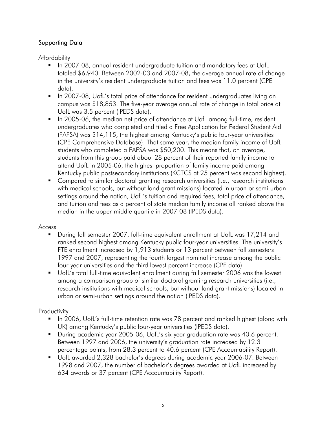## Supporting Data

Affordability

- **In 2007-08, annual resident undergraduate tuition and mandatory fees at UofL** totaled \$6,940. Between 2002-03 and 2007-08, the average annual rate of change in the university's resident undergraduate tuition and fees was 11.0 percent (CPE data).
- **IF** In 2007-08, UofL's total price of attendance for resident undergraduates living on campus was \$18,853. The five-year average annual rate of change in total price at UofL was 3.5 percent (IPEDS data).
- In 2005-06, the median net price of attendance at UofL among full-time, resident undergraduates who completed and filed a Free Application for Federal Student Aid (FAFSA) was \$14,115, the highest among Kentucky's public four-year universities (CPE Comprehensive Database). That same year, the median family income of UofL students who completed a FAFSA was \$50,200. This means that, on average, students from this group paid about 28 percent of their reported family income to attend UofL in 2005-06, the highest proportion of family income paid among Kentucky public postsecondary institutions (KCTCS at 25 percent was second highest).
- **Compared to similar doctoral granting research universities (i.e., research institutions** with medical schools, but without land grant missions) located in urban or semi-urban settings around the nation, UofL's tuition and required fees, total price of attendance, and tuition and fees as a percent of state median family income all ranked above the median in the upper-middle quartile in 2007-08 (IPEDS data).

## Access

- During fall semester 2007, full-time equivalent enrollment at UofL was 17,214 and ranked second highest among Kentucky public four-year universities. The university's FTE enrollment increased by 1,913 students or 13 percent between fall semesters 1997 and 2007, representing the fourth largest nominal increase among the public four-year universities and the third lowest percent increase (CPE data).
- UofL's total full-time equivalent enrollment during fall semester 2006 was the lowest among a comparison group of similar doctoral granting research universities (i.e., research institutions with medical schools, but without land grant missions) located in urban or semi-urban settings around the nation (IPEDS data).

## **Productivity**

- In 2006, UofL's full-time retention rate was 78 percent and ranked highest (along with UK) among Kentucky's public four-year universities (IPEDS data).
- **During academic year 2005-06, UofL's six-year graduation rate was 40.6 percent.** Between 1997 and 2006, the university's graduation rate increased by 12.3 percentage points, from 28.3 percent to 40.6 percent (CPE Accountability Report).
- UofL awarded 2,328 bachelor's degrees during academic year 2006-07. Between 1998 and 2007, the number of bachelor's degrees awarded at UofL increased by 634 awards or 37 percent (CPE Accountability Report).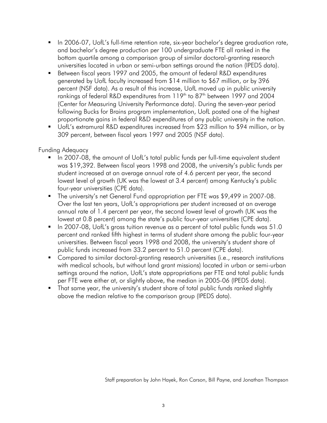- In 2006-07, UofL's full-time retention rate, six-year bachelor's degree graduation rate, and bachelor's degree production per 100 undergraduate FTE all ranked in the bottom quartile among a comparison group of similar doctoral-granting research universities located in urban or semi-urban settings around the nation (IPEDS data).
- Between fiscal years 1997 and 2005, the amount of federal R&D expenditures generated by UofL faculty increased from \$14 million to \$67 million, or by 396 percent (NSF data). As a result of this increase, UofL moved up in public university rankings of federal R&D expenditures from 119<sup>th</sup> to 87<sup>th</sup> between 1997 and 2004 (Center for Measuring University Performance data). During the seven-year period following Bucks for Brains program implementation, UofL posted one of the highest proportionate gains in federal R&D expenditures of any public university in the nation.
- UofL's extramural R&D expenditures increased from \$23 million to \$94 million, or by 309 percent, between fiscal years 1997 and 2005 (NSF data).

## Funding Adequacy

- In 2007-08, the amount of UofL's total public funds per full-time equivalent student was \$19,392. Between fiscal years 1998 and 2008, the university's public funds per student increased at an average annual rate of 4.6 percent per year, the second lowest level of growth (UK was the lowest at 3.4 percent) among Kentucky's public four-year universities (CPE data).
- The university's net General Fund appropriation per FTE was \$9,499 in 2007-08. Over the last ten years, UofL's appropriations per student increased at an average annual rate of 1.4 percent per year, the second lowest level of growth (UK was the lowest at 0.8 percent) among the state's public four-year universities (CPE data).
- In 2007-08, UofL's gross tuition revenue as a percent of total public funds was 51.0 percent and ranked fifth highest in terms of student share among the public four-year universities. Between fiscal years 1998 and 2008, the university's student share of public funds increased from 33.2 percent to 51.0 percent (CPE data).
- Compared to similar doctoral-granting research universities (i.e., research institutions with medical schools, but without land grant missions) located in urban or semi-urban settings around the nation, UofL's state appropriations per FTE and total public funds per FTE were either at, or slightly above, the median in 2005-06 (IPEDS data).
- That same year, the university's student share of total public funds ranked slightly above the median relative to the comparison group (IPEDS data).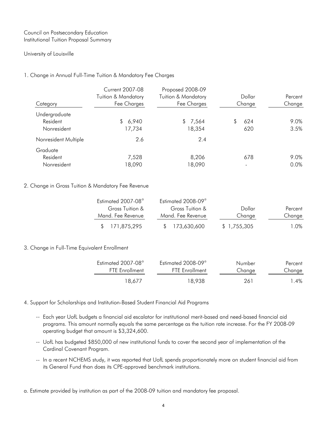#### Council on Postsecondary Education Institutional Tuition Proposal Summary

#### University of Louisville

#### 1. Change in Annual Full-Time Tuition & Mandatory Fee Charges

|                      | <b>Current 2007-08</b>         | Proposed 2008-09               |           |         |
|----------------------|--------------------------------|--------------------------------|-----------|---------|
|                      | <b>Tuition &amp; Mandatory</b> | <b>Tuition &amp; Mandatory</b> | Dollar    | Percent |
| Category             | Fee Charges                    | Fee Charges                    | Change    | Change  |
| Undergraduate        |                                |                                |           |         |
| Resident             | 6,940<br>S.                    | \$7,564                        | 624<br>S. | 9.0%    |
| Nonresident          | 17,734                         | 18,354                         | 620       | 3.5%    |
| Nonresident Multiple | 2.6                            | 2.4                            |           |         |
| Graduate             |                                |                                |           |         |
| Resident             | 7,528                          | 8,206                          | 678       | 9.0%    |
| Nonresident          | 18,090                         | 18,090                         |           | 0.0%    |

#### 2. Change in Gross Tuition & Mandatory Fee Revenue

| Estimated 2007-08 <sup>a</sup> | Estimated 2008-09 <sup>a</sup> |             |         |
|--------------------------------|--------------------------------|-------------|---------|
| Gross Tuition &                | Gross Tuition &                | Dollar      | Percent |
| Mand. Fee Revenue              | Mand. Fee Revenue              | Change      | Change  |
| \$171,875,295                  | \$173,630,600                  | \$1,755,305 | 1.O%    |

#### 3. Change in Full-Time Equivalent Enrollment

| Estimated 2007-08 <sup>a</sup> | Estimated 2008-09 <sup>a</sup> | Number | Percent |
|--------------------------------|--------------------------------|--------|---------|
| <b>FTF</b> Fnrollment          | <b>FTF</b> Fnrollment          | Change | Change  |
| 18.677                         | 18.938                         | 261    | $4\%$   |

#### 4. Support for Scholarships and Institution-Based Student Financial Aid Programs

- -- Each year UofL budgets a financial aid escalator for institutional merit-based and need-based financial aid programs. This amount normally equals the same percentage as the tuition rate increase. For the FY 2008-09 operating budget that amount is \$3,324,600.
- -- UofL has budgeted \$850,000 of new institutional funds to cover the second year of implementation of the Cardinal Covenant Program.
- -- In a recent NCHEMS study, it was reported that UofL spends proportionately more on student financial aid from its General Fund than does its CPE-approved benchmark institutions.

a. Estimate provided by institution as part of the 2008-09 tuition and mandatory fee proposal.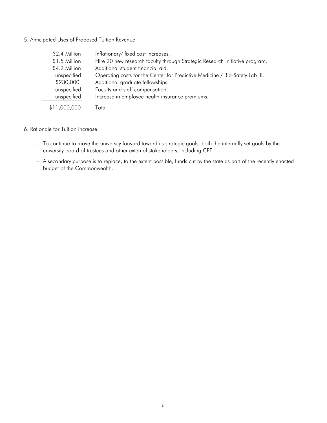#### 5. Anticipated Uses of Proposed Tuition Revenue

| \$2.4 Million | Inflationary/fixed cost increases.                                           |
|---------------|------------------------------------------------------------------------------|
| \$1.5 Million | Hire 20 new research faculty through Strategic Research Initiative program.  |
| \$4.2 Million | Additional student financial aid.                                            |
| unspecified   | Operating costs for the Center for Predictive Medicine / Bio-Safety Lab III. |
| \$230,000     | Additional graduate fellowships.                                             |
| unspecified   | Faculty and staff compensation.                                              |
| unspecified   | Increase in employee health insurance premiums.                              |
| \$11,000,000  | Total                                                                        |

- 6. Rationale for Tuition Increase
	- -- To continue to move the university forward toward its strategic goals, both the internally set goals by the university board of trustees and other external stakeholders, including CPE.
	- -- A secondary purpose is to replace, to the extent possible, funds cut by the state as part of the recently enacted budget of the Commonwealth.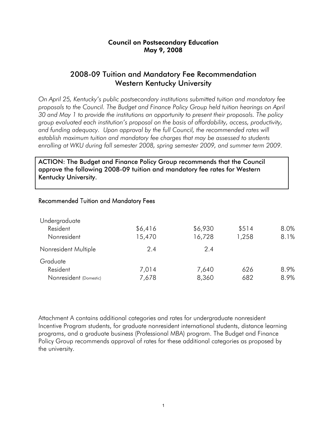## Council on Postsecondary Education May 9, 2008

## 2008-09 Tuition and Mandatory Fee Recommendation Western Kentucky University

*On April 25, Kentucky's public postsecondary institutions submitted tuition and mandatory fee proposals to the Council. The Budget and Finance Policy Group held tuition hearings on April 30 and May 1 to provide the institutions an opportunity to present their proposals. The policy group evaluated each institution's proposal on the basis of affordability, access, productivity,*  and funding adequacy. Upon approval by the full Council, the recommended rates will *establish maximum tuition and mandatory fee charges that may be assessed to students enrolling at WKU during fall semester 2008, spring semester 2009, and summer term 2009.* 

ACTION: The Budget and Finance Policy Group recommends that the Council approve the following 2008-09 tuition and mandatory fee rates for Western Kentucky University.

### Recommended Tuition and Mandatory Fees

| Undergraduate          |         |         |       |      |
|------------------------|---------|---------|-------|------|
| Resident               | \$6,416 | \$6,930 | \$514 | 8.0% |
| Nonresident            | 15,470  | 16,728  | 1,258 | 8.1% |
| Nonresident Multiple   | 2.4     | 2.4     |       |      |
| Graduate               |         |         |       |      |
| Resident               | 7,014   | 7,640   | 626   | 8.9% |
| Nonresident (Domestic) | 7,678   | 8,360   | 682   | 8.9% |

Attachment A contains additional categories and rates for undergraduate nonresident Incentive Program students, for graduate nonresident international students, distance learning programs, and a graduate business (Professional MBA) program. The Budget and Finance Policy Group recommends approval of rates for these additional categories as proposed by the university.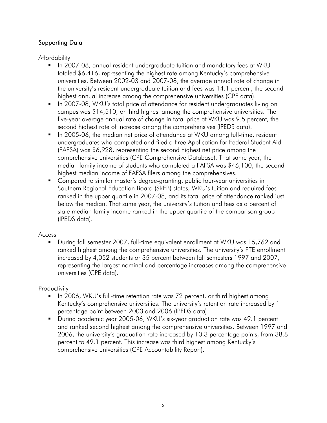## Supporting Data

Affordability

- **In 2007-08, annual resident undergraduate tuition and mandatory fees at WKU** totaled \$6,416, representing the highest rate among Kentucky's comprehensive universities. Between 2002-03 and 2007-08, the average annual rate of change in the university's resident undergraduate tuition and fees was 14.1 percent, the second highest annual increase among the comprehensive universities (CPE data).
- **IF In 2007-08, WKU's total price of attendance for resident undergraduates living on** campus was \$14,510, or third highest among the comprehensive universities. The five-year average annual rate of change in total price at WKU was 9.5 percent, the second highest rate of increase among the comprehensives (IPEDS data).
- In 2005-06, the median net price of attendance at WKU among full-time, resident undergraduates who completed and filed a Free Application for Federal Student Aid (FAFSA) was \$6,928, representing the second highest net price among the comprehensive universities (CPE Comprehensive Database). That same year, the median family income of students who completed a FAFSA was \$46,100, the second highest median income of FAFSA filers among the comprehensives.
- Compared to similar master's degree-granting, public four-year universities in Southern Regional Education Board (SREB) states, WKU's tuition and required fees ranked in the upper quartile in 2007-08, and its total price of attendance ranked just below the median. That same year, the university's tuition and fees as a percent of state median family income ranked in the upper quartile of the comparison group (IPEDS data).

## Access

 During fall semester 2007, full-time equivalent enrollment at WKU was 15,762 and ranked highest among the comprehensive universities. The university's FTE enrollment increased by 4,052 students or 35 percent between fall semesters 1997 and 2007, representing the largest nominal and percentage increases among the comprehensive universities (CPE data).

**Productivity** 

- **IF In 2006, WKU's full-time retention rate was 72 percent, or third highest among** Kentucky's comprehensive universities. The university's retention rate increased by 1 percentage point between 2003 and 2006 (IPEDS data).
- During academic year 2005-06, WKU's six-year graduation rate was 49.1 percent and ranked second highest among the comprehensive universities. Between 1997 and 2006, the university's graduation rate increased by 10.3 percentage points, from 38.8 percent to 49.1 percent. This increase was third highest among Kentucky's comprehensive universities (CPE Accountability Report).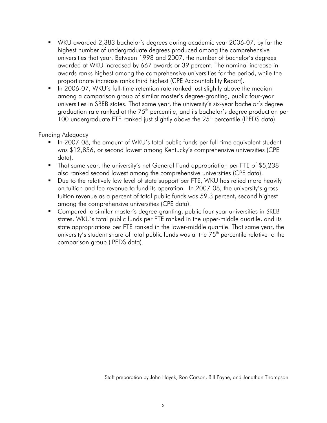- WKU awarded 2,383 bachelor's degrees during academic year 2006-07, by far the highest number of undergraduate degrees produced among the comprehensive universities that year. Between 1998 and 2007, the number of bachelor's degrees awarded at WKU increased by 667 awards or 39 percent. The nominal increase in awards ranks highest among the comprehensive universities for the period, while the proportionate increase ranks third highest (CPE Accountability Report).
- In 2006-07, WKU's full-time retention rate ranked just slightly above the median among a comparison group of similar master's degree-granting, public four-year universities in SREB states. That same year, the university's six-year bachelor's degree graduation rate ranked at the 75<sup>th</sup> percentile, and its bachelor's degree production per 100 undergraduate FTE ranked just slightly above the 25<sup>th</sup> percentile (IPEDS data).

## Funding Adequacy

- In 2007-08, the amount of WKU's total public funds per full-time equivalent student was \$12,856, or second lowest among Kentucky's comprehensive universities (CPE data).
- That same year, the university's net General Fund appropriation per FTE of \$5,238 also ranked second lowest among the comprehensive universities (CPE data).
- **Due to the relatively low level of state support per FTE, WKU has relied more heavily** on tuition and fee revenue to fund its operation. In 2007-08, the university's gross tuition revenue as a percent of total public funds was 59.3 percent, second highest among the comprehensive universities (CPE data).
- **Compared to similar master's degree-granting, public four-year universities in SREB** states, WKU's total public funds per FTE ranked in the upper-middle quartile, and its state appropriations per FTE ranked in the lower-middle quartile. That same year, the university's student share of total public funds was at the  $75<sup>th</sup>$  percentile relative to the comparison group (IPEDS data).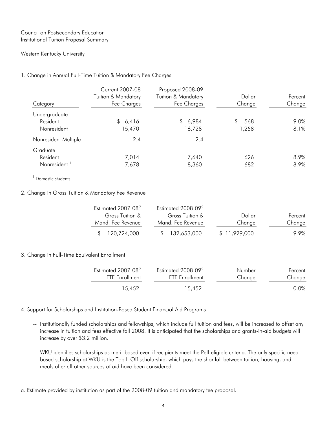#### Council on Postsecondary Education Institutional Tuition Proposal Summary

#### Western Kentucky University

#### 1. Change in Annual Full-Time Tuition & Mandatory Fee Charges

| Category                 | <b>Current 2007-08</b><br><b>Tuition &amp; Mandatory</b><br>Fee Charges | Proposed 2008-09<br>Tuition & Mandatory<br>Fee Charges | Dollar<br>Change | Percent<br>Change |
|--------------------------|-------------------------------------------------------------------------|--------------------------------------------------------|------------------|-------------------|
| Undergraduate            |                                                                         |                                                        |                  |                   |
| Resident                 | \$6,416                                                                 | \$6,984                                                | 568<br>S.        | 9.0%              |
| Nonresident              | 15,470                                                                  | 16,728                                                 | 1,258            | 8.1%              |
| Nonresident Multiple     | 2.4                                                                     | 2.4                                                    |                  |                   |
| Graduate                 |                                                                         |                                                        |                  |                   |
| Resident                 | 7,014                                                                   | 7,640                                                  | 626              | 8.9%              |
| Nonresident <sup>1</sup> | 7,678                                                                   | 8,360                                                  | 682              | 8.9%              |

<sup>1</sup> Domestic students.

#### 2. Change in Gross Tuition & Mandatory Fee Revenue

| Estimated 2007-08 <sup>a</sup>         | Estimated 2008-09 <sup>a</sup> |               |         |
|----------------------------------------|--------------------------------|---------------|---------|
| Gross Tuition &                        | Gross Tuition &                | Dollar        | Percent |
| Mand. Fee Revenue<br>Mand. Fee Revenue |                                | Change        | Change  |
| \$ 120,724,000                         | \$132,653,000                  | \$ 11.929.000 | 99%     |

#### 3. Change in Full-Time Equivalent Enrollment

| Estimated 2007-08 <sup>a</sup> | Estimated 2008-09 <sup>a</sup> | Number | Percent |
|--------------------------------|--------------------------------|--------|---------|
| <b>FTF</b> Fnrollment          | <b>FTF</b> Fnrollment          | Change | Change  |
| 15.452                         | 15.452                         | $\sim$ | 0.0%    |

#### 4. Support for Scholarships and Institution-Based Student Financial Aid Programs

- -- Institutionally funded scholarships and fellowships, which include full tuition and fees, will be increased to offset any increase in tuition and fees effective fall 2008. It is anticipated that the scholarships and grants-in-aid budgets will increase by over \$3.2 million.
- -- WKU identifies scholarships as merit-based even if recipients meet the Pell-eligible criteria. The only specific needbased scholarship at WKU is the Top It Off scholarship, which pays the shortfall between tuition, housing, and meals after all other sources of aid have been considered.
- a. Estimate provided by institution as part of the 2008-09 tuition and mandatory fee proposal.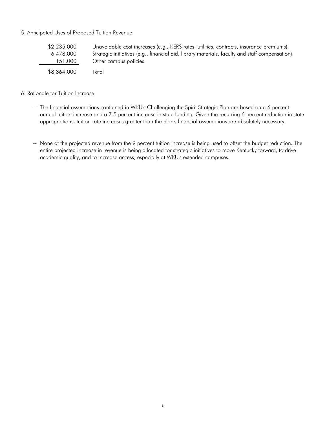#### 5. Anticipated Uses of Proposed Tuition Revenue

| \$2,235,000 | Unavoidable cost increases (e.g., KERS rates, utilities, contracts, insurance premiums).        |
|-------------|-------------------------------------------------------------------------------------------------|
| 6,478,000   | Strategic initiatives (e.g., financial aid, library materials, faculty and staff compensation). |
| 151,000     | Other campus policies.                                                                          |
| \$8,864,000 | Total                                                                                           |

#### 6. Rationale for Tuition Increase

- -- The financial assumptions contained in WKU's Challenging the Spirit Strategic Plan are based on a 6 percent annual tuition increase and a 7.5 percent increase in state funding. Given the recurring 6 percent reduction in state appropriations, tuition rate increases greater than the plan's financial assumptions are absolutely necessary.
- -- None of the projected revenue from the 9 percent tuition increase is being used to offset the budget reduction. The entire projected increase in revenue is being allocated for strategic initiatives to move Kentucky forward, to drive academic quality, and to increase access, especially at WKU's extended campuses.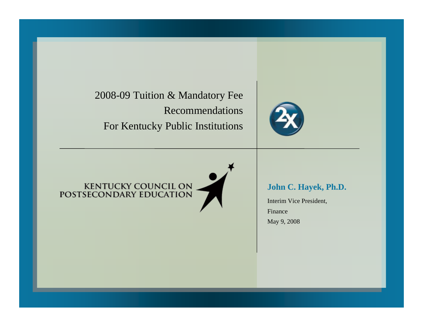2008-09 Tuition & Mandatory Fee Recommendations For Kentuck y Public Institutions



# KENTUCKY COUNCIL ON<br>POSTSECONDARY EDUCATION

**John C. Hayek, Ph.D.**

Interim Vice President, FinanceMay 9, 2008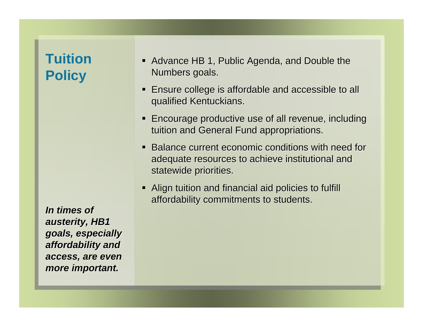## **Tuition Policy**

*In times of In times of austerity, HB1 austerity, HB1 goals, especially goals, especially affordability and affordability and access, are even access, are even more important. more important.*

- Advance HB 1, Public Agenda, and Double the Numbers goals.
- **Ensure college is affordable and accessible to all** qualified Kentuckians. qualified Kentuckians.
- **Encourage productive use of all revenue, including** tuition and General Fund appropriations.
- Balance current economic conditions with need for adequate resources to achieve institutional and statewide priorities.
- Align tuition and financial aid policies to fulfill affordability commitments to students.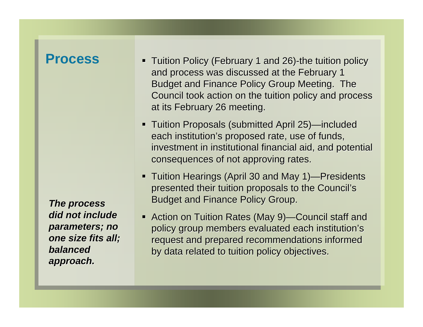## **Process**

*The process The process did not include did not include parameters; no parameters; no one size fits all; one size fits all; balanced balanced approach. approach.*

- Tuition Policy (February 1 and 26)-the tuition policy and process was discussed at the February 1 Budget and Finance Policy Group Meeting. The Council took action on the tuition policy and process at its February 26 meeting.
- Tuition Proposals (submitted April 25)—included each institution's proposed rate, use of funds, investment in institutional financial aid, and potential consequences of not approving rates.
- Tuition Hearings (April 30 and May 1)—Presidents presented their tuition proposals to the Council's Budget and Finance Policy Group.
- Action on Tuition Rates (May 9)—Council staff and policy group members evaluated each institution's request and prepared recommendations informed by data related to tuition policy objectives.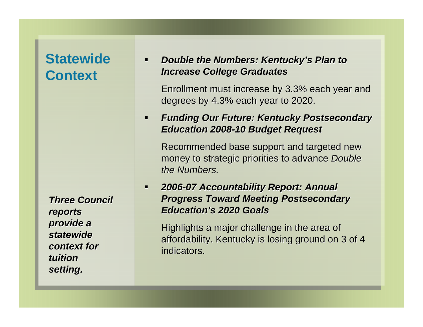## **Statewide Context**

*Three Council Three Council reports reports provide a provide a statewide statewide context for context for tuition tuition setting. setting.*

### $\blacksquare$ *Double the Numbers: Kentucky's Plan to Increase College Graduates Increase College Graduates*

Enrollment must increase by 3.3% each year and Enrollment must increase by 3.3% each year and degrees by 4.3% each year to 2020.

## $\blacksquare$  *Funding Our Future: Kentucky Postsecondary Funding Our Future: Kentucky Postsecondary Education 2008 Education 2008-10 Budget Request 10 Budget Request*

Recommended base support and targeted new Recommended base support and targeted new money to strategic priorities to advance *Double the Numbers. the Numbers.*

 $\blacksquare$  *2006-07 Accountability Report: Annual 07 Accountability Report: Annual*  **Progress Toward Meeting Postsecondary** *Education Education's 2020 Goals s 2020 Goals*

Highlights a major challenge in the area of affordability. Kentucky is losing ground on 3 of 4 indicators.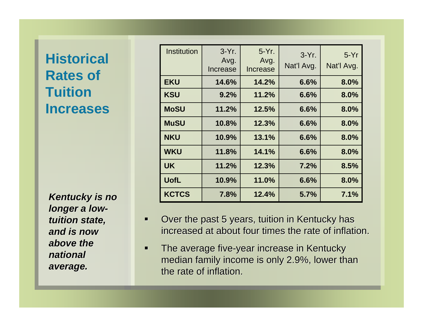## **Historical Rates of Tuition Increases**

**Kentucky is no** *longer a lowtuition state, tuition state, and is now and is now above the above the national national average. average.*

| <b>Institution</b> | $3-Yr$ .<br>Avg.<br>Increase | $5-Yr$ .<br>Avg.<br><b>Increase</b> | $3-Yr$ .<br>Nat'l Avg. | $5-Yr$<br>Nat'l Avg. |
|--------------------|------------------------------|-------------------------------------|------------------------|----------------------|
| <b>EKU</b>         | 14.6%                        | 14.2%                               | 6.6%                   | 8.0%                 |
| <b>KSU</b>         | 9.2%                         | 11.2%                               | 6.6%                   | 8.0%                 |
| <b>MoSU</b>        | 11.2%                        | 12.5%                               | 6.6%                   | 8.0%                 |
| <b>MuSU</b>        | 10.8%                        | 12.3%                               | 6.6%                   | 8.0%                 |
| <b>NKU</b>         | 10.9%                        | 13.1%                               | 6.6%                   | 8.0%                 |
| <b>WKU</b>         | 11.8%                        | 14.1%                               | 6.6%                   | 8.0%                 |
| <b>UK</b>          | 11.2%                        | 12.3%                               | 7.2%                   | 8.5%                 |
| <b>UofL</b>        | 10.9%                        | 11.0%                               | 6.6%                   | 8.0%                 |
| <b>KCTCS</b>       | 7.8%                         | 12.4%                               | 5.7%                   | 7.1%                 |

- $\blacksquare$ Over the past 5 years, tuition in Kentucky has increased at about four times the rate of inflation.
- п The average five-year increase in Kentucky median family income is only 2.9%, lower than the rate of inflation.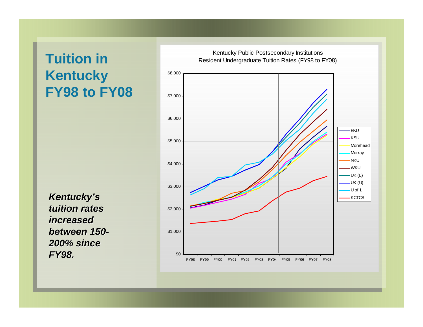## **Tuition in Kentucky FY98 to FY08**

*Kentucky Kentucky's*  **tuition rates** *increased increased between 150 between 150- 200% since 200% since FY98.*

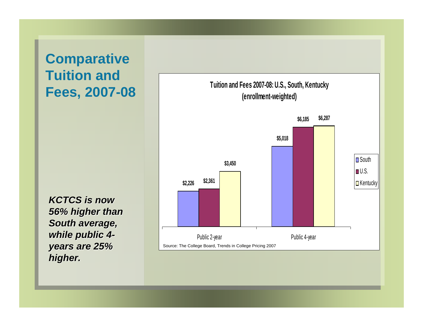## **Comparative Tuition and Fees, 2007-08**

*KCTCS is now KCTCS is now 56% higher than 56% higher than South average, South average, while public 4 while public 4 years are 25% years are 25% higher. higher.*

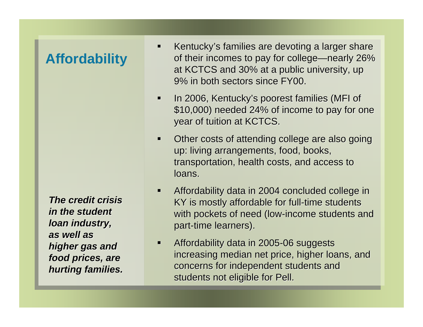## **Affordability**

*The credit crisis The credit crisis in the student in the student loan industry, loan industry, as well as as well as* higher gas and *food prices, are food prices, are hurting families. hurting families.*

- $\blacksquare$ Kentucky's families are devoting a larger share of their incomes to pay for college—nearly 26% at KCTCS and 30% at a public university, up 9% in both sectors since FY00. 9% in both sectors since FY00.
- ∎ In 2006, Kentucky's poorest families (MFI of \$10,000) needed 24% of income to pay for one year of tuition at KCTCS.
- Other costs of attending college are also going up: living arrangements, food, books, up: living arrangements, food, books, transportation, health costs, and access to loans.
- $\blacksquare$  Affordability data in 2004 concluded college in Affordability data in 2004 concluded college in KY is mostly affordable for full-time students with pockets of need (low-income students and part-time learners).
- $\blacksquare$ Affordability data in 2005-06 suggests increasing median net price, higher loans, and concerns for independent students and students not eligible for Pell.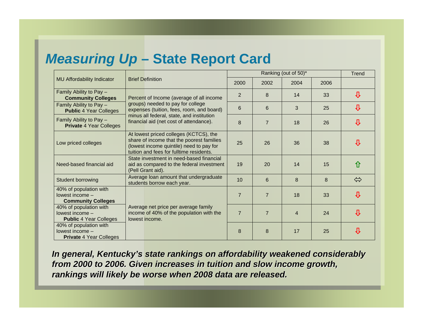## *Measuring Up* **– State Report Card**

|                                                                             |                                                                                                                                                                             | Ranking (out of 50)* |                |                |      | Trend                   |
|-----------------------------------------------------------------------------|-----------------------------------------------------------------------------------------------------------------------------------------------------------------------------|----------------------|----------------|----------------|------|-------------------------|
| <b>MU Affordability Indicator</b>                                           | <b>Brief Definition</b>                                                                                                                                                     |                      | 2002           | 2004           | 2006 |                         |
| Family Ability to Pay -<br><b>Community Colleges</b>                        | Percent of Income (average of all income                                                                                                                                    | $\overline{2}$       | 8              | 14             | 33   | ⇩                       |
| Family Ability to Pay -<br><b>Public 4 Year Colleges</b>                    | groups) needed to pay for college<br>expenses (tuition, fees, room, and board)                                                                                              | 6                    | 6              | 3              | 25   | $\overline{v}$          |
| Family Ability to Pay -<br><b>Private 4 Year Colleges</b>                   | minus all federal, state, and institution<br>financial aid (net cost of attendance).                                                                                        | 8                    | $\overline{7}$ | 18             | 26   | ⇩                       |
| Low priced colleges                                                         | At lowest priced colleges (KCTCS), the<br>share of income that the poorest families<br>(lowest income quintile) need to pay for<br>tuition and fees for fulltime residents. | 25                   | 26             | 36             | 38   | ⇩                       |
| Need-based financial aid                                                    | State investment in need-based financial<br>aid as compared to the federal investment<br>(Pell Grant aid).                                                                  | 19                   | 20             | 14             | 15   |                         |
| Student borrowing                                                           | Average loan amount that undergraduate<br>students borrow each year.                                                                                                        | 10                   | 6              | 8              | 8    | $\Leftrightarrow$       |
| 40% of population with<br>lowest income -<br><b>Community Colleges</b>      |                                                                                                                                                                             | $\overline{7}$       | $\overline{7}$ | 18             | 33   | $\overline{\mathbf{u}}$ |
| 40% of population with<br>lowest income -<br><b>Public 4 Year Colleges</b>  | Average net price per average family<br>income of 40% of the population with the<br>lowest income.                                                                          | $\overline{7}$       | $\overline{7}$ | $\overline{4}$ | 24   | 小                       |
| 40% of population with<br>lowest income -<br><b>Private 4 Year Colleges</b> |                                                                                                                                                                             | 8                    | 8              | 17             | 25   | 廿                       |

*In general, Kentucky's state rankings on affordability weakened considerably from 2000 to from 2000 to 2006. G 2006. Given increases ven increases in tuit in tuition and slow income gr ion and slow income growth, rankings will likely be wor rankings will likely be worse when 2008 data are released. se when 2008 data are released.*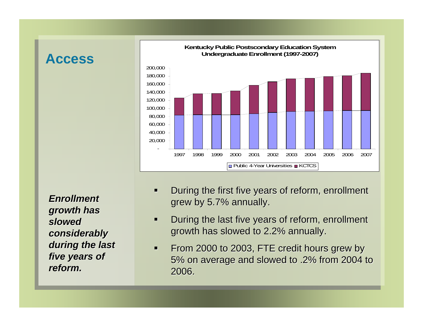#### **Access**



*Enrollment Enrollment growth has growth has slowed considerably considerably*  during the last *five years of five years of reform. reform.*

- $\blacksquare$ During the first five years of reform, enrollment grew by 5.7% annually.
- $\blacksquare$ During the last five years of reform, enrollment growth has slowed to 2.2% annually.
- $\blacksquare$ From 2000 to 2003, FTE credit hours grew by 5% on average and slowed to .2% from 2004 to 5% on average and slowed to .2% from 2004 to 2006.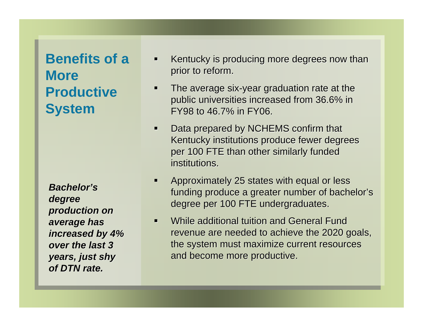# **Benefits of a More Productive System**

*Bachelor Bachelor's degree production on production on*  average has *increased by 4% increased by 4% over the last 3 over the last 3 years, just shy years, just shy of DTN rate. of DTN rate.*

- $\blacksquare$ Kentucky is producing more degrees now than prior to reform.
- $\blacksquare$ The average six-year graduation rate at the public universities increased from 36.6% in FY98 to  $46.7\%$  in FY06.
- $\blacksquare$ Data prepared by NCHEMS confirm that Kentucky institutions produce fewer degrees per 100 FTE than other similarly funded institutions.
- $\blacksquare$ Approximately 25 states with equal or less funding produce a greater number of bachelor's degree per 100 FTE undergraduates.
- $\blacksquare$ While additional tuition and General Fund revenue are needed to achieve the 2020 goals, the system must maximize current resources and become more productive.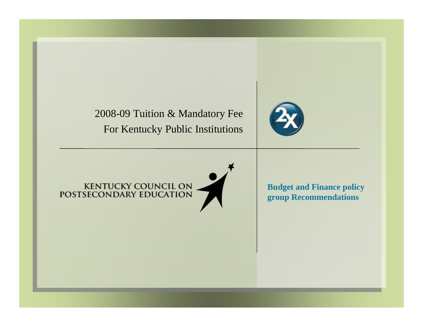2008-09 Tuition & Mandatory Fee For Kentuck y Public Institutions



# KENTUCKY COUNCIL ON POSTSECONDARY EDUCATION

**Budget and Finance policy group Recommendations**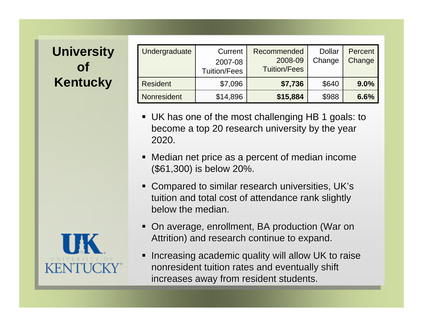#### **University of Kentucky**

| Undergraduate      | Current<br>2007-08<br><b>Tuition/Fees</b> | Recommended<br>2008-09<br><b>Tuition/Fees</b> | <b>Dollar</b><br>Change | Percent<br>Change |
|--------------------|-------------------------------------------|-----------------------------------------------|-------------------------|-------------------|
| <b>Resident</b>    | \$7,096                                   | \$7,736                                       | \$640                   | 9.0%              |
| <b>Nonresident</b> | \$14,896                                  | \$15,884                                      | \$988                   | 6.6%              |

- UK has one of the most challenging HB 1 goals: to become a top 20 research university by the year 2020.
- Median net price as a percent of median income (\$61,300) is below 20%. (\$61,300) 20%.
- Compared to similar research universities, UK's tuition and total cost of attendance rank slightly below the median.
- On average, enrollment, BA production (War on Attrition) and research continue to expand. Attrition) and research continue to expand.
- Increasing academic quality will allow UK to raise nonresident tuition rates and eventually shift increases away from resident students.

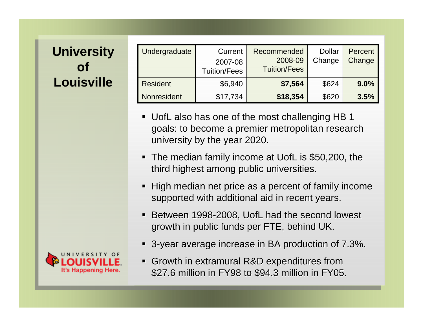#### **University of Louisville**

| Undergraduate   | Current<br>2007-08  | Recommended<br>2008-09 | <b>Dollar</b><br>Change | Percent<br>Change |
|-----------------|---------------------|------------------------|-------------------------|-------------------|
|                 | <b>Tuition/Fees</b> | <b>Tuition/Fees</b>    |                         |                   |
| <b>Resident</b> | \$6,940             | \$7,564                | \$624                   | 9.0%              |
| Nonresident     | \$17,734            | \$18,354               | \$620                   | 3.5%              |

- UofL also has one of the most challenging HB 1 goals: to become a premier metropolitan research university by the year 2020.
- The median family income at UofL is \$50,200, the third highest among public universities.
- $\blacksquare$  High median net price as a percent of family income supported with additional aid in recent years.
- Between 1998-2008, UofL had the second lowest growth in public funds per FTE, behind UK.
- 3-year average increase in BA production of 7.3%.
- Growth in extramural R&D expenditures from \$27.6 million in FY98 to \$94.3 million in FY05.

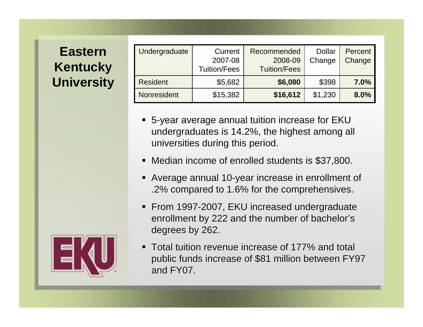#### **Eastern Kentucky University**

| Undergraduate   | Current<br>2007-08<br><b>Tuition/Fees</b> | Recommended<br>2008-09<br><b>Tuition/Fees</b> | <b>Dollar</b><br>Change | Percent<br>Change |
|-----------------|-------------------------------------------|-----------------------------------------------|-------------------------|-------------------|
| <b>Resident</b> | \$5,682                                   | \$6,080                                       | \$398                   | 7.0%              |
| Nonresident     | \$15,382                                  | \$16,612                                      | \$1,230                 | 8.0%              |

- **5-year average annual tuition increase for EKU** undergraduates is 14.2%, the highest among all universities during this period.
- Median income of enrolled students is \$37,800.
- Average annual 10-year increase in enrollment of .2% compared to 1.6% for the comprehensives. .2% compared to 1.6% for the comprehensives.
- From 1997-2007, EKU increased undergraduate enrollment by 222 and the number of bachelor's degrees by 262.
- Total tuition revenue increase of 177% and total public funds increase of \$81 million between FY97 and FY07.

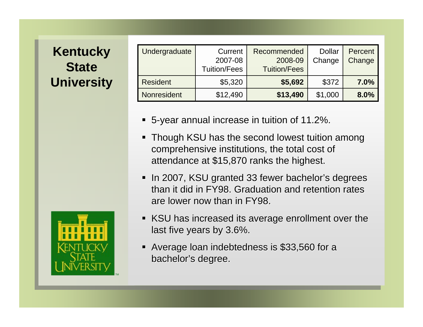#### **Kentucky State University**



| <b>Undergraduate</b> | Current<br>2007-08<br><b>Tuition/Fees</b> | Recommended<br>2008-09<br><b>Tuition/Fees</b> | <b>Dollar</b><br>Change | Percent<br>Change |
|----------------------|-------------------------------------------|-----------------------------------------------|-------------------------|-------------------|
| <b>Resident</b>      | \$5,320                                   | \$5,692                                       | \$372                   | 7.0%              |
| <b>Nonresident</b>   | \$12,490                                  | \$13,490                                      | \$1,000                 | 8.0%              |

- 5-year annual increase in tuition of 11.2%.
- Though KSU has the second lowest tuition among comprehensive institutions, the total cost of attendance at \$15,870 ranks the highest.
- In 2007, KSU granted 33 fewer bachelor's degrees than it did in FY98. Graduation and retention rates are lower now than in FY98. are lower now than in FY98.
- KSU has increased its average enrollment over the last five years by 3.6%.
- Average loan indebtedness is \$33,560 for a bachelor's degree.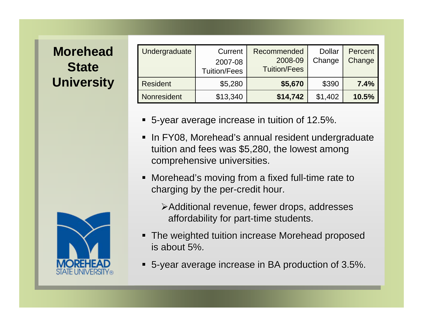#### **Morehead State University**

| Undergraduate      | Current<br>2007-08<br><b>Tuition/Fees</b> | Recommended<br>2008-09<br><b>Tuition/Fees</b> | <b>Dollar</b><br>Change | Percent<br>Change |
|--------------------|-------------------------------------------|-----------------------------------------------|-------------------------|-------------------|
| <b>Resident</b>    | \$5,280                                   | \$5,670                                       | \$390                   | 7.4%              |
| <b>Nonresident</b> | \$13,340                                  | \$14,742                                      | \$1,402                 | 10.5%             |

- **5-year average increase in tuition of 12.5%.**
- In FY08, Morehead's annual resident undergraduate tuition and fees was  $$5,280$ , the lowest among comprehensive universities.
- $\blacksquare$  Morehead's moving from a fixed full-time rate to charging by the per-credit hour.
	- $\blacktriangleright$ Additional revenue, fewer drops, addresses affordability for part-time students.
- **The weighted tuition increase Morehead proposed** is about  $5\%$ .
- 5-year average increase in BA production of 3.5%.

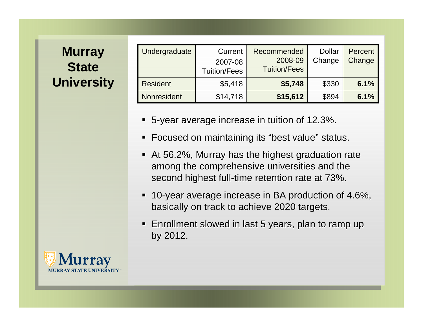#### **Murray State University**

| Undergraduate   | Current<br>2007-08<br><b>Tuition/Fees</b> | Recommended<br>2008-09<br><b>Tuition/Fees</b> | <b>Dollar</b><br>Change | Percent<br>Change |
|-----------------|-------------------------------------------|-----------------------------------------------|-------------------------|-------------------|
| <b>Resident</b> | \$5,418                                   | \$5,748                                       | \$330                   | 6.1%              |
| Nonresident     | \$14,718                                  | \$15,612                                      | \$894                   | 6.1%              |

- **5-year average increase in tuition of 12.3%.**
- Focused on maintaining its "best value" status.
- At 56.2%, Murray has the highest graduation rate among the comprehensive universities and the second highest full-time retention rate at 73%.
- 10-year average increase in BA production of 4.6%, basically on track to achieve 2020 targets.
- **Enrollment slowed in last 5 years, plan to ramp up** by 2012.

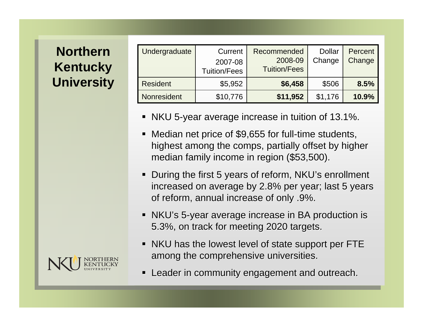#### **Northern Kentucky University**

| Undergraduate      | Current<br>2007-08<br><b>Tuition/Fees</b> | Recommended<br>2008-09<br><b>Tuition/Fees</b> | <b>Dollar</b><br>Change | Percent<br>Change |
|--------------------|-------------------------------------------|-----------------------------------------------|-------------------------|-------------------|
| <b>Resident</b>    | \$5,952                                   | \$6,458                                       | \$506                   | 8.5%              |
| <b>Nonresident</b> | \$10,776                                  | \$11,952                                      | \$1,176                 | 10.9%             |

- **NKU 5-year average increase in tuition of 13.1%.**
- Median net price of \$9,655 for full-time students, highest among the comps, partially offset by higher median family income in region (\$53,500).
- During the first 5 years of reform, NKU's enrollment increased on average by 2.8% per year; last 5 years of reform, annual increase of only .9%.
- NKU's 5-year average increase in BA production is 5.3%, on track for meeting 2020 targets. 5.3%, on track for meeting 2020 targets.
- $\blacksquare$  NKU has the lowest level of state support per FTE among the comprehensive universities.
- Leader in community engagement and outreach.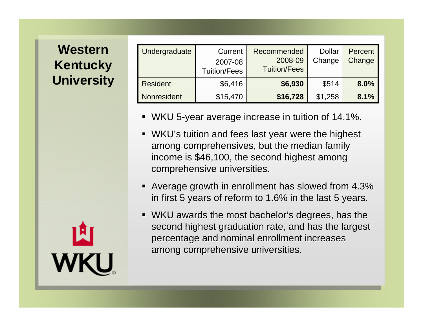#### **Western Kentucky University**

| Undergraduate      | Current<br>2007-08<br><b>Tuition/Fees</b> | Recommended<br>2008-09<br><b>Tuition/Fees</b> | <b>Dollar</b><br>Change | Percent<br>Change |
|--------------------|-------------------------------------------|-----------------------------------------------|-------------------------|-------------------|
| <b>Resident</b>    | \$6,416                                   | \$6,930                                       | \$514                   | 8.0%              |
| <b>Nonresident</b> | \$15,470                                  | \$16,728                                      | \$1,258                 | 8.1%              |

- **WKU 5-year average increase in tuition of 14.1%.**
- WKU's tuition and fees last year were the highest among comprehensives, but the median family income is \$46,100, the second highest among comprehensive universities.
- Average growth in enrollment has slowed from 4.3% in first 5 years of reform to 1.6% in the last 5 years.
- $\blacksquare$  WKU awards the most bachelor's degrees, has the second highest graduation rate, and has the largest percentage and nominal enrollment increases percentage and nominal enrollment increases among comprehensive universities.

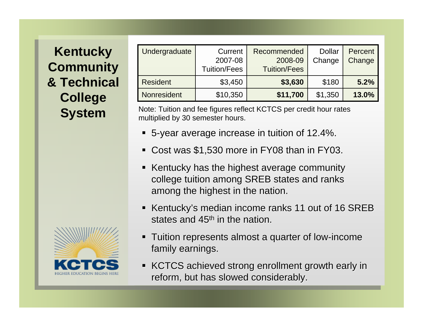#### **Kentucky Community & Technical College System**



Note: Tuition and fee figures reflect KCTCS per credit hour rates multiplied by 30 semester hours.

- **5-year average increase in tuition of 12.4%.**
- Cost was \$1,530 more in FY08 than in FY03.
- Kentucky has the highest average community college tuition among SREB states and ranks among the highest in the nation.
- Kentucky's median income ranks 11 out of 16 SREB states and 45<sup>th</sup> in the nation.
- Tuition represents almost a quarter of low-income family earnings.
- KCTCS achieved strong enrollment growth early in reform, but has slowed considerably.

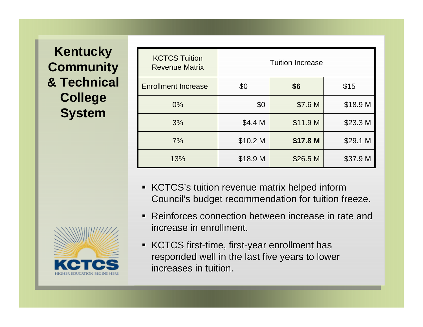#### **Kentucky Community & Technical College System**



| <b>KCTCS Tuition</b><br><b>Revenue Matrix</b> | <b>Tuition Increase</b> |          |          |  |  |  |
|-----------------------------------------------|-------------------------|----------|----------|--|--|--|
| <b>Enrollment Increase</b>                    | \$0                     | \$6      | \$15     |  |  |  |
| $0\%$                                         | \$0                     | \$7.6 M  | \$18.9 M |  |  |  |
| 3%                                            | \$4.4 M                 | \$11.9 M | \$23.3 M |  |  |  |
| 7%                                            | \$10.2 M                | \$17.8 M | \$29.1 M |  |  |  |
| 13%                                           | \$18.9 M                | \$26.5 M | \$37.9 M |  |  |  |

- KCTCS's tuition revenue matrix helped inform Council's budget recommendation for tuition freeze.
- Reinforces connection between increase in rate and increase in enrollment.
- KCTCS first-time, first-year enrollment has responded well in the last five years to lower increases in tuition.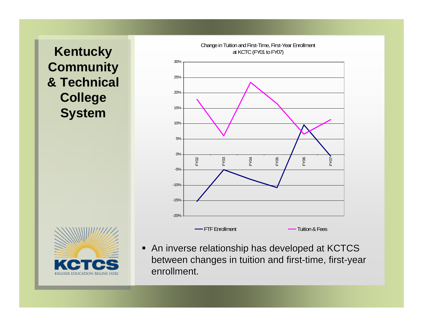**Kentucky Community & Technical College System**





An inverse relationship has developed at KCTCS between changes in tuition and first-time, first-year enrollment.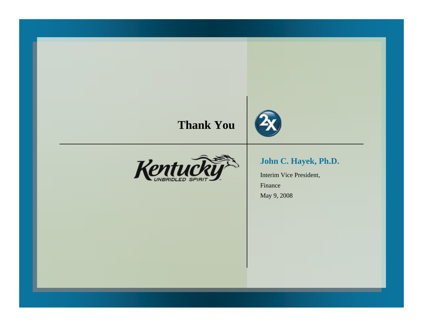#### **Thank You**





#### **John C. Hayek, Ph.D.**

Interim Vice President, FinanceMay 9, 2008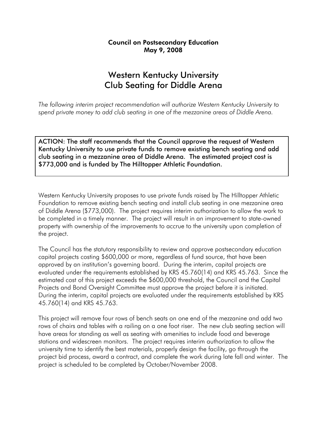#### Council on Postsecondary Education May 9, 2008

#### Western Kentucky University Club Seating for Diddle Arena

*The following interim project recommendation will authorize Western Kentucky University to spend private money to add club seating in one of the mezzanine areas of Diddle Arena.* 

ACTION: The staff recommends that the Council approve the request of Western Kentucky University to use private funds to remove existing bench seating and add club seating in a mezzanine area of Diddle Arena. The estimated project cost is \$773,000 and is funded by The Hilltopper Athletic Foundation.

Western Kentucky University proposes to use private funds raised by The Hilltopper Athletic Foundation to remove existing bench seating and install club seating in one mezzanine area of Diddle Arena (\$773,000). The project requires interim authorization to allow the work to be completed in a timely manner. The project will result in an improvement to state-owned property with ownership of the improvements to accrue to the university upon completion of the project.

The Council has the statutory responsibility to review and approve postsecondary education capital projects costing \$600,000 or more, regardless of fund source, that have been approved by an institution's governing board. During the interim, capital projects are evaluated under the requirements established by KRS 45.760(14) and KRS 45.763. Since the estimated cost of this project exceeds the \$600,000 threshold, the Council and the Capital Projects and Bond Oversight Committee must approve the project before it is initiated. During the interim, capital projects are evaluated under the requirements established by KRS 45.760(14) and KRS 45.763.

This project will remove four rows of bench seats on one end of the mezzanine and add two rows of chairs and tables with a railing on a one foot riser. The new club seating section will have areas for standing as well as seating with amenities to include food and beverage stations and widescreen monitors. The project requires interim authorization to allow the university time to identify the best materials, properly design the facility, go through the project bid process, award a contract, and complete the work during late fall and winter. The project is scheduled to be completed by October/November 2008.